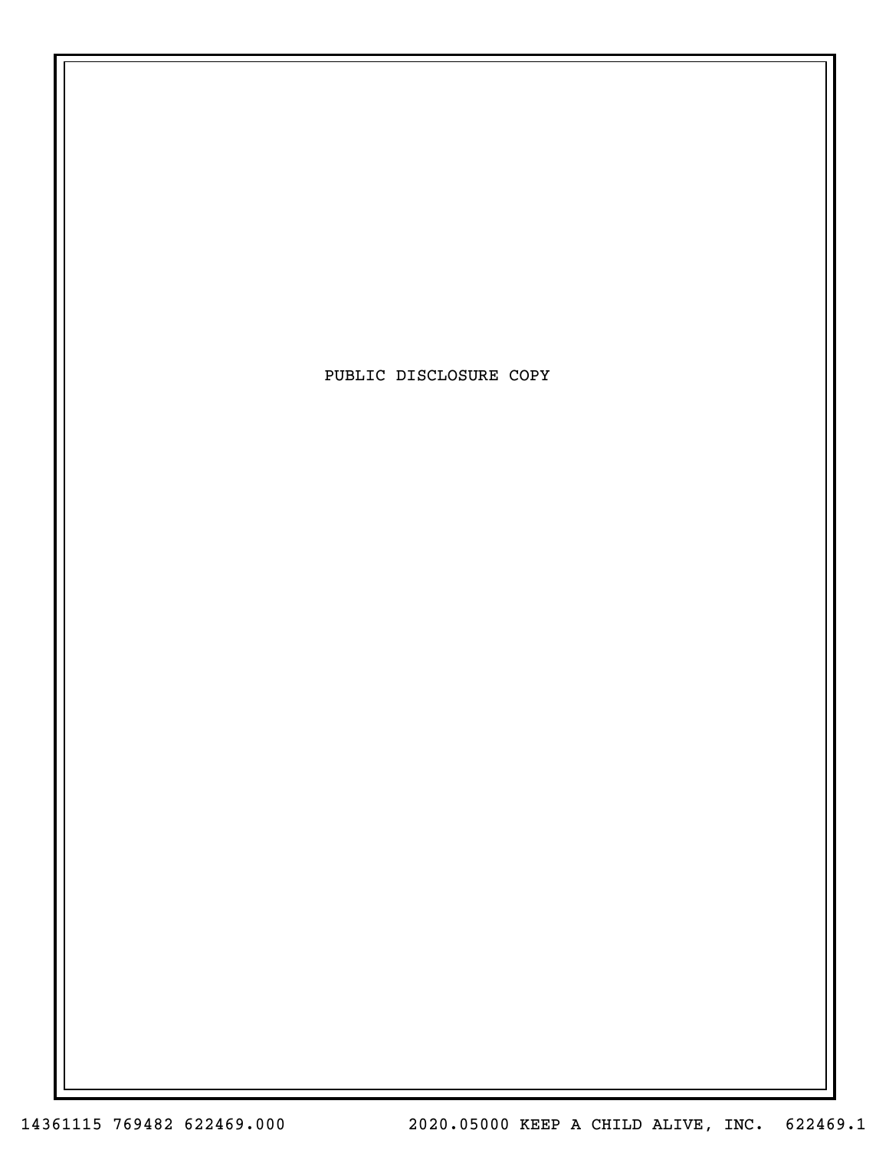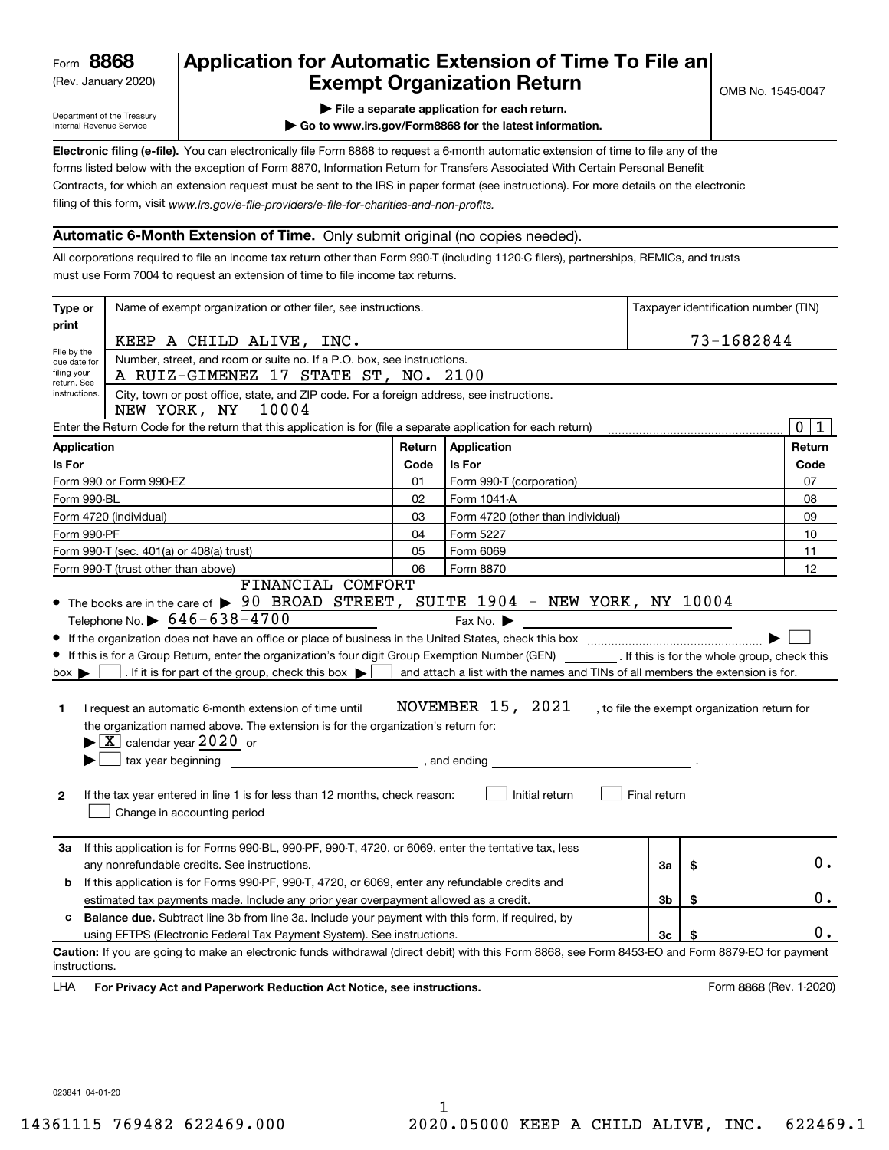(Rev. January 2020)

## **Application for Automatic Extension of Time To File an Exempt Organization Return**

Department of the Treasury Internal Revenue Service

**| File a separate application for each return.**

**| Go to www.irs.gov/Form8868 for the latest information.**

**Electronic filing (e-file).**  You can electronically file Form 8868 to request a 6-month automatic extension of time to file any of the filing of this form, visit www.irs.gov/e-file-providers/e-file-for-charities-and-non-profits. forms listed below with the exception of Form 8870, Information Return for Transfers Associated With Certain Personal Benefit Contracts, for which an extension request must be sent to the IRS in paper format (see instructions). For more details on the electronic

#### **Automatic 6-Month Extension of Time.** Only submit original (no copies needed).

All corporations required to file an income tax return other than Form 990-T (including 1120-C filers), partnerships, REMICs, and trusts must use Form 7004 to request an extension of time to file income tax returns.

| Type or                                                                                                                                                                                                                                                                 | Name of exempt organization or other filer, see instructions.                                                                                                                                                                                                                                                                                                                                                                                                                                                                                                                                                                                                                                                                                               |        |                                                                                                                                                                                                     |              |    | Taxpayer identification number (TIN) |  |  |  |
|-------------------------------------------------------------------------------------------------------------------------------------------------------------------------------------------------------------------------------------------------------------------------|-------------------------------------------------------------------------------------------------------------------------------------------------------------------------------------------------------------------------------------------------------------------------------------------------------------------------------------------------------------------------------------------------------------------------------------------------------------------------------------------------------------------------------------------------------------------------------------------------------------------------------------------------------------------------------------------------------------------------------------------------------------|--------|-----------------------------------------------------------------------------------------------------------------------------------------------------------------------------------------------------|--------------|----|--------------------------------------|--|--|--|
| print                                                                                                                                                                                                                                                                   |                                                                                                                                                                                                                                                                                                                                                                                                                                                                                                                                                                                                                                                                                                                                                             |        |                                                                                                                                                                                                     |              |    |                                      |  |  |  |
|                                                                                                                                                                                                                                                                         | 73-1682844<br>KEEP A CHILD ALIVE, INC.                                                                                                                                                                                                                                                                                                                                                                                                                                                                                                                                                                                                                                                                                                                      |        |                                                                                                                                                                                                     |              |    |                                      |  |  |  |
| File by the<br>due date for                                                                                                                                                                                                                                             | Number, street, and room or suite no. If a P.O. box, see instructions.                                                                                                                                                                                                                                                                                                                                                                                                                                                                                                                                                                                                                                                                                      |        |                                                                                                                                                                                                     |              |    |                                      |  |  |  |
| filing your<br>return. See                                                                                                                                                                                                                                              | A RUIZ-GIMENEZ 17 STATE ST, NO. 2100                                                                                                                                                                                                                                                                                                                                                                                                                                                                                                                                                                                                                                                                                                                        |        |                                                                                                                                                                                                     |              |    |                                      |  |  |  |
| instructions.<br>City, town or post office, state, and ZIP code. For a foreign address, see instructions.<br>10004<br>NEW YORK, NY<br>$\overline{0}$<br>Enter the Return Code for the return that this application is for (file a separate application for each return) |                                                                                                                                                                                                                                                                                                                                                                                                                                                                                                                                                                                                                                                                                                                                                             |        |                                                                                                                                                                                                     |              |    |                                      |  |  |  |
|                                                                                                                                                                                                                                                                         |                                                                                                                                                                                                                                                                                                                                                                                                                                                                                                                                                                                                                                                                                                                                                             |        |                                                                                                                                                                                                     |              |    | $\mathbf{1}$                         |  |  |  |
| <b>Application</b>                                                                                                                                                                                                                                                      |                                                                                                                                                                                                                                                                                                                                                                                                                                                                                                                                                                                                                                                                                                                                                             | Return | Application                                                                                                                                                                                         |              |    | Return                               |  |  |  |
| Is For                                                                                                                                                                                                                                                                  |                                                                                                                                                                                                                                                                                                                                                                                                                                                                                                                                                                                                                                                                                                                                                             | Code   | Is For                                                                                                                                                                                              |              |    | Code                                 |  |  |  |
|                                                                                                                                                                                                                                                                         | Form 990 or Form 990-EZ                                                                                                                                                                                                                                                                                                                                                                                                                                                                                                                                                                                                                                                                                                                                     | 01     | Form 990-T (corporation)                                                                                                                                                                            |              |    | 07                                   |  |  |  |
| Form 990-BL                                                                                                                                                                                                                                                             |                                                                                                                                                                                                                                                                                                                                                                                                                                                                                                                                                                                                                                                                                                                                                             | 02     | Form 1041-A                                                                                                                                                                                         |              |    | 08                                   |  |  |  |
|                                                                                                                                                                                                                                                                         | Form 4720 (individual)                                                                                                                                                                                                                                                                                                                                                                                                                                                                                                                                                                                                                                                                                                                                      | 03     | Form 4720 (other than individual)                                                                                                                                                                   |              |    |                                      |  |  |  |
| Form 990-PF                                                                                                                                                                                                                                                             |                                                                                                                                                                                                                                                                                                                                                                                                                                                                                                                                                                                                                                                                                                                                                             | 04     | Form 5227                                                                                                                                                                                           |              |    | 10                                   |  |  |  |
|                                                                                                                                                                                                                                                                         | Form 990-T (sec. 401(a) or 408(a) trust)                                                                                                                                                                                                                                                                                                                                                                                                                                                                                                                                                                                                                                                                                                                    | 05     | Form 6069                                                                                                                                                                                           |              |    | 11                                   |  |  |  |
|                                                                                                                                                                                                                                                                         | Form 990-T (trust other than above)<br>FINANCIAL COMFORT                                                                                                                                                                                                                                                                                                                                                                                                                                                                                                                                                                                                                                                                                                    | 06     | Form 8870                                                                                                                                                                                           |              |    | 12                                   |  |  |  |
| $box \blacktriangleright$<br>1<br>$\mathbf{2}$<br>За                                                                                                                                                                                                                    | • The books are in the care of $\triangleright$ 90 BROAD STREET, SUITE 1904 - NEW YORK, NY 10004<br>Telephone No. $\triangleright$ 646-638-4700<br>If this is for a Group Return, enter the organization's four digit Group Exemption Number (GEN) __________. If this is for the whole group, check this<br>. If it is for part of the group, check this box $\blacktriangleright$<br>I request an automatic 6-month extension of time until<br>the organization named above. The extension is for the organization's return for:<br>$\blacktriangleright$ $\boxed{\text{X}}$ calendar year 2020 or<br>tax year beginning tax year beginning<br>If the tax year entered in line 1 is for less than 12 months, check reason:<br>Change in accounting period |        | Fax No. $\blacktriangleright$<br>and attach a list with the names and TINs of all members the extension is for.<br>NOVEMBER 15, 2021 , to file the exempt organization return for<br>Initial return | Final return |    |                                      |  |  |  |
|                                                                                                                                                                                                                                                                         | If this application is for Forms 990-BL, 990-PF, 990-T, 4720, or 6069, enter the tentative tax, less<br>\$<br>any nonrefundable credits. See instructions.<br>За                                                                                                                                                                                                                                                                                                                                                                                                                                                                                                                                                                                            |        |                                                                                                                                                                                                     |              |    |                                      |  |  |  |
| b                                                                                                                                                                                                                                                                       | If this application is for Forms 990-PF, 990-T, 4720, or 6069, enter any refundable credits and                                                                                                                                                                                                                                                                                                                                                                                                                                                                                                                                                                                                                                                             |        |                                                                                                                                                                                                     |              |    |                                      |  |  |  |
|                                                                                                                                                                                                                                                                         | estimated tax payments made. Include any prior year overpayment allowed as a credit.                                                                                                                                                                                                                                                                                                                                                                                                                                                                                                                                                                                                                                                                        |        |                                                                                                                                                                                                     | Зb           | \$ | 0.                                   |  |  |  |
| c                                                                                                                                                                                                                                                                       | <b>Balance due.</b> Subtract line 3b from line 3a. Include your payment with this form, if required, by                                                                                                                                                                                                                                                                                                                                                                                                                                                                                                                                                                                                                                                     |        |                                                                                                                                                                                                     |              |    |                                      |  |  |  |
|                                                                                                                                                                                                                                                                         | using EFTPS (Electronic Federal Tax Payment System). See instructions.                                                                                                                                                                                                                                                                                                                                                                                                                                                                                                                                                                                                                                                                                      |        |                                                                                                                                                                                                     | Зc           | \$ | 0.                                   |  |  |  |
| instructions.                                                                                                                                                                                                                                                           | Caution: If you are going to make an electronic funds withdrawal (direct debit) with this Form 8868, see Form 8453-EO and Form 8879-EO for payment                                                                                                                                                                                                                                                                                                                                                                                                                                                                                                                                                                                                          |        |                                                                                                                                                                                                     |              |    |                                      |  |  |  |
| LHA                                                                                                                                                                                                                                                                     | For Privacy Act and Paperwork Reduction Act Notice, see instructions.                                                                                                                                                                                                                                                                                                                                                                                                                                                                                                                                                                                                                                                                                       |        |                                                                                                                                                                                                     |              |    | Form 8868 (Rev. 1-2020)              |  |  |  |

023841 04-01-20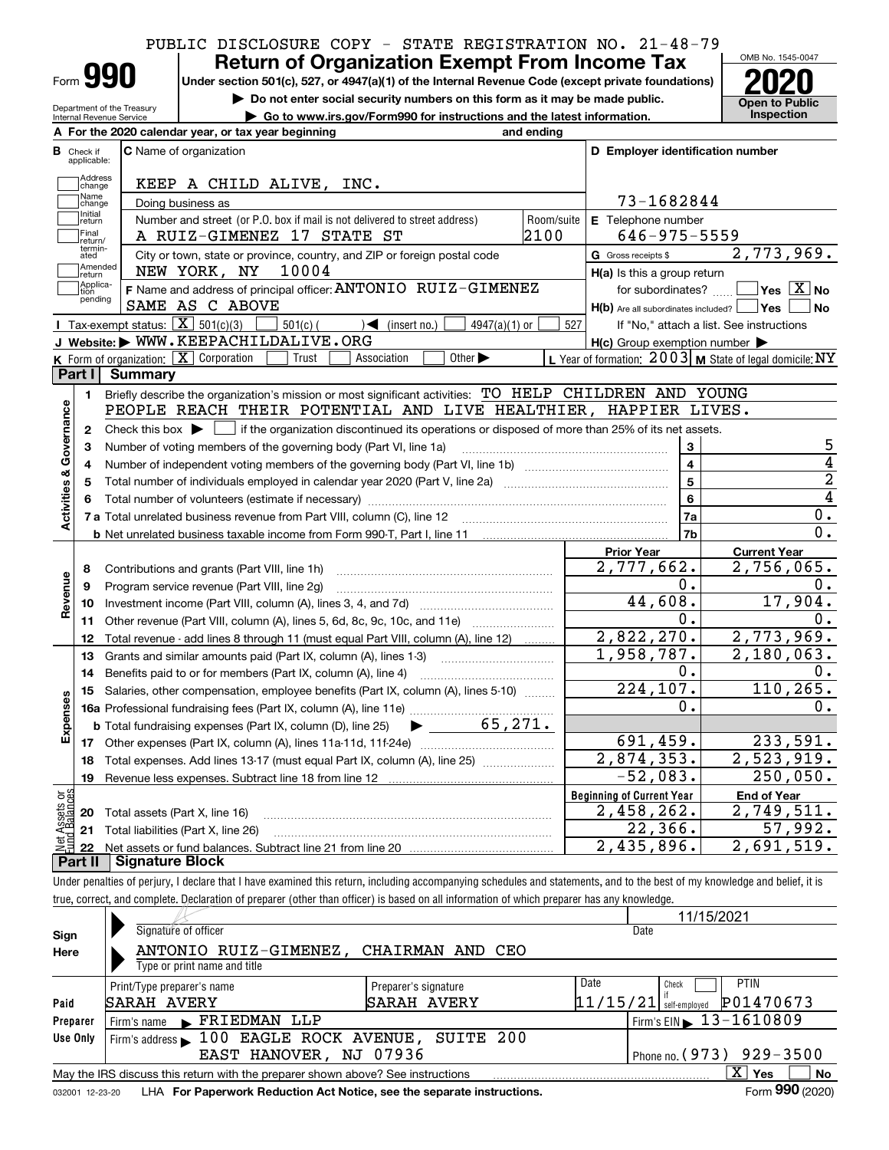# PUBLIC DISCLOSURE COPY - STATE REGISTRATION NO. 21-48-79

Form **990**

Department of the Treasury Internal Revenue Service

## **Under section 501(c), 527, or 4947(a)(1) of the Internal Revenue Code (except private foundations) 2020 Return of Organization Exempt From Income Tax**

**| Do not enter social security numbers on this form as it may be made public.**

**| Go to www.irs.gov/Form990 for instructions and the latest information. Inspection**



|                         |                         | A For the 2020 calendar year, or tax year beginning                                                                                                 | and ending |                                                     |                                                           |
|-------------------------|-------------------------|-----------------------------------------------------------------------------------------------------------------------------------------------------|------------|-----------------------------------------------------|-----------------------------------------------------------|
| В                       | Check if<br>applicable: | <b>C</b> Name of organization                                                                                                                       |            | D Employer identification number                    |                                                           |
|                         | Address<br>change       | KEEP A CHILD ALIVE, INC.                                                                                                                            |            |                                                     |                                                           |
|                         | Name<br>change          | Doing business as                                                                                                                                   |            | 73-1682844                                          |                                                           |
|                         | Initial<br>return       | Number and street (or P.O. box if mail is not delivered to street address)                                                                          | Room/suite | E Telephone number                                  |                                                           |
|                         | Final<br>return/        | A RUIZ-GIMENEZ 17 STATE ST                                                                                                                          | 2100       | $646 - 975 - 5559$                                  |                                                           |
|                         | termin-<br>ated         | City or town, state or province, country, and ZIP or foreign postal code                                                                            |            | G Gross receipts \$                                 | 2,773,969.                                                |
|                         | Amended<br>return       | 10004<br>NEW YORK, NY                                                                                                                               |            | H(a) Is this a group return                         |                                                           |
|                         | Applica-<br>tion        | F Name and address of principal officer: ANTONIO RUIZ-GIMENEZ                                                                                       |            | for subordinates?                                   | $\overline{\ }$ Yes $\overline{\phantom{X}}$ No           |
|                         | pending                 | SAME AS C ABOVE                                                                                                                                     |            | $H(b)$ Are all subordinates included? $\Box$ Yes    | No                                                        |
|                         |                         | Tax-exempt status: $\boxed{\mathbf{X}}$ 501(c)(3)<br>$501(c)$ (<br>$\mathcal{A}$ (insert no.)<br>$4947(a)(1)$ or                                    | 527        |                                                     | If "No," attach a list. See instructions                  |
|                         |                         | J Website: WWW.KEEPACHILDALIVE.ORG                                                                                                                  |            | $H(c)$ Group exemption number $\blacktriangleright$ |                                                           |
|                         |                         | K Form of organization: X Corporation<br>Trust<br>Association<br>Other $\blacktriangleright$                                                        |            |                                                     | L Year of formation: $2003$ M State of legal domicile: NY |
|                         | Part I                  | <b>Summary</b>                                                                                                                                      |            |                                                     |                                                           |
|                         | 1.                      | Briefly describe the organization's mission or most significant activities: TO HELP CHILDREN AND YOUNG                                              |            |                                                     |                                                           |
|                         |                         | PEOPLE REACH THEIR POTENTIAL AND LIVE HEALTHIER, HAPPIER LIVES.                                                                                     |            |                                                     |                                                           |
| Activities & Governance | $\mathbf{2}$            | Check this box $\blacktriangleright$ $\blacksquare$ if the organization discontinued its operations or disposed of more than 25% of its net assets. |            |                                                     |                                                           |
|                         | 3                       | Number of voting members of the governing body (Part VI, line 1a)                                                                                   |            | 3                                                   | 5                                                         |
|                         | 4                       |                                                                                                                                                     |            | $\overline{\mathbf{4}}$                             | 4                                                         |
|                         | 5                       |                                                                                                                                                     |            | $\overline{5}$                                      | $\overline{2}$                                            |
|                         | 6                       |                                                                                                                                                     |            | 6                                                   | $\overline{4}$                                            |
|                         |                         |                                                                                                                                                     |            | 7a                                                  | $\mathbf 0$ .                                             |
|                         |                         |                                                                                                                                                     |            | 7b                                                  | 0.                                                        |
|                         |                         |                                                                                                                                                     |            | <b>Prior Year</b>                                   | <b>Current Year</b>                                       |
|                         | 8                       | Contributions and grants (Part VIII, line 1h)                                                                                                       |            | 2,777,662.                                          | 2,756,065.                                                |
|                         | 9                       | Program service revenue (Part VIII, line 2g)                                                                                                        |            | 0.                                                  | 0.                                                        |
| Revenue                 | 10                      |                                                                                                                                                     |            | 44,608.                                             | 17,904.                                                   |
|                         | 11                      | Other revenue (Part VIII, column (A), lines 5, 6d, 8c, 9c, 10c, and 11e)                                                                            |            | 0.                                                  | 0.                                                        |
|                         | 12                      | Total revenue - add lines 8 through 11 (must equal Part VIII, column (A), line 12)                                                                  |            | 2,822,270.                                          | 2,773,969.                                                |
|                         | 13                      | Grants and similar amounts paid (Part IX, column (A), lines 1-3)                                                                                    |            | 1,958,787.                                          | $\overline{2}$ , 180, 063.                                |
|                         | 14                      | Benefits paid to or for members (Part IX, column (A), line 4)                                                                                       |            | 0.                                                  | 0.                                                        |
|                         | 15                      | Salaries, other compensation, employee benefits (Part IX, column (A), lines 5-10)                                                                   |            | 224, 107.                                           | 110, 265.                                                 |
|                         |                         |                                                                                                                                                     |            | 0.                                                  | 0.                                                        |
| Expenses                |                         | 65,271.<br><b>b</b> Total fundraising expenses (Part IX, column (D), line 25)<br>$\blacktriangleright$ and $\blacktriangleright$                    |            |                                                     |                                                           |
|                         |                         |                                                                                                                                                     |            | 691,459.<br>$\overline{2,874,353}$ .                | 233,591.<br>2,523,919.                                    |
|                         | 18                      | Total expenses. Add lines 13-17 (must equal Part IX, column (A), line 25)                                                                           |            | $-52,083.$                                          | 250,050.                                                  |
|                         | 19                      |                                                                                                                                                     |            |                                                     |                                                           |
| äğ                      |                         |                                                                                                                                                     |            | <b>Beginning of Current Year</b>                    | <b>End of Year</b><br>2,749,511.                          |
| <b>Ssets</b><br>Balanc  |                         | 20 Total assets (Part X, line 16)                                                                                                                   |            | $\overline{2}$ , 458, 262.                          | 57,992.                                                   |
|                         |                         | 21 Total liabilities (Part X, line 26)                                                                                                              |            | 22,366.<br>2,435,896.                               | 2,691,519.                                                |
|                         | 22<br>Part II           | <b>Signature Block</b>                                                                                                                              |            |                                                     |                                                           |

Under penalties of perjury, I declare that I have examined this return, including accompanying schedules and statements, and to the best of my knowledge and belief, it is true, correct, and complete. Declaration of preparer (other than officer) is based on all information of which preparer has any knowledge.

|                                                                                                              |                                                                        |                      | 11/15/2021                             |  |  |  |  |  |  |
|--------------------------------------------------------------------------------------------------------------|------------------------------------------------------------------------|----------------------|----------------------------------------|--|--|--|--|--|--|
| Sign                                                                                                         | Signature of officer                                                   |                      | Date                                   |  |  |  |  |  |  |
| Here                                                                                                         | ANTONIO RUIZ-GIMENEZ, CHAIRMAN AND CEO                                 |                      |                                        |  |  |  |  |  |  |
|                                                                                                              | Type or print name and title                                           |                      |                                        |  |  |  |  |  |  |
|                                                                                                              | Print/Type preparer's name                                             | Preparer's signature | Date<br><b>PTIN</b><br>Check           |  |  |  |  |  |  |
| Paid                                                                                                         | SARAH AVERY                                                            | <b>SARAH AVERY</b>   | P01470673<br>$11/15/21$ self-employed  |  |  |  |  |  |  |
| Preparer                                                                                                     | FRIEDMAN LLP<br>Firm's name<br>$\blacksquare$                          |                      | Firm's EIN $\triangleright$ 13-1610809 |  |  |  |  |  |  |
| Use Only                                                                                                     | Firm's address 100 EAGLE ROCK AVENUE, SUITE 200                        |                      |                                        |  |  |  |  |  |  |
|                                                                                                              | EAST HANOVER, NJ 07936                                                 |                      | $929 - 3500$<br>Phone no. $(973)$      |  |  |  |  |  |  |
| $\mathbf{X}$<br>No<br>Yes<br>May the IRS discuss this return with the preparer shown above? See instructions |                                                                        |                      |                                        |  |  |  |  |  |  |
| 032001 12-23-20                                                                                              | LHA For Paperwork Reduction Act Notice, see the separate instructions. |                      | Form 990 (2020)                        |  |  |  |  |  |  |
|                                                                                                              |                                                                        |                      |                                        |  |  |  |  |  |  |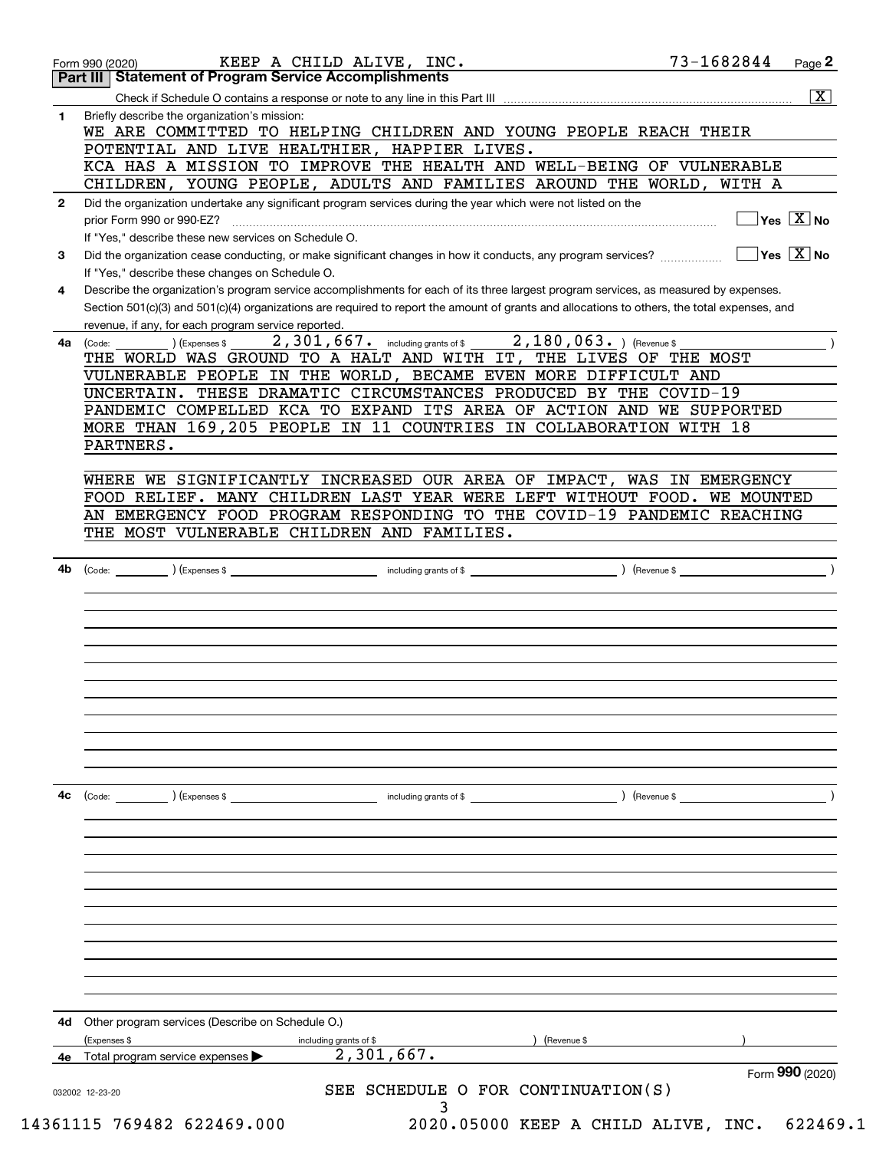|              | Part III   Statement of Program Service Accomplishments                                                                                                                         |
|--------------|---------------------------------------------------------------------------------------------------------------------------------------------------------------------------------|
|              | $\overline{\mathbf{x}}$                                                                                                                                                         |
| $\mathbf{1}$ | Briefly describe the organization's mission:                                                                                                                                    |
|              | WE ARE COMMITTED TO HELPING CHILDREN AND YOUNG PEOPLE REACH THEIR                                                                                                               |
|              | POTENTIAL AND LIVE HEALTHIER, HAPPIER LIVES.                                                                                                                                    |
|              | KCA HAS A MISSION TO IMPROVE THE HEALTH AND WELL-BEING OF VULNERABLE                                                                                                            |
|              | CHILDREN, YOUNG PEOPLE, ADULTS AND FAMILIES AROUND THE WORLD, WITH A                                                                                                            |
| $\mathbf{2}$ | Did the organization undertake any significant program services during the year which were not listed on the                                                                    |
|              | $\sqrt{Y}$ es $\sqrt{X}$ No<br>prior Form 990 or 990-EZ?                                                                                                                        |
|              | If "Yes," describe these new services on Schedule O.                                                                                                                            |
| 3            | $\overline{\mathsf{Yes} \mathrel{\hspace{0.5pt}\mathsf{X}}}$ No<br>Did the organization cease conducting, or make significant changes in how it conducts, any program services? |
|              | If "Yes," describe these changes on Schedule O.                                                                                                                                 |
| 4            | Describe the organization's program service accomplishments for each of its three largest program services, as measured by expenses.                                            |
|              | Section 501(c)(3) and 501(c)(4) organizations are required to report the amount of grants and allocations to others, the total expenses, and                                    |
|              | revenue, if any, for each program service reported.                                                                                                                             |
| 4a           | $2,180,063.$ (Revenue \$)<br>$2$ , $301$ , $667$ e including grants of \$<br>) (Expenses \$<br>(Code:                                                                           |
|              | THE WORLD WAS GROUND TO A HALT AND WITH IT, THE LIVES OF THE MOST                                                                                                               |
|              | VULNERABLE PEOPLE IN THE WORLD, BECAME EVEN MORE DIFFICULT AND                                                                                                                  |
|              | UNCERTAIN. THESE DRAMATIC CIRCUMSTANCES PRODUCED BY THE COVID-19                                                                                                                |
|              | PANDEMIC COMPELLED KCA TO EXPAND ITS AREA OF ACTION AND WE SUPPORTED<br>MORE THAN 169,205 PEOPLE IN 11 COUNTRIES IN COLLABORATION WITH 18                                       |
|              | PARTNERS.                                                                                                                                                                       |
|              |                                                                                                                                                                                 |
|              | WHERE WE SIGNIFICANTLY INCREASED OUR AREA OF IMPACT, WAS IN EMERGENCY                                                                                                           |
|              | FOOD RELIEF. MANY CHILDREN LAST YEAR WERE LEFT WITHOUT FOOD. WE MOUNTED                                                                                                         |
|              | AN EMERGENCY FOOD PROGRAM RESPONDING TO THE COVID-19 PANDEMIC REACHING                                                                                                          |
|              | THE MOST VULNERABLE CHILDREN AND FAMILIES.                                                                                                                                      |
|              |                                                                                                                                                                                 |
| 4b           | ) (Revenue \$                                                                                                                                                                   |
|              |                                                                                                                                                                                 |
|              |                                                                                                                                                                                 |
|              |                                                                                                                                                                                 |
|              |                                                                                                                                                                                 |
|              |                                                                                                                                                                                 |
|              |                                                                                                                                                                                 |
|              |                                                                                                                                                                                 |
|              | including grants of \$<br>(Code: ) (Expenses \$<br>) (Revenue \$                                                                                                                |
| 4с           |                                                                                                                                                                                 |
|              |                                                                                                                                                                                 |
|              |                                                                                                                                                                                 |
|              |                                                                                                                                                                                 |
|              |                                                                                                                                                                                 |
|              |                                                                                                                                                                                 |
|              |                                                                                                                                                                                 |
|              |                                                                                                                                                                                 |
|              |                                                                                                                                                                                 |
|              |                                                                                                                                                                                 |
|              |                                                                                                                                                                                 |
| 4d           | Other program services (Describe on Schedule O.)                                                                                                                                |
|              | (Expenses \$<br>(Revenue \$<br>including grants of \$                                                                                                                           |
|              | 2,301,667.<br>Total program service expenses                                                                                                                                    |
|              | Form 990 (2020)<br>SCHEDULE O FOR CONTINUATION(S)<br>SEE<br>032002 12-23-20                                                                                                     |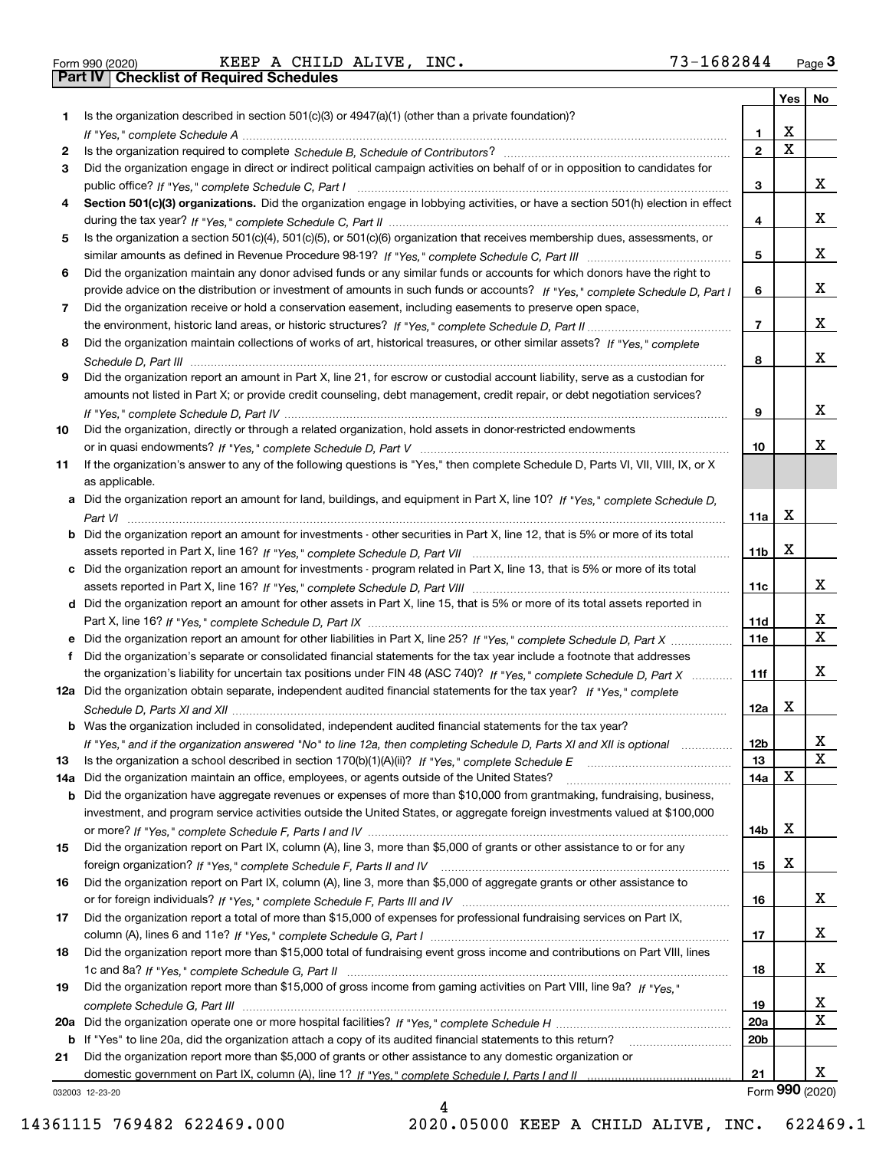|  | Form 990 (2020) |
|--|-----------------|
|  |                 |

|     |                                                                                                                                       |                 | Yes $ $     | No              |
|-----|---------------------------------------------------------------------------------------------------------------------------------------|-----------------|-------------|-----------------|
| 1   | Is the organization described in section $501(c)(3)$ or $4947(a)(1)$ (other than a private foundation)?                               |                 |             |                 |
|     |                                                                                                                                       | 1.              | х           |                 |
| 2   |                                                                                                                                       | $\overline{2}$  | $\mathbf X$ |                 |
| 3   | Did the organization engage in direct or indirect political campaign activities on behalf of or in opposition to candidates for       |                 |             |                 |
|     |                                                                                                                                       | 3               |             | x               |
| 4   | Section 501(c)(3) organizations. Did the organization engage in lobbying activities, or have a section 501(h) election in effect      |                 |             |                 |
|     |                                                                                                                                       | 4               |             | x               |
| 5   | Is the organization a section 501(c)(4), 501(c)(5), or 501(c)(6) organization that receives membership dues, assessments, or          |                 |             |                 |
|     |                                                                                                                                       | 5               |             | x               |
| 6   | Did the organization maintain any donor advised funds or any similar funds or accounts for which donors have the right to             |                 |             |                 |
|     | provide advice on the distribution or investment of amounts in such funds or accounts? If "Yes," complete Schedule D, Part I          | 6               |             | x               |
| 7   | Did the organization receive or hold a conservation easement, including easements to preserve open space,                             |                 |             | x               |
|     |                                                                                                                                       | $\overline{7}$  |             |                 |
| 8   | Did the organization maintain collections of works of art, historical treasures, or other similar assets? If "Yes," complete          |                 |             | x               |
|     |                                                                                                                                       | 8               |             |                 |
| 9   | Did the organization report an amount in Part X, line 21, for escrow or custodial account liability, serve as a custodian for         |                 |             |                 |
|     | amounts not listed in Part X; or provide credit counseling, debt management, credit repair, or debt negotiation services?             |                 |             | x               |
|     |                                                                                                                                       | 9               |             |                 |
| 10  | Did the organization, directly or through a related organization, hold assets in donor-restricted endowments                          | 10              |             | x               |
| 11  | If the organization's answer to any of the following questions is "Yes," then complete Schedule D, Parts VI, VII, VIII, IX, or X      |                 |             |                 |
|     | as applicable.                                                                                                                        |                 |             |                 |
|     | a Did the organization report an amount for land, buildings, and equipment in Part X, line 10? If "Yes." complete Schedule D.         |                 |             |                 |
|     |                                                                                                                                       | 11a             | Х           |                 |
|     | <b>b</b> Did the organization report an amount for investments - other securities in Part X, line 12, that is 5% or more of its total |                 |             |                 |
|     |                                                                                                                                       | 11 <sub>b</sub> | Х           |                 |
|     | c Did the organization report an amount for investments - program related in Part X, line 13, that is 5% or more of its total         |                 |             |                 |
|     |                                                                                                                                       | 11c             |             | x               |
|     | d Did the organization report an amount for other assets in Part X, line 15, that is 5% or more of its total assets reported in       |                 |             |                 |
|     |                                                                                                                                       | 11d             |             | x               |
|     |                                                                                                                                       | <b>11e</b>      |             | X               |
| f   | Did the organization's separate or consolidated financial statements for the tax year include a footnote that addresses               |                 |             |                 |
|     | the organization's liability for uncertain tax positions under FIN 48 (ASC 740)? If "Yes," complete Schedule D, Part X                | 11f             |             | x               |
|     | 12a Did the organization obtain separate, independent audited financial statements for the tax year? If "Yes," complete               |                 |             |                 |
|     |                                                                                                                                       | 12a             | х           |                 |
|     | <b>b</b> Was the organization included in consolidated, independent audited financial statements for the tax year?                    |                 |             |                 |
|     | If "Yes," and if the organization answered "No" to line 12a, then completing Schedule D, Parts XI and XII is optional                 | 12 <sub>b</sub> |             | 47              |
| 13  |                                                                                                                                       | 13              |             | $\mathbf x$     |
| 14a | Did the organization maintain an office, employees, or agents outside of the United States?                                           | 14a             | X           |                 |
| b   | Did the organization have aggregate revenues or expenses of more than \$10,000 from grantmaking, fundraising, business,               |                 |             |                 |
|     | investment, and program service activities outside the United States, or aggregate foreign investments valued at \$100,000            |                 |             |                 |
|     |                                                                                                                                       | 14b             | х           |                 |
| 15  | Did the organization report on Part IX, column (A), line 3, more than \$5,000 of grants or other assistance to or for any             |                 |             |                 |
|     |                                                                                                                                       | 15              | х           |                 |
| 16  | Did the organization report on Part IX, column (A), line 3, more than \$5,000 of aggregate grants or other assistance to              |                 |             |                 |
|     |                                                                                                                                       | 16              |             | X               |
| 17  | Did the organization report a total of more than \$15,000 of expenses for professional fundraising services on Part IX,               |                 |             |                 |
|     |                                                                                                                                       | 17              |             | x               |
| 18  | Did the organization report more than \$15,000 total of fundraising event gross income and contributions on Part VIII, lines          |                 |             |                 |
|     |                                                                                                                                       | 18              |             | x               |
| 19  | Did the organization report more than \$15,000 of gross income from gaming activities on Part VIII, line 9a? If "Yes."                |                 |             |                 |
|     |                                                                                                                                       | 19              |             | X               |
|     |                                                                                                                                       | 20a             |             | X               |
|     | <b>b</b> If "Yes" to line 20a, did the organization attach a copy of its audited financial statements to this return?                 | 20b             |             |                 |
| 21  | Did the organization report more than \$5,000 of grants or other assistance to any domestic organization or                           |                 |             |                 |
|     |                                                                                                                                       | 21              |             | x               |
|     | 032003 12-23-20                                                                                                                       |                 |             | Form 990 (2020) |

4

032003 12-23-20

14361115 769482 622469.000 2020.05000 KEEP A CHILD ALIVE, INC. 622469.1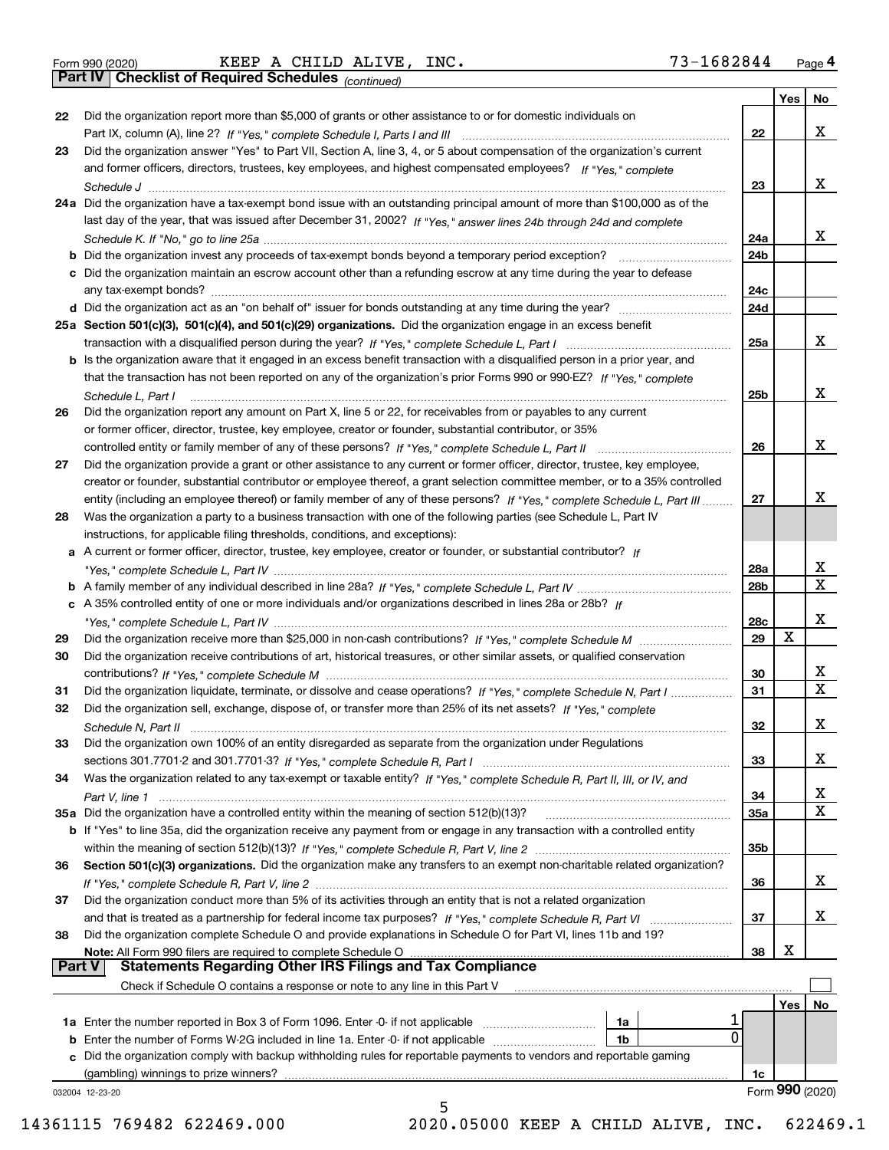*(continued)*

|               |                                                                                                                                                                                                                                               |                 | Yes | <b>No</b>       |
|---------------|-----------------------------------------------------------------------------------------------------------------------------------------------------------------------------------------------------------------------------------------------|-----------------|-----|-----------------|
| 22            | Did the organization report more than \$5,000 of grants or other assistance to or for domestic individuals on                                                                                                                                 |                 |     |                 |
|               |                                                                                                                                                                                                                                               | 22              |     | х               |
| 23            | Did the organization answer "Yes" to Part VII, Section A, line 3, 4, or 5 about compensation of the organization's current                                                                                                                    |                 |     |                 |
|               | and former officers, directors, trustees, key employees, and highest compensated employees? If "Yes," complete                                                                                                                                |                 |     | х               |
|               |                                                                                                                                                                                                                                               | 23              |     |                 |
|               | 24a Did the organization have a tax-exempt bond issue with an outstanding principal amount of more than \$100,000 as of the                                                                                                                   |                 |     |                 |
|               | last day of the year, that was issued after December 31, 2002? If "Yes," answer lines 24b through 24d and complete                                                                                                                            | 24a             |     | x               |
|               | b Did the organization invest any proceeds of tax-exempt bonds beyond a temporary period exception?                                                                                                                                           | 24b             |     |                 |
|               | c Did the organization maintain an escrow account other than a refunding escrow at any time during the year to defease                                                                                                                        |                 |     |                 |
|               | any tax-exempt bonds?                                                                                                                                                                                                                         | 24c             |     |                 |
|               |                                                                                                                                                                                                                                               | 24d             |     |                 |
|               | 25a Section 501(c)(3), 501(c)(4), and 501(c)(29) organizations. Did the organization engage in an excess benefit                                                                                                                              |                 |     |                 |
|               |                                                                                                                                                                                                                                               | 25a             |     | х               |
|               | b Is the organization aware that it engaged in an excess benefit transaction with a disqualified person in a prior year, and                                                                                                                  |                 |     |                 |
|               | that the transaction has not been reported on any of the organization's prior Forms 990 or 990-EZ? If "Yes," complete                                                                                                                         |                 |     |                 |
|               | Schedule L. Part I                                                                                                                                                                                                                            | 25b             |     | х               |
| 26            | Did the organization report any amount on Part X, line 5 or 22, for receivables from or payables to any current                                                                                                                               |                 |     |                 |
|               | or former officer, director, trustee, key employee, creator or founder, substantial contributor, or 35%                                                                                                                                       |                 |     |                 |
|               |                                                                                                                                                                                                                                               | 26              |     | х               |
| 27            | Did the organization provide a grant or other assistance to any current or former officer, director, trustee, key employee,                                                                                                                   |                 |     |                 |
|               | creator or founder, substantial contributor or employee thereof, a grant selection committee member, or to a 35% controlled                                                                                                                   |                 |     | х               |
| 28            | entity (including an employee thereof) or family member of any of these persons? If "Yes," complete Schedule L, Part III<br>Was the organization a party to a business transaction with one of the following parties (see Schedule L, Part IV | 27              |     |                 |
|               | instructions, for applicable filing thresholds, conditions, and exceptions):                                                                                                                                                                  |                 |     |                 |
|               | a A current or former officer, director, trustee, key employee, creator or founder, or substantial contributor? If                                                                                                                            |                 |     |                 |
|               |                                                                                                                                                                                                                                               | 28a             |     | x               |
|               |                                                                                                                                                                                                                                               | 28 <sub>b</sub> |     | $\mathbf X$     |
|               | c A 35% controlled entity of one or more individuals and/or organizations described in lines 28a or 28b? If                                                                                                                                   |                 |     |                 |
|               |                                                                                                                                                                                                                                               | 28c             |     | х               |
| 29            |                                                                                                                                                                                                                                               | 29              | x   |                 |
| 30            | Did the organization receive contributions of art, historical treasures, or other similar assets, or qualified conservation                                                                                                                   |                 |     |                 |
|               |                                                                                                                                                                                                                                               | 30              |     | X               |
| 31            | Did the organization liquidate, terminate, or dissolve and cease operations? If "Yes," complete Schedule N, Part I                                                                                                                            | 31              |     | $\mathbf x$     |
| 32            | Did the organization sell, exchange, dispose of, or transfer more than 25% of its net assets? If "Yes," complete                                                                                                                              |                 |     |                 |
|               |                                                                                                                                                                                                                                               | 32              |     | х               |
| 33            | Did the organization own 100% of an entity disregarded as separate from the organization under Regulations                                                                                                                                    |                 |     | х               |
|               |                                                                                                                                                                                                                                               | 33              |     |                 |
| 34            | Was the organization related to any tax-exempt or taxable entity? If "Yes," complete Schedule R, Part II, III, or IV, and                                                                                                                     | 34              |     | х               |
|               | 35a Did the organization have a controlled entity within the meaning of section 512(b)(13)?                                                                                                                                                   | 35a             |     | X               |
|               | b If "Yes" to line 35a, did the organization receive any payment from or engage in any transaction with a controlled entity                                                                                                                   |                 |     |                 |
|               |                                                                                                                                                                                                                                               | 35 <sub>b</sub> |     |                 |
| 36            | Section 501(c)(3) organizations. Did the organization make any transfers to an exempt non-charitable related organization?                                                                                                                    |                 |     |                 |
|               |                                                                                                                                                                                                                                               | 36              |     | x               |
| 37            | Did the organization conduct more than 5% of its activities through an entity that is not a related organization                                                                                                                              |                 |     |                 |
|               | and that is treated as a partnership for federal income tax purposes? If "Yes," complete Schedule R, Part VI                                                                                                                                  | 37              |     | x               |
| 38            | Did the organization complete Schedule O and provide explanations in Schedule O for Part VI, lines 11b and 19?                                                                                                                                |                 |     |                 |
|               | Note: All Form 990 filers are required to complete Schedule O                                                                                                                                                                                 | 38              | х   |                 |
| <b>Part V</b> | <b>Statements Regarding Other IRS Filings and Tax Compliance</b>                                                                                                                                                                              |                 |     |                 |
|               | Check if Schedule O contains a response or note to any line in this Part V                                                                                                                                                                    |                 |     |                 |
|               |                                                                                                                                                                                                                                               |                 | Yes | No              |
|               | <b>1a</b> Enter the number reported in Box 3 of Form 1096. Enter -0- if not applicable <i>manumumumum</i><br>1a<br>0                                                                                                                          |                 |     |                 |
|               | <b>b</b> Enter the number of Forms W-2G included in line 1a. Enter -0- if not applicable<br>1b<br>c Did the organization comply with backup withholding rules for reportable payments to vendors and reportable gaming                        |                 |     |                 |
|               | (gambling) winnings to prize winners?                                                                                                                                                                                                         | 1c              |     |                 |
|               | 032004 12-23-20                                                                                                                                                                                                                               |                 |     | Form 990 (2020) |
|               | 5                                                                                                                                                                                                                                             |                 |     |                 |
|               |                                                                                                                                                                                                                                               |                 |     |                 |

14361115 769482 622469.000 2020.05000 KEEP A CHILD ALIVE, INC. 622469.1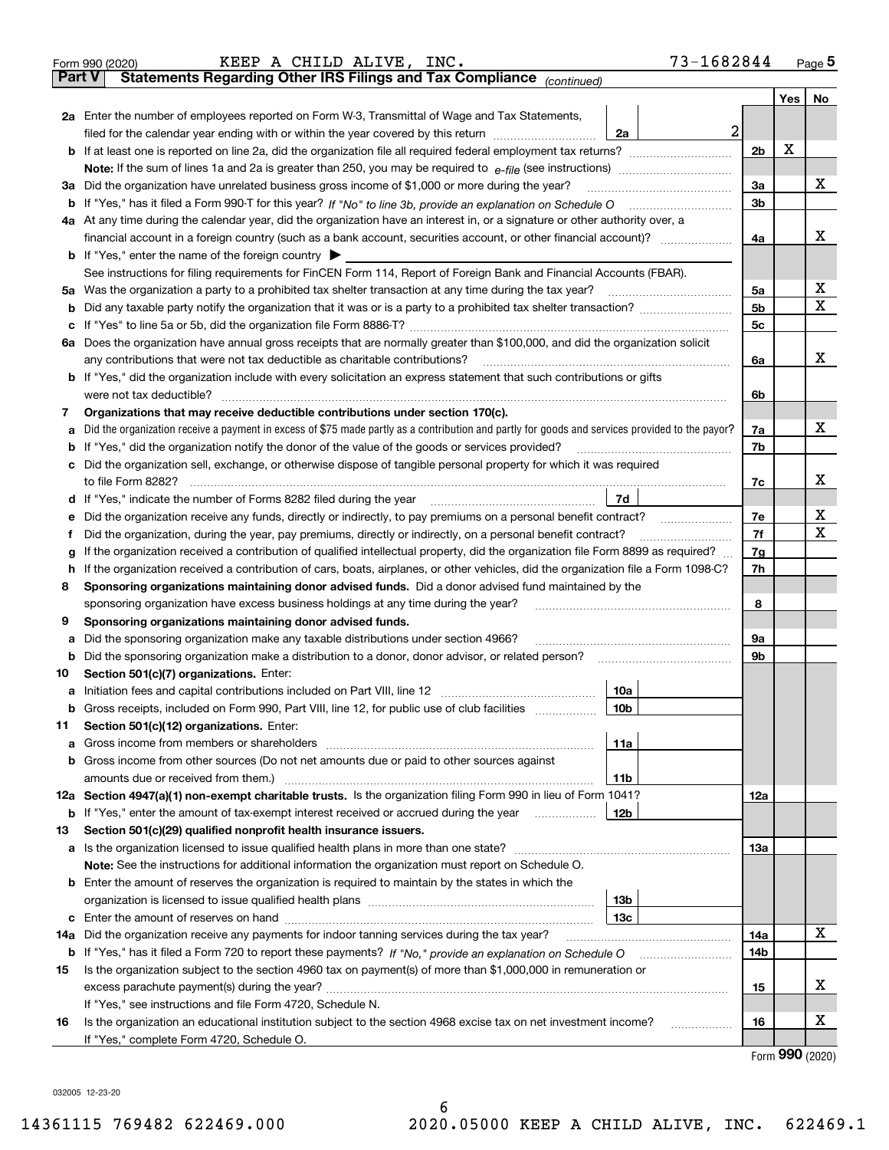|               | 73-1682844<br>KEEP A CHILD ALIVE, INC.<br>Form 990 (2020)                                                                                                                                                                              |                |         | $Page$ <sup>5</sup> |
|---------------|----------------------------------------------------------------------------------------------------------------------------------------------------------------------------------------------------------------------------------------|----------------|---------|---------------------|
| <b>Part V</b> | Statements Regarding Other IRS Filings and Tax Compliance (continued)                                                                                                                                                                  |                |         |                     |
|               |                                                                                                                                                                                                                                        |                | Yes $ $ | No                  |
|               | 2a Enter the number of employees reported on Form W-3, Transmittal of Wage and Tax Statements,                                                                                                                                         |                |         |                     |
|               | $\overline{a}$<br>filed for the calendar year ending with or within the year covered by this return <i>manumumumum</i><br>2a                                                                                                           |                |         |                     |
|               |                                                                                                                                                                                                                                        | 2 <sub>b</sub> | Х       |                     |
|               |                                                                                                                                                                                                                                        |                |         |                     |
| За            | Did the organization have unrelated business gross income of \$1,000 or more during the year?                                                                                                                                          | 3a             |         | х                   |
|               |                                                                                                                                                                                                                                        | 3b             |         |                     |
|               | 4a At any time during the calendar year, did the organization have an interest in, or a signature or other authority over, a                                                                                                           |                |         |                     |
|               |                                                                                                                                                                                                                                        | 4a             |         | x                   |
|               | <b>b</b> If "Yes," enter the name of the foreign country $\blacktriangleright$                                                                                                                                                         |                |         |                     |
|               | See instructions for filing requirements for FinCEN Form 114, Report of Foreign Bank and Financial Accounts (FBAR).                                                                                                                    |                |         |                     |
| 5a            | Was the organization a party to a prohibited tax shelter transaction at any time during the tax year?                                                                                                                                  | 5a             |         | х                   |
| b             |                                                                                                                                                                                                                                        | 5 <sub>b</sub> |         | х                   |
| с             |                                                                                                                                                                                                                                        | 5c             |         |                     |
|               | 6a Does the organization have annual gross receipts that are normally greater than \$100,000, and did the organization solicit                                                                                                         |                |         |                     |
|               | any contributions that were not tax deductible as charitable contributions?                                                                                                                                                            | 6a             |         | x                   |
|               | <b>b</b> If "Yes," did the organization include with every solicitation an express statement that such contributions or gifts                                                                                                          |                |         |                     |
|               | were not tax deductible?                                                                                                                                                                                                               | 6b             |         |                     |
| 7             | Organizations that may receive deductible contributions under section 170(c).                                                                                                                                                          |                |         |                     |
| а             | Did the organization receive a payment in excess of \$75 made partly as a contribution and partly for goods and services provided to the payor?                                                                                        | 7a             |         | х                   |
| b             | If "Yes," did the organization notify the donor of the value of the goods or services provided?                                                                                                                                        | 7b             |         |                     |
| с             | Did the organization sell, exchange, or otherwise dispose of tangible personal property for which it was required                                                                                                                      |                |         |                     |
|               |                                                                                                                                                                                                                                        | 7c             |         | х                   |
|               | 7d  <br>d If "Yes," indicate the number of Forms 8282 filed during the year [11] [11] The Section of Holder and The Year [11] In The Year [11] In The Year [11] In The Year [11] In The Year [11] In The Year [11] In The Year [11] In |                |         |                     |
| е             |                                                                                                                                                                                                                                        | 7e             |         | х                   |
| f             | Did the organization, during the year, pay premiums, directly or indirectly, on a personal benefit contract?                                                                                                                           | 7f             |         | х                   |
| g             | If the organization received a contribution of qualified intellectual property, did the organization file Form 8899 as required?                                                                                                       | 7g             |         |                     |
| h             | If the organization received a contribution of cars, boats, airplanes, or other vehicles, did the organization file a Form 1098-C?                                                                                                     | 7h             |         |                     |
| 8             | Sponsoring organizations maintaining donor advised funds. Did a donor advised fund maintained by the                                                                                                                                   |                |         |                     |
|               | sponsoring organization have excess business holdings at any time during the year?                                                                                                                                                     | 8              |         |                     |
| 9             | Sponsoring organizations maintaining donor advised funds.                                                                                                                                                                              |                |         |                     |
| а             | Did the sponsoring organization make any taxable distributions under section 4966?                                                                                                                                                     | 9а             |         |                     |
| b             | Did the sponsoring organization make a distribution to a donor, donor advisor, or related person?                                                                                                                                      | 9b             |         |                     |
| 10            | Section 501(c)(7) organizations. Enter:                                                                                                                                                                                                |                |         |                     |
|               | 10a<br> 10b                                                                                                                                                                                                                            |                |         |                     |
|               | Gross receipts, included on Form 990, Part VIII, line 12, for public use of club facilities                                                                                                                                            |                |         |                     |
| 11            | Section 501(c)(12) organizations. Enter:                                                                                                                                                                                               |                |         |                     |
| a             | 11a<br>b Gross income from other sources (Do not net amounts due or paid to other sources against                                                                                                                                      |                |         |                     |
|               |                                                                                                                                                                                                                                        |                |         |                     |
|               | 11b<br>12a Section 4947(a)(1) non-exempt charitable trusts. Is the organization filing Form 990 in lieu of Form 1041?                                                                                                                  | 12a            |         |                     |
|               | 12b<br><b>b</b> If "Yes," enter the amount of tax-exempt interest received or accrued during the year <i>manument</i>                                                                                                                  |                |         |                     |
| 13            | Section 501(c)(29) qualified nonprofit health insurance issuers.                                                                                                                                                                       |                |         |                     |
|               | a Is the organization licensed to issue qualified health plans in more than one state?                                                                                                                                                 | 13а            |         |                     |
|               | Note: See the instructions for additional information the organization must report on Schedule O.                                                                                                                                      |                |         |                     |
|               | <b>b</b> Enter the amount of reserves the organization is required to maintain by the states in which the                                                                                                                              |                |         |                     |
|               | 13b                                                                                                                                                                                                                                    |                |         |                     |
|               | 13с                                                                                                                                                                                                                                    |                |         |                     |
| 14a           | Did the organization receive any payments for indoor tanning services during the tax year?                                                                                                                                             | 14a            |         | x                   |
|               | <b>b</b> If "Yes," has it filed a Form 720 to report these payments? If "No," provide an explanation on Schedule O                                                                                                                     | 14b            |         |                     |
| 15            | Is the organization subject to the section 4960 tax on payment(s) of more than \$1,000,000 in remuneration or                                                                                                                          |                |         |                     |
|               |                                                                                                                                                                                                                                        | 15             |         | X                   |
|               | If "Yes," see instructions and file Form 4720, Schedule N.                                                                                                                                                                             |                |         |                     |
| 16            | Is the organization an educational institution subject to the section 4968 excise tax on net investment income?                                                                                                                        | 16             |         | X                   |
|               | If "Yes," complete Form 4720, Schedule O.                                                                                                                                                                                              |                |         |                     |
|               |                                                                                                                                                                                                                                        |                |         |                     |

Form (2020) **990**

032005 12-23-20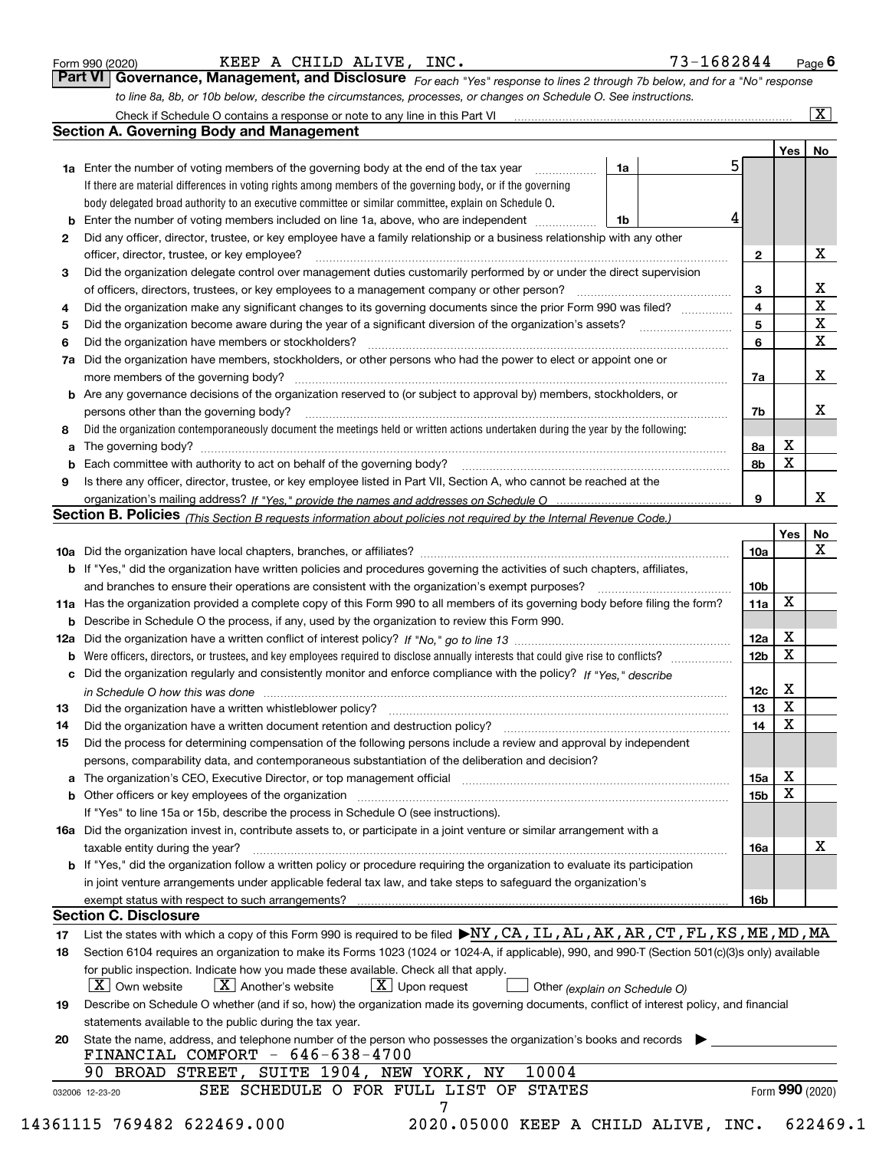|  | Form 990 (2020) |
|--|-----------------|
|  |                 |

| 73-1682844<br>Page |  |
|--------------------|--|
|--------------------|--|

*For each "Yes" response to lines 2 through 7b below, and for a "No" response to line 8a, 8b, or 10b below, describe the circumstances, processes, or changes on Schedule O. See instructions.* Form 990 (2020) **Reprist Propert A CHILD ALIVE, INC.** The section of the set of the set of the set of the set of the set of the set of the set of the set of the set of the set of the set of the set of the set of the set of

|    |                                                                                                                                                                            |    |    |                 | Yes   No        |             |
|----|----------------------------------------------------------------------------------------------------------------------------------------------------------------------------|----|----|-----------------|-----------------|-------------|
|    | <b>1a</b> Enter the number of voting members of the governing body at the end of the tax year <i>manumum</i>                                                               | 1a | 5. |                 |                 |             |
|    | If there are material differences in voting rights among members of the governing body, or if the governing                                                                |    |    |                 |                 |             |
|    | body delegated broad authority to an executive committee or similar committee, explain on Schedule O.                                                                      |    |    |                 |                 |             |
|    |                                                                                                                                                                            | 1b | 4  |                 |                 |             |
| 2  | Did any officer, director, trustee, or key employee have a family relationship or a business relationship with any other                                                   |    |    |                 |                 |             |
|    | officer, director, trustee, or key employee?                                                                                                                               |    |    | $\mathbf{2}$    |                 | X           |
| 3  | Did the organization delegate control over management duties customarily performed by or under the direct supervision                                                      |    |    |                 |                 |             |
|    |                                                                                                                                                                            |    |    | 3               |                 | X           |
| 4  | Did the organization make any significant changes to its governing documents since the prior Form 990 was filed?                                                           |    |    | 4               |                 | $\mathbf X$ |
| 5  |                                                                                                                                                                            |    |    | 5               |                 | $\mathbf X$ |
| 6  | Did the organization have members or stockholders?                                                                                                                         |    |    | 6               |                 | X           |
|    | 7a Did the organization have members, stockholders, or other persons who had the power to elect or appoint one or                                                          |    |    |                 |                 |             |
|    |                                                                                                                                                                            |    |    | 7a              |                 | X           |
|    | <b>b</b> Are any governance decisions of the organization reserved to (or subject to approval by) members, stockholders, or                                                |    |    |                 |                 |             |
|    | persons other than the governing body?                                                                                                                                     |    |    | 7b              |                 | Х           |
| 8  | Did the organization contemporaneously document the meetings held or written actions undertaken during the year by the following:                                          |    |    |                 |                 |             |
| a  |                                                                                                                                                                            |    |    | 8а              | X               |             |
|    |                                                                                                                                                                            |    |    | 8b              | $\mathbf X$     |             |
| 9  | Is there any officer, director, trustee, or key employee listed in Part VII, Section A, who cannot be reached at the                                                       |    |    |                 |                 |             |
|    |                                                                                                                                                                            |    |    | 9               |                 | X           |
|    | Section B. Policies <sub>(This</sub> Section B requests information about policies not required by the Internal Revenue Code.)                                             |    |    |                 |                 |             |
|    |                                                                                                                                                                            |    |    |                 | Yes             | <b>No</b>   |
|    |                                                                                                                                                                            |    |    | <b>10a</b>      |                 | X           |
|    |                                                                                                                                                                            |    |    |                 |                 |             |
|    | <b>b</b> If "Yes," did the organization have written policies and procedures governing the activities of such chapters, affiliates,                                        |    |    |                 |                 |             |
|    |                                                                                                                                                                            |    |    | 10 <sub>b</sub> | X               |             |
|    | 11a Has the organization provided a complete copy of this Form 990 to all members of its governing body before filing the form?                                            |    |    | 11a             |                 |             |
|    | <b>b</b> Describe in Schedule O the process, if any, used by the organization to review this Form 990.                                                                     |    |    |                 |                 |             |
|    |                                                                                                                                                                            |    |    | 12a             | X               |             |
| b  |                                                                                                                                                                            |    |    | 12 <sub>b</sub> | X               |             |
|    | c Did the organization regularly and consistently monitor and enforce compliance with the policy? If "Yes," describe                                                       |    |    |                 |                 |             |
|    | in Schedule O how this was done measured and contained a state of the state of the state of the state of the s                                                             |    |    | 12c             | X               |             |
| 13 |                                                                                                                                                                            |    |    | 13              | $\mathbf X$     |             |
| 14 | Did the organization have a written document retention and destruction policy? manufactured and the organization have a written document retention and destruction policy? |    |    | 14              | $\mathbf X$     |             |
| 15 | Did the process for determining compensation of the following persons include a review and approval by independent                                                         |    |    |                 |                 |             |
|    | persons, comparability data, and contemporaneous substantiation of the deliberation and decision?                                                                          |    |    |                 |                 |             |
|    |                                                                                                                                                                            |    |    | 15a             | X               |             |
|    | <b>b</b> Other officers or key employees of the organization                                                                                                               |    |    | 15b             | X               |             |
|    | If "Yes" to line 15a or 15b, describe the process in Schedule O (see instructions).                                                                                        |    |    |                 |                 |             |
|    | 16a Did the organization invest in, contribute assets to, or participate in a joint venture or similar arrangement with a                                                  |    |    |                 |                 |             |
|    | taxable entity during the year?                                                                                                                                            |    |    | 16a             |                 | X           |
|    | b If "Yes," did the organization follow a written policy or procedure requiring the organization to evaluate its participation                                             |    |    |                 |                 |             |
|    | in joint venture arrangements under applicable federal tax law, and take steps to safeguard the organization's                                                             |    |    |                 |                 |             |
|    | exempt status with respect to such arrangements?                                                                                                                           |    |    | <b>16b</b>      |                 |             |
|    | <b>Section C. Disclosure</b>                                                                                                                                               |    |    |                 |                 |             |
| 17 | List the states with which a copy of this Form 990 is required to be filed NY, CA, IL, AL, AK, AR, CT, FL, KS, ME, MD, MA                                                  |    |    |                 |                 |             |
| 18 | Section 6104 requires an organization to make its Forms 1023 (1024 or 1024-A, if applicable), 990, and 990-T (Section 501(c)(3)s only) available                           |    |    |                 |                 |             |
|    | for public inspection. Indicate how you made these available. Check all that apply.                                                                                        |    |    |                 |                 |             |
|    | $X$ Upon request<br>$ X $ Own website<br>$X$ Another's website<br>Other (explain on Schedule O)                                                                            |    |    |                 |                 |             |
| 19 | Describe on Schedule O whether (and if so, how) the organization made its governing documents, conflict of interest policy, and financial                                  |    |    |                 |                 |             |
|    | statements available to the public during the tax year.                                                                                                                    |    |    |                 |                 |             |
| 20 | State the name, address, and telephone number of the person who possesses the organization's books and records                                                             |    |    |                 |                 |             |
|    | FINANCIAL COMFORT - 646-638-4700                                                                                                                                           |    |    |                 |                 |             |
|    | 90 BROAD STREET, SUITE 1904, NEW YORK, NY<br>10004                                                                                                                         |    |    |                 |                 |             |
|    | SEE SCHEDULE O FOR FULL LIST OF STATES                                                                                                                                     |    |    |                 | Form 990 (2020) |             |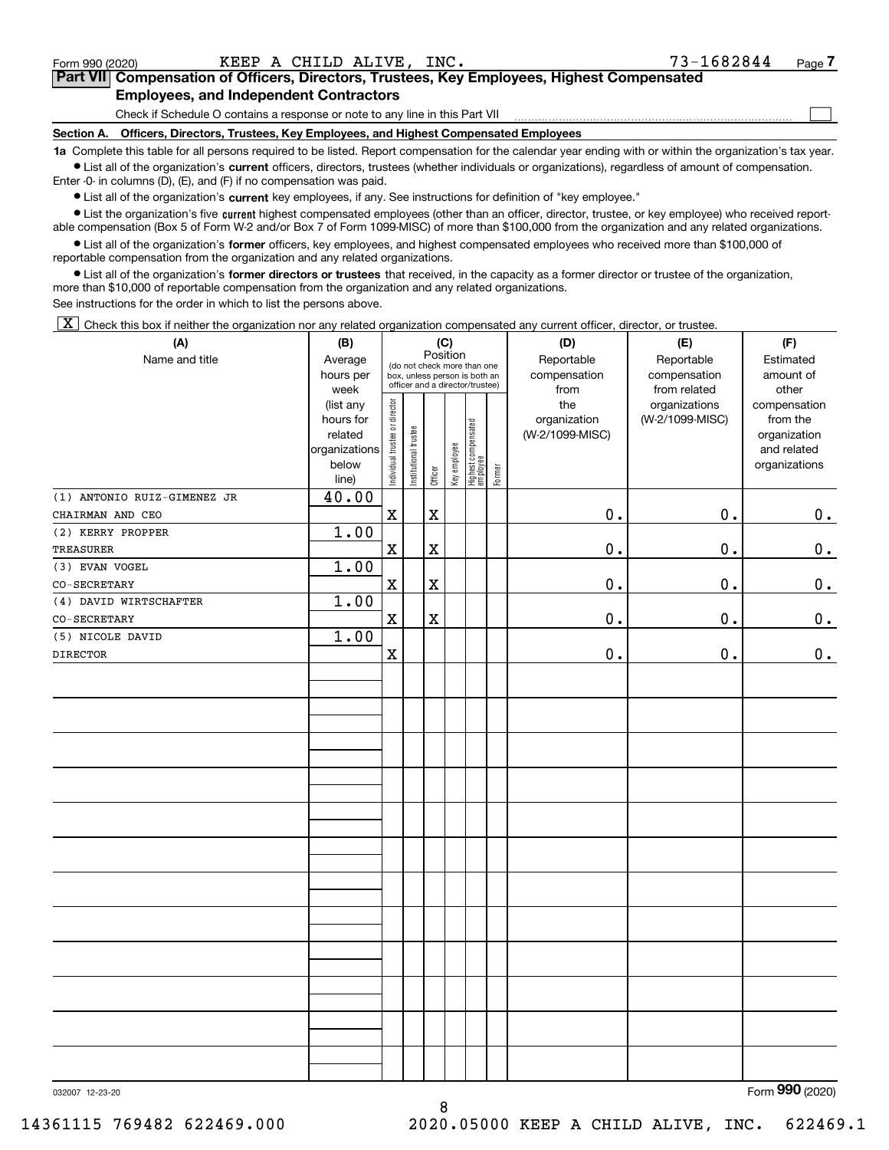$\mathcal{L}^{\text{max}}$ 

# **7Part VII Compensation of Officers, Directors, Trustees, Key Employees, Highest Compensated Employees, and Independent Contractors**

Check if Schedule O contains a response or note to any line in this Part VII

**Section A. Officers, Directors, Trustees, Key Employees, and Highest Compensated Employees**

**1a**  Complete this table for all persons required to be listed. Report compensation for the calendar year ending with or within the organization's tax year. **•** List all of the organization's current officers, directors, trustees (whether individuals or organizations), regardless of amount of compensation.

Enter -0- in columns (D), (E), and (F) if no compensation was paid.

 $\bullet$  List all of the organization's  $\,$ current key employees, if any. See instructions for definition of "key employee."

**•** List the organization's five current highest compensated employees (other than an officer, director, trustee, or key employee) who received reportable compensation (Box 5 of Form W-2 and/or Box 7 of Form 1099-MISC) of more than \$100,000 from the organization and any related organizations.

**•** List all of the organization's former officers, key employees, and highest compensated employees who received more than \$100,000 of reportable compensation from the organization and any related organizations.

**former directors or trustees**  ¥ List all of the organization's that received, in the capacity as a former director or trustee of the organization, more than \$10,000 of reportable compensation from the organization and any related organizations.

See instructions for the order in which to list the persons above.

 $\boxed{\textbf{X}}$  Check this box if neither the organization nor any related organization compensated any current officer, director, or trustee.

| (A)                         | (B)           |                                |                       |             | (C)          |                                 |        | (D)             | (E)             | (F)             |
|-----------------------------|---------------|--------------------------------|-----------------------|-------------|--------------|---------------------------------|--------|-----------------|-----------------|-----------------|
| Name and title              | Average       |                                |                       |             | Position     | (do not check more than one     |        | Reportable      | Reportable      | Estimated       |
|                             | hours per     |                                |                       |             |              | box, unless person is both an   |        | compensation    | compensation    | amount of       |
|                             | week          |                                |                       |             |              | officer and a director/trustee) |        | from            | from related    | other           |
|                             | (list any     |                                |                       |             |              |                                 |        | the             | organizations   | compensation    |
|                             | hours for     |                                |                       |             |              |                                 |        | organization    | (W-2/1099-MISC) | from the        |
|                             | related       |                                |                       |             |              |                                 |        | (W-2/1099-MISC) |                 | organization    |
|                             | organizations |                                |                       |             |              |                                 |        |                 |                 | and related     |
|                             | below         | Individual trustee or director | Institutional trustee | Officer     | Key employee | Highest compensated<br>employee | Former |                 |                 | organizations   |
|                             | line)         |                                |                       |             |              |                                 |        |                 |                 |                 |
| (1) ANTONIO RUIZ-GIMENEZ JR | 40.00         |                                |                       |             |              |                                 |        |                 |                 |                 |
| CHAIRMAN AND CEO            |               | $\mathbf x$                    |                       | $\mathbf X$ |              |                                 |        | $\mathbf 0$ .   | 0.              | 0.              |
| (2) KERRY PROPPER           | 1.00          |                                |                       |             |              |                                 |        |                 | 0.              |                 |
| TREASURER                   |               | $\mathbf X$                    |                       | $\rm X$     |              |                                 |        | $\mathbf 0$ .   |                 | $0_{\cdot}$     |
| (3) EVAN VOGEL              | 1.00          |                                |                       |             |              |                                 |        |                 |                 |                 |
| $\texttt{CO-SECRETARY}$     |               | $\mathbf X$                    |                       | $\rm X$     |              |                                 |        | $\mathbf 0$ .   | 0.              | 0.              |
| (4) DAVID WIRTSCHAFTER      | 1.00          |                                |                       |             |              |                                 |        |                 |                 |                 |
| $\texttt{CO-SECRETARY}$     |               | $\mathbf X$                    |                       | $\mathbf X$ |              |                                 |        | $\mathbf 0$ .   | 0.              | 0.              |
| (5) NICOLE DAVID            | 1.00          |                                |                       |             |              |                                 |        |                 |                 |                 |
| <b>DIRECTOR</b>             |               | $\mathbf x$                    |                       |             |              |                                 |        | $\mathbf 0$ .   | 0.              | $0_{.}$         |
|                             |               |                                |                       |             |              |                                 |        |                 |                 |                 |
|                             |               |                                |                       |             |              |                                 |        |                 |                 |                 |
|                             |               |                                |                       |             |              |                                 |        |                 |                 |                 |
|                             |               |                                |                       |             |              |                                 |        |                 |                 |                 |
|                             |               |                                |                       |             |              |                                 |        |                 |                 |                 |
|                             |               |                                |                       |             |              |                                 |        |                 |                 |                 |
|                             |               |                                |                       |             |              |                                 |        |                 |                 |                 |
|                             |               |                                |                       |             |              |                                 |        |                 |                 |                 |
|                             |               |                                |                       |             |              |                                 |        |                 |                 |                 |
|                             |               |                                |                       |             |              |                                 |        |                 |                 |                 |
|                             |               |                                |                       |             |              |                                 |        |                 |                 |                 |
|                             |               |                                |                       |             |              |                                 |        |                 |                 |                 |
|                             |               |                                |                       |             |              |                                 |        |                 |                 |                 |
|                             |               |                                |                       |             |              |                                 |        |                 |                 |                 |
|                             |               |                                |                       |             |              |                                 |        |                 |                 |                 |
|                             |               |                                |                       |             |              |                                 |        |                 |                 |                 |
|                             |               |                                |                       |             |              |                                 |        |                 |                 |                 |
|                             |               |                                |                       |             |              |                                 |        |                 |                 |                 |
|                             |               |                                |                       |             |              |                                 |        |                 |                 |                 |
|                             |               |                                |                       |             |              |                                 |        |                 |                 |                 |
|                             |               |                                |                       |             |              |                                 |        |                 |                 |                 |
|                             |               |                                |                       |             |              |                                 |        |                 |                 |                 |
|                             |               |                                |                       |             |              |                                 |        |                 |                 |                 |
|                             |               |                                |                       |             |              |                                 |        |                 |                 |                 |
| 032007 12-23-20             |               |                                |                       |             |              |                                 |        |                 |                 | Form 990 (2020) |

8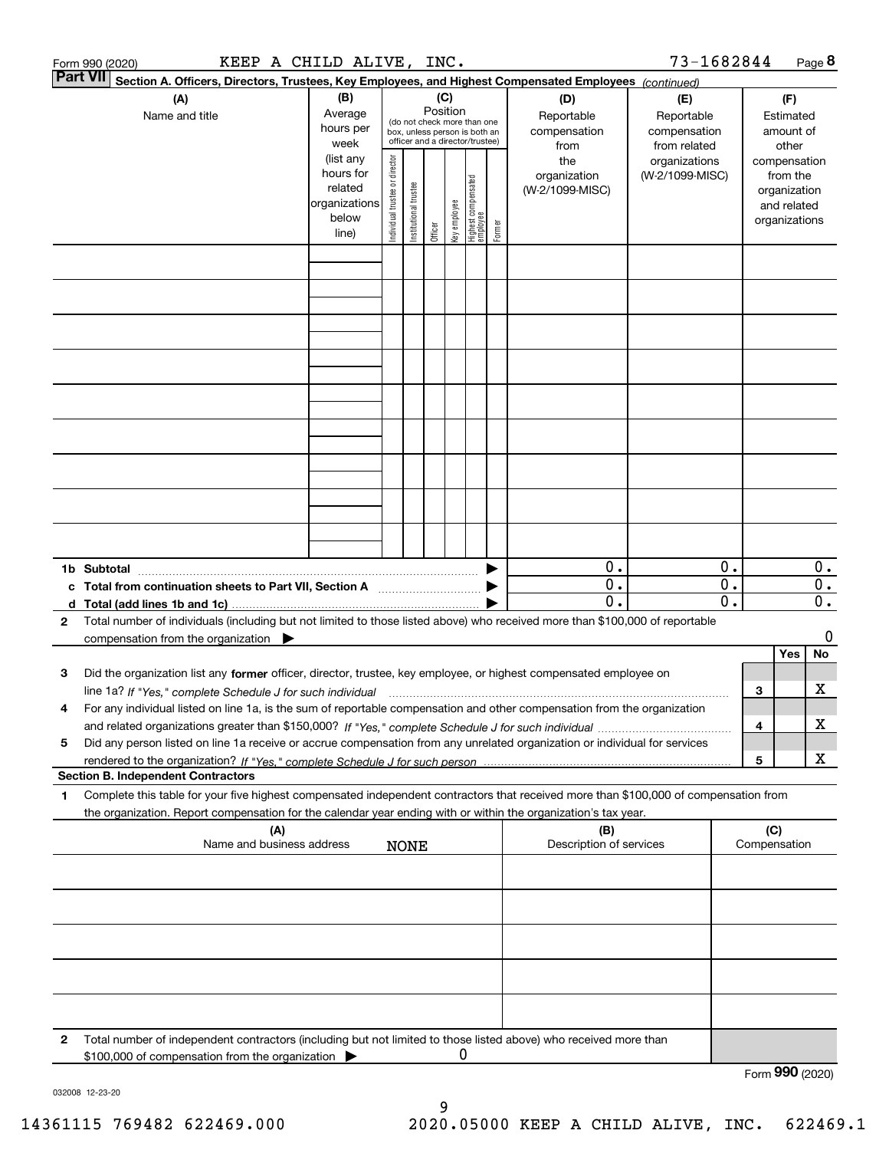|              | KEEP A CHILD ALIVE, INC.<br>Form 990 (2020)                                                                                             |                   |                                |                       |          |              |                                                                  |        |                                | 73-1682844                    |                  |     |                       | Page 8                    |
|--------------|-----------------------------------------------------------------------------------------------------------------------------------------|-------------------|--------------------------------|-----------------------|----------|--------------|------------------------------------------------------------------|--------|--------------------------------|-------------------------------|------------------|-----|-----------------------|---------------------------|
|              | <b>Part VII</b><br>Section A. Officers, Directors, Trustees, Key Employees, and Highest Compensated Employees (continued)               |                   |                                |                       |          |              |                                                                  |        |                                |                               |                  |     |                       |                           |
|              | (A)                                                                                                                                     | (B)               |                                |                       | (C)      |              |                                                                  |        | (D)                            | (E)                           |                  |     | (F)                   |                           |
|              | Name and title                                                                                                                          | Average           |                                |                       | Position |              | (do not check more than one                                      |        | Reportable                     | Reportable                    |                  |     | Estimated             |                           |
|              |                                                                                                                                         | hours per<br>week |                                |                       |          |              | box, unless person is both an<br>officer and a director/trustee) |        | compensation                   | compensation                  |                  |     | amount of             |                           |
|              |                                                                                                                                         | (list any         |                                |                       |          |              |                                                                  |        | from<br>the                    | from related<br>organizations |                  |     | other<br>compensation |                           |
|              |                                                                                                                                         | hours for         |                                |                       |          |              |                                                                  |        | organization                   | (W-2/1099-MISC)               |                  |     | from the              |                           |
|              |                                                                                                                                         | related           |                                |                       |          |              |                                                                  |        | (W-2/1099-MISC)                |                               |                  |     | organization          |                           |
|              |                                                                                                                                         | organizations     |                                |                       |          |              |                                                                  |        |                                |                               |                  |     | and related           |                           |
|              |                                                                                                                                         | below             | Individual trustee or director | Institutional trustee | Officer  | key employee | Highest compensated<br>  employee                                | Former |                                |                               |                  |     | organizations         |                           |
|              |                                                                                                                                         | line)             |                                |                       |          |              |                                                                  |        |                                |                               |                  |     |                       |                           |
|              |                                                                                                                                         |                   |                                |                       |          |              |                                                                  |        |                                |                               |                  |     |                       |                           |
|              |                                                                                                                                         |                   |                                |                       |          |              |                                                                  |        |                                |                               |                  |     |                       |                           |
|              |                                                                                                                                         |                   |                                |                       |          |              |                                                                  |        |                                |                               |                  |     |                       |                           |
|              |                                                                                                                                         |                   |                                |                       |          |              |                                                                  |        |                                |                               |                  |     |                       |                           |
|              |                                                                                                                                         |                   |                                |                       |          |              |                                                                  |        |                                |                               |                  |     |                       |                           |
|              |                                                                                                                                         |                   |                                |                       |          |              |                                                                  |        |                                |                               |                  |     |                       |                           |
|              |                                                                                                                                         |                   |                                |                       |          |              |                                                                  |        |                                |                               |                  |     |                       |                           |
|              |                                                                                                                                         |                   |                                |                       |          |              |                                                                  |        |                                |                               |                  |     |                       |                           |
|              |                                                                                                                                         |                   |                                |                       |          |              |                                                                  |        |                                |                               |                  |     |                       |                           |
|              |                                                                                                                                         |                   |                                |                       |          |              |                                                                  |        |                                |                               |                  |     |                       |                           |
|              |                                                                                                                                         |                   |                                |                       |          |              |                                                                  |        |                                |                               |                  |     |                       |                           |
|              |                                                                                                                                         |                   |                                |                       |          |              |                                                                  |        |                                |                               |                  |     |                       |                           |
|              |                                                                                                                                         |                   |                                |                       |          |              |                                                                  |        |                                |                               |                  |     |                       |                           |
|              |                                                                                                                                         |                   |                                |                       |          |              |                                                                  |        |                                |                               |                  |     |                       |                           |
|              |                                                                                                                                         |                   |                                |                       |          |              |                                                                  |        |                                |                               |                  |     |                       |                           |
|              |                                                                                                                                         |                   |                                |                       |          |              |                                                                  |        |                                |                               |                  |     |                       |                           |
|              |                                                                                                                                         |                   |                                |                       |          |              |                                                                  |        |                                |                               |                  |     |                       |                           |
|              | 1b Subtotal                                                                                                                             |                   |                                |                       |          |              |                                                                  |        | 0.                             |                               | 0.               |     |                       | $0$ .                     |
|              | c Total from continuation sheets to Part VII, Section A                                                                                 |                   |                                |                       |          |              |                                                                  |        | $\overline{0}$ .               |                               | $\overline{0}$ . |     |                       | $\overline{0}$ .          |
|              |                                                                                                                                         |                   |                                |                       |          |              |                                                                  |        | $\overline{0}$ .               |                               | $\overline{0}$ . |     |                       | $\overline{\mathbf{0}}$ . |
| $\mathbf{2}$ | Total number of individuals (including but not limited to those listed above) who received more than \$100,000 of reportable            |                   |                                |                       |          |              |                                                                  |        |                                |                               |                  |     |                       |                           |
|              | compensation from the organization $\blacktriangleright$                                                                                |                   |                                |                       |          |              |                                                                  |        |                                |                               |                  |     |                       | 0                         |
|              |                                                                                                                                         |                   |                                |                       |          |              |                                                                  |        |                                |                               |                  |     | Yes                   | No                        |
| з            | Did the organization list any former officer, director, trustee, key employee, or highest compensated employee on                       |                   |                                |                       |          |              |                                                                  |        |                                |                               |                  |     |                       |                           |
|              | line 1a? If "Yes," complete Schedule J for such individual manufactured contained and the Yes," complete Schedule J for such individual |                   |                                |                       |          |              |                                                                  |        |                                |                               |                  | 3   |                       | х                         |
| 4            | For any individual listed on line 1a, is the sum of reportable compensation and other compensation from the organization                |                   |                                |                       |          |              |                                                                  |        |                                |                               |                  |     |                       |                           |
|              |                                                                                                                                         |                   |                                |                       |          |              |                                                                  |        |                                |                               |                  | 4   |                       | х                         |
| 5            | Did any person listed on line 1a receive or accrue compensation from any unrelated organization or individual for services              |                   |                                |                       |          |              |                                                                  |        |                                |                               |                  |     |                       |                           |
|              |                                                                                                                                         |                   |                                |                       |          |              |                                                                  |        |                                |                               |                  | 5   |                       | X                         |
|              | <b>Section B. Independent Contractors</b>                                                                                               |                   |                                |                       |          |              |                                                                  |        |                                |                               |                  |     |                       |                           |
| 1            | Complete this table for your five highest compensated independent contractors that received more than \$100,000 of compensation from    |                   |                                |                       |          |              |                                                                  |        |                                |                               |                  |     |                       |                           |
|              | the organization. Report compensation for the calendar year ending with or within the organization's tax year.                          |                   |                                |                       |          |              |                                                                  |        |                                |                               |                  |     |                       |                           |
|              | (A)<br>Name and business address                                                                                                        |                   |                                | <b>NONE</b>           |          |              |                                                                  |        | (B)<br>Description of services |                               |                  | (C) | Compensation          |                           |
|              |                                                                                                                                         |                   |                                |                       |          |              |                                                                  |        |                                |                               |                  |     |                       |                           |
|              |                                                                                                                                         |                   |                                |                       |          |              |                                                                  |        |                                |                               |                  |     |                       |                           |
|              |                                                                                                                                         |                   |                                |                       |          |              |                                                                  |        |                                |                               |                  |     |                       |                           |
|              |                                                                                                                                         |                   |                                |                       |          |              |                                                                  |        |                                |                               |                  |     |                       |                           |
|              |                                                                                                                                         |                   |                                |                       |          |              |                                                                  |        |                                |                               |                  |     |                       |                           |
|              |                                                                                                                                         |                   |                                |                       |          |              |                                                                  |        |                                |                               |                  |     |                       |                           |
|              |                                                                                                                                         |                   |                                |                       |          |              |                                                                  |        |                                |                               |                  |     |                       |                           |
|              |                                                                                                                                         |                   |                                |                       |          |              |                                                                  |        |                                |                               |                  |     |                       |                           |
|              |                                                                                                                                         |                   |                                |                       |          |              |                                                                  |        |                                |                               |                  |     |                       |                           |
|              |                                                                                                                                         |                   |                                |                       |          |              |                                                                  |        |                                |                               |                  |     |                       |                           |
| 2            | Total number of independent contractors (including but not limited to those listed above) who received more than                        |                   |                                |                       |          |              |                                                                  |        |                                |                               |                  |     |                       |                           |
|              | \$100,000 of compensation from the organization                                                                                         |                   |                                |                       |          | 0            |                                                                  |        |                                |                               |                  |     |                       |                           |
|              |                                                                                                                                         |                   |                                |                       |          |              |                                                                  |        |                                |                               |                  |     | Form 990 (2020)       |                           |

032008 12-23-20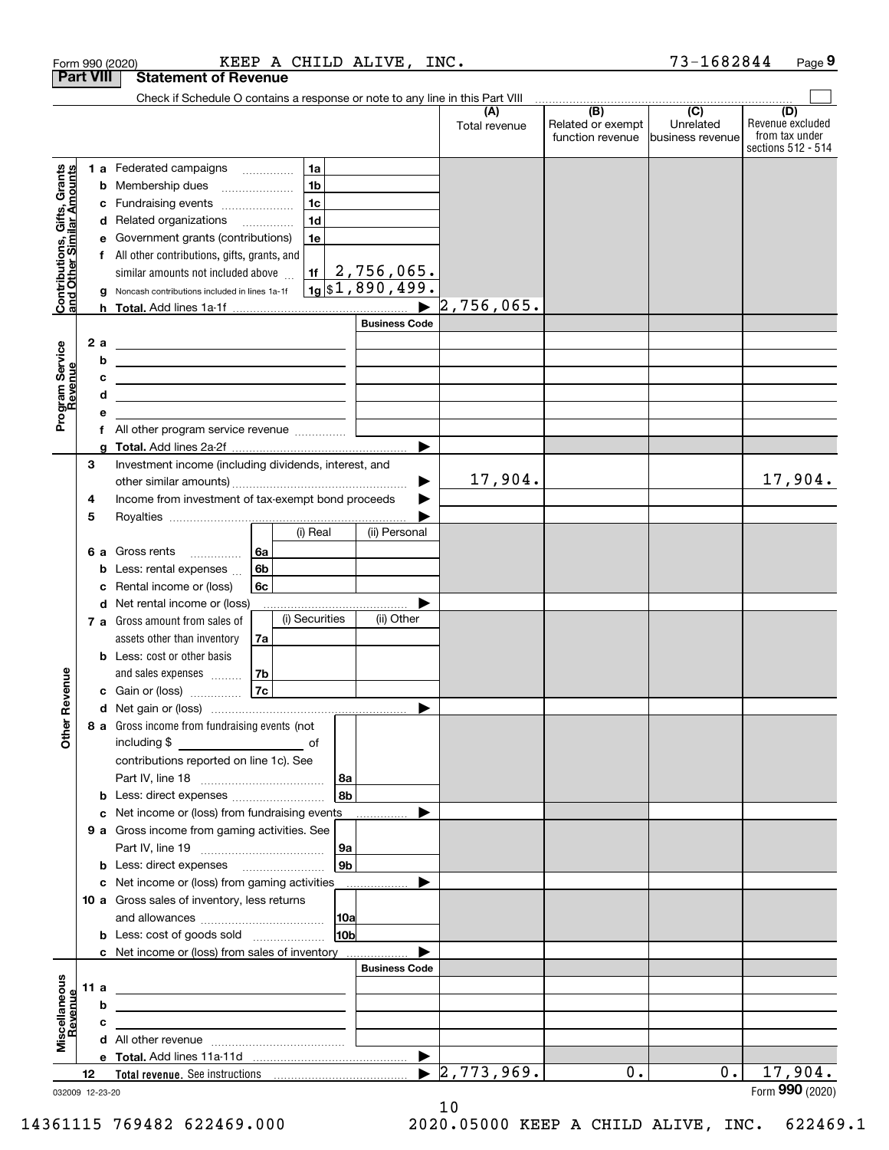| <b>Part VIII</b><br><b>Statement of Revenue</b><br>Check if Schedule O contains a response or note to any line in this Part VIII<br>(B)<br>$\overline{C}$<br>(A)<br>(D)<br>Unrelated<br>Related or exempt<br>Total revenue<br>from tax under<br>function revenue<br>Ibusiness revenue<br>sections 512 - 514<br>Contributions, Gifts, Grants<br>and Other Similar Amounts<br>1 a Federated campaigns<br>1a<br>1 <sub>b</sub><br><b>b</b> Membership dues<br>$\ldots \ldots \ldots \ldots \ldots$<br>1 <sub>c</sub><br>Fundraising events<br>с<br>1 <sub>d</sub><br>d Related organizations<br>e Government grants (contributions)<br>1e<br>f All other contributions, gifts, grants, and<br>2,756,065.<br>similar amounts not included above<br>1f<br>$1g$ \$1,890,499.<br>Noncash contributions included in lines 1a-1f<br>$\blacktriangleright$ 2,756,065.<br><b>Business Code</b><br>2 a<br>Program Service<br>Revenue<br><u> 1989 - Johann Stein, mars an deus Amerikaansk kommunister (</u><br>b<br><u> 1989 - Johann John Stein, markin fizikar (</u><br>c<br><u> 1989 - Johann Barbara, martxa alemaniar amerikan personal (h. 1989).</u><br>d<br><u> 1989 - Johann Barbara, martxa alemaniar a</u><br>е<br>All other program service revenue<br>f<br>a<br>Investment income (including dividends, interest, and<br>3<br>17,904.<br>17,904.<br>Income from investment of tax-exempt bond proceeds<br>4<br>5<br>(i) Real<br>(ii) Personal<br>6a<br>6 a Gross rents<br>.<br>6b<br>Less: rental expenses<br>b<br>6c<br>Rental income or (loss)<br>с<br>d Net rental income or (loss)<br>(i) Securities<br>(ii) Other<br>7 a Gross amount from sales of<br>assets other than inventory<br>7a<br><b>b</b> Less: cost or other basis<br>venue<br>and sales expenses<br>7b<br>7c<br>c Gain or (loss)<br>Other Re<br>8 a Gross income from fundraising events (not<br>including \$<br>contributions reported on line 1c). See<br>  8a<br>l 8b<br><b>b</b> Less: direct expenses<br>Net income or (loss) from fundraising events<br>c<br>.<br>9 a Gross income from gaming activities. See<br>9a<br>l 9b<br>c Net income or (loss) from gaming activities<br>.<br>10 a Gross sales of inventory, less returns<br>10a<br>10b<br><b>b</b> Less: cost of goods sold<br>c Net income or (loss) from sales of inventory<br><b>Business Code</b><br>Miscellaneous<br>Revenue<br>11 a<br>b<br>с<br>▶<br>$\blacktriangleright$ 2,773,969.<br>0.<br>0.1<br>17,904.<br>12<br>032009 12-23-20 |  | KEEP A CHILD ALIVE, INC.<br>Form 990 (2020) |  |  | 73-1682844 | Page 9           |
|---------------------------------------------------------------------------------------------------------------------------------------------------------------------------------------------------------------------------------------------------------------------------------------------------------------------------------------------------------------------------------------------------------------------------------------------------------------------------------------------------------------------------------------------------------------------------------------------------------------------------------------------------------------------------------------------------------------------------------------------------------------------------------------------------------------------------------------------------------------------------------------------------------------------------------------------------------------------------------------------------------------------------------------------------------------------------------------------------------------------------------------------------------------------------------------------------------------------------------------------------------------------------------------------------------------------------------------------------------------------------------------------------------------------------------------------------------------------------------------------------------------------------------------------------------------------------------------------------------------------------------------------------------------------------------------------------------------------------------------------------------------------------------------------------------------------------------------------------------------------------------------------------------------------------------------------------------------------------------------------------------------------------------------------------------------------------------------------------------------------------------------------------------------------------------------------------------------------------------------------------------------------------------------------------------------------------------------------------------------------------------------------------------------------------------------------------------------------------------|--|---------------------------------------------|--|--|------------|------------------|
|                                                                                                                                                                                                                                                                                                                                                                                                                                                                                                                                                                                                                                                                                                                                                                                                                                                                                                                                                                                                                                                                                                                                                                                                                                                                                                                                                                                                                                                                                                                                                                                                                                                                                                                                                                                                                                                                                                                                                                                                                                                                                                                                                                                                                                                                                                                                                                                                                                                                                 |  |                                             |  |  |            |                  |
|                                                                                                                                                                                                                                                                                                                                                                                                                                                                                                                                                                                                                                                                                                                                                                                                                                                                                                                                                                                                                                                                                                                                                                                                                                                                                                                                                                                                                                                                                                                                                                                                                                                                                                                                                                                                                                                                                                                                                                                                                                                                                                                                                                                                                                                                                                                                                                                                                                                                                 |  |                                             |  |  |            |                  |
|                                                                                                                                                                                                                                                                                                                                                                                                                                                                                                                                                                                                                                                                                                                                                                                                                                                                                                                                                                                                                                                                                                                                                                                                                                                                                                                                                                                                                                                                                                                                                                                                                                                                                                                                                                                                                                                                                                                                                                                                                                                                                                                                                                                                                                                                                                                                                                                                                                                                                 |  |                                             |  |  |            | Revenue excluded |
|                                                                                                                                                                                                                                                                                                                                                                                                                                                                                                                                                                                                                                                                                                                                                                                                                                                                                                                                                                                                                                                                                                                                                                                                                                                                                                                                                                                                                                                                                                                                                                                                                                                                                                                                                                                                                                                                                                                                                                                                                                                                                                                                                                                                                                                                                                                                                                                                                                                                                 |  |                                             |  |  |            |                  |
|                                                                                                                                                                                                                                                                                                                                                                                                                                                                                                                                                                                                                                                                                                                                                                                                                                                                                                                                                                                                                                                                                                                                                                                                                                                                                                                                                                                                                                                                                                                                                                                                                                                                                                                                                                                                                                                                                                                                                                                                                                                                                                                                                                                                                                                                                                                                                                                                                                                                                 |  |                                             |  |  |            |                  |
|                                                                                                                                                                                                                                                                                                                                                                                                                                                                                                                                                                                                                                                                                                                                                                                                                                                                                                                                                                                                                                                                                                                                                                                                                                                                                                                                                                                                                                                                                                                                                                                                                                                                                                                                                                                                                                                                                                                                                                                                                                                                                                                                                                                                                                                                                                                                                                                                                                                                                 |  |                                             |  |  |            |                  |
|                                                                                                                                                                                                                                                                                                                                                                                                                                                                                                                                                                                                                                                                                                                                                                                                                                                                                                                                                                                                                                                                                                                                                                                                                                                                                                                                                                                                                                                                                                                                                                                                                                                                                                                                                                                                                                                                                                                                                                                                                                                                                                                                                                                                                                                                                                                                                                                                                                                                                 |  |                                             |  |  |            |                  |
|                                                                                                                                                                                                                                                                                                                                                                                                                                                                                                                                                                                                                                                                                                                                                                                                                                                                                                                                                                                                                                                                                                                                                                                                                                                                                                                                                                                                                                                                                                                                                                                                                                                                                                                                                                                                                                                                                                                                                                                                                                                                                                                                                                                                                                                                                                                                                                                                                                                                                 |  |                                             |  |  |            |                  |
|                                                                                                                                                                                                                                                                                                                                                                                                                                                                                                                                                                                                                                                                                                                                                                                                                                                                                                                                                                                                                                                                                                                                                                                                                                                                                                                                                                                                                                                                                                                                                                                                                                                                                                                                                                                                                                                                                                                                                                                                                                                                                                                                                                                                                                                                                                                                                                                                                                                                                 |  |                                             |  |  |            |                  |
|                                                                                                                                                                                                                                                                                                                                                                                                                                                                                                                                                                                                                                                                                                                                                                                                                                                                                                                                                                                                                                                                                                                                                                                                                                                                                                                                                                                                                                                                                                                                                                                                                                                                                                                                                                                                                                                                                                                                                                                                                                                                                                                                                                                                                                                                                                                                                                                                                                                                                 |  |                                             |  |  |            |                  |
|                                                                                                                                                                                                                                                                                                                                                                                                                                                                                                                                                                                                                                                                                                                                                                                                                                                                                                                                                                                                                                                                                                                                                                                                                                                                                                                                                                                                                                                                                                                                                                                                                                                                                                                                                                                                                                                                                                                                                                                                                                                                                                                                                                                                                                                                                                                                                                                                                                                                                 |  |                                             |  |  |            |                  |
|                                                                                                                                                                                                                                                                                                                                                                                                                                                                                                                                                                                                                                                                                                                                                                                                                                                                                                                                                                                                                                                                                                                                                                                                                                                                                                                                                                                                                                                                                                                                                                                                                                                                                                                                                                                                                                                                                                                                                                                                                                                                                                                                                                                                                                                                                                                                                                                                                                                                                 |  |                                             |  |  |            |                  |
|                                                                                                                                                                                                                                                                                                                                                                                                                                                                                                                                                                                                                                                                                                                                                                                                                                                                                                                                                                                                                                                                                                                                                                                                                                                                                                                                                                                                                                                                                                                                                                                                                                                                                                                                                                                                                                                                                                                                                                                                                                                                                                                                                                                                                                                                                                                                                                                                                                                                                 |  |                                             |  |  |            |                  |
|                                                                                                                                                                                                                                                                                                                                                                                                                                                                                                                                                                                                                                                                                                                                                                                                                                                                                                                                                                                                                                                                                                                                                                                                                                                                                                                                                                                                                                                                                                                                                                                                                                                                                                                                                                                                                                                                                                                                                                                                                                                                                                                                                                                                                                                                                                                                                                                                                                                                                 |  |                                             |  |  |            |                  |
|                                                                                                                                                                                                                                                                                                                                                                                                                                                                                                                                                                                                                                                                                                                                                                                                                                                                                                                                                                                                                                                                                                                                                                                                                                                                                                                                                                                                                                                                                                                                                                                                                                                                                                                                                                                                                                                                                                                                                                                                                                                                                                                                                                                                                                                                                                                                                                                                                                                                                 |  |                                             |  |  |            |                  |
|                                                                                                                                                                                                                                                                                                                                                                                                                                                                                                                                                                                                                                                                                                                                                                                                                                                                                                                                                                                                                                                                                                                                                                                                                                                                                                                                                                                                                                                                                                                                                                                                                                                                                                                                                                                                                                                                                                                                                                                                                                                                                                                                                                                                                                                                                                                                                                                                                                                                                 |  |                                             |  |  |            |                  |
|                                                                                                                                                                                                                                                                                                                                                                                                                                                                                                                                                                                                                                                                                                                                                                                                                                                                                                                                                                                                                                                                                                                                                                                                                                                                                                                                                                                                                                                                                                                                                                                                                                                                                                                                                                                                                                                                                                                                                                                                                                                                                                                                                                                                                                                                                                                                                                                                                                                                                 |  |                                             |  |  |            |                  |
|                                                                                                                                                                                                                                                                                                                                                                                                                                                                                                                                                                                                                                                                                                                                                                                                                                                                                                                                                                                                                                                                                                                                                                                                                                                                                                                                                                                                                                                                                                                                                                                                                                                                                                                                                                                                                                                                                                                                                                                                                                                                                                                                                                                                                                                                                                                                                                                                                                                                                 |  |                                             |  |  |            |                  |
|                                                                                                                                                                                                                                                                                                                                                                                                                                                                                                                                                                                                                                                                                                                                                                                                                                                                                                                                                                                                                                                                                                                                                                                                                                                                                                                                                                                                                                                                                                                                                                                                                                                                                                                                                                                                                                                                                                                                                                                                                                                                                                                                                                                                                                                                                                                                                                                                                                                                                 |  |                                             |  |  |            |                  |
|                                                                                                                                                                                                                                                                                                                                                                                                                                                                                                                                                                                                                                                                                                                                                                                                                                                                                                                                                                                                                                                                                                                                                                                                                                                                                                                                                                                                                                                                                                                                                                                                                                                                                                                                                                                                                                                                                                                                                                                                                                                                                                                                                                                                                                                                                                                                                                                                                                                                                 |  |                                             |  |  |            |                  |
|                                                                                                                                                                                                                                                                                                                                                                                                                                                                                                                                                                                                                                                                                                                                                                                                                                                                                                                                                                                                                                                                                                                                                                                                                                                                                                                                                                                                                                                                                                                                                                                                                                                                                                                                                                                                                                                                                                                                                                                                                                                                                                                                                                                                                                                                                                                                                                                                                                                                                 |  |                                             |  |  |            |                  |
|                                                                                                                                                                                                                                                                                                                                                                                                                                                                                                                                                                                                                                                                                                                                                                                                                                                                                                                                                                                                                                                                                                                                                                                                                                                                                                                                                                                                                                                                                                                                                                                                                                                                                                                                                                                                                                                                                                                                                                                                                                                                                                                                                                                                                                                                                                                                                                                                                                                                                 |  |                                             |  |  |            |                  |
|                                                                                                                                                                                                                                                                                                                                                                                                                                                                                                                                                                                                                                                                                                                                                                                                                                                                                                                                                                                                                                                                                                                                                                                                                                                                                                                                                                                                                                                                                                                                                                                                                                                                                                                                                                                                                                                                                                                                                                                                                                                                                                                                                                                                                                                                                                                                                                                                                                                                                 |  |                                             |  |  |            |                  |
|                                                                                                                                                                                                                                                                                                                                                                                                                                                                                                                                                                                                                                                                                                                                                                                                                                                                                                                                                                                                                                                                                                                                                                                                                                                                                                                                                                                                                                                                                                                                                                                                                                                                                                                                                                                                                                                                                                                                                                                                                                                                                                                                                                                                                                                                                                                                                                                                                                                                                 |  |                                             |  |  |            |                  |
|                                                                                                                                                                                                                                                                                                                                                                                                                                                                                                                                                                                                                                                                                                                                                                                                                                                                                                                                                                                                                                                                                                                                                                                                                                                                                                                                                                                                                                                                                                                                                                                                                                                                                                                                                                                                                                                                                                                                                                                                                                                                                                                                                                                                                                                                                                                                                                                                                                                                                 |  |                                             |  |  |            |                  |
|                                                                                                                                                                                                                                                                                                                                                                                                                                                                                                                                                                                                                                                                                                                                                                                                                                                                                                                                                                                                                                                                                                                                                                                                                                                                                                                                                                                                                                                                                                                                                                                                                                                                                                                                                                                                                                                                                                                                                                                                                                                                                                                                                                                                                                                                                                                                                                                                                                                                                 |  |                                             |  |  |            |                  |
|                                                                                                                                                                                                                                                                                                                                                                                                                                                                                                                                                                                                                                                                                                                                                                                                                                                                                                                                                                                                                                                                                                                                                                                                                                                                                                                                                                                                                                                                                                                                                                                                                                                                                                                                                                                                                                                                                                                                                                                                                                                                                                                                                                                                                                                                                                                                                                                                                                                                                 |  |                                             |  |  |            |                  |
|                                                                                                                                                                                                                                                                                                                                                                                                                                                                                                                                                                                                                                                                                                                                                                                                                                                                                                                                                                                                                                                                                                                                                                                                                                                                                                                                                                                                                                                                                                                                                                                                                                                                                                                                                                                                                                                                                                                                                                                                                                                                                                                                                                                                                                                                                                                                                                                                                                                                                 |  |                                             |  |  |            |                  |
|                                                                                                                                                                                                                                                                                                                                                                                                                                                                                                                                                                                                                                                                                                                                                                                                                                                                                                                                                                                                                                                                                                                                                                                                                                                                                                                                                                                                                                                                                                                                                                                                                                                                                                                                                                                                                                                                                                                                                                                                                                                                                                                                                                                                                                                                                                                                                                                                                                                                                 |  |                                             |  |  |            |                  |
|                                                                                                                                                                                                                                                                                                                                                                                                                                                                                                                                                                                                                                                                                                                                                                                                                                                                                                                                                                                                                                                                                                                                                                                                                                                                                                                                                                                                                                                                                                                                                                                                                                                                                                                                                                                                                                                                                                                                                                                                                                                                                                                                                                                                                                                                                                                                                                                                                                                                                 |  |                                             |  |  |            |                  |
|                                                                                                                                                                                                                                                                                                                                                                                                                                                                                                                                                                                                                                                                                                                                                                                                                                                                                                                                                                                                                                                                                                                                                                                                                                                                                                                                                                                                                                                                                                                                                                                                                                                                                                                                                                                                                                                                                                                                                                                                                                                                                                                                                                                                                                                                                                                                                                                                                                                                                 |  |                                             |  |  |            |                  |
|                                                                                                                                                                                                                                                                                                                                                                                                                                                                                                                                                                                                                                                                                                                                                                                                                                                                                                                                                                                                                                                                                                                                                                                                                                                                                                                                                                                                                                                                                                                                                                                                                                                                                                                                                                                                                                                                                                                                                                                                                                                                                                                                                                                                                                                                                                                                                                                                                                                                                 |  |                                             |  |  |            |                  |
|                                                                                                                                                                                                                                                                                                                                                                                                                                                                                                                                                                                                                                                                                                                                                                                                                                                                                                                                                                                                                                                                                                                                                                                                                                                                                                                                                                                                                                                                                                                                                                                                                                                                                                                                                                                                                                                                                                                                                                                                                                                                                                                                                                                                                                                                                                                                                                                                                                                                                 |  |                                             |  |  |            |                  |
|                                                                                                                                                                                                                                                                                                                                                                                                                                                                                                                                                                                                                                                                                                                                                                                                                                                                                                                                                                                                                                                                                                                                                                                                                                                                                                                                                                                                                                                                                                                                                                                                                                                                                                                                                                                                                                                                                                                                                                                                                                                                                                                                                                                                                                                                                                                                                                                                                                                                                 |  |                                             |  |  |            |                  |
|                                                                                                                                                                                                                                                                                                                                                                                                                                                                                                                                                                                                                                                                                                                                                                                                                                                                                                                                                                                                                                                                                                                                                                                                                                                                                                                                                                                                                                                                                                                                                                                                                                                                                                                                                                                                                                                                                                                                                                                                                                                                                                                                                                                                                                                                                                                                                                                                                                                                                 |  |                                             |  |  |            |                  |
|                                                                                                                                                                                                                                                                                                                                                                                                                                                                                                                                                                                                                                                                                                                                                                                                                                                                                                                                                                                                                                                                                                                                                                                                                                                                                                                                                                                                                                                                                                                                                                                                                                                                                                                                                                                                                                                                                                                                                                                                                                                                                                                                                                                                                                                                                                                                                                                                                                                                                 |  |                                             |  |  |            |                  |
|                                                                                                                                                                                                                                                                                                                                                                                                                                                                                                                                                                                                                                                                                                                                                                                                                                                                                                                                                                                                                                                                                                                                                                                                                                                                                                                                                                                                                                                                                                                                                                                                                                                                                                                                                                                                                                                                                                                                                                                                                                                                                                                                                                                                                                                                                                                                                                                                                                                                                 |  |                                             |  |  |            |                  |
|                                                                                                                                                                                                                                                                                                                                                                                                                                                                                                                                                                                                                                                                                                                                                                                                                                                                                                                                                                                                                                                                                                                                                                                                                                                                                                                                                                                                                                                                                                                                                                                                                                                                                                                                                                                                                                                                                                                                                                                                                                                                                                                                                                                                                                                                                                                                                                                                                                                                                 |  |                                             |  |  |            |                  |
|                                                                                                                                                                                                                                                                                                                                                                                                                                                                                                                                                                                                                                                                                                                                                                                                                                                                                                                                                                                                                                                                                                                                                                                                                                                                                                                                                                                                                                                                                                                                                                                                                                                                                                                                                                                                                                                                                                                                                                                                                                                                                                                                                                                                                                                                                                                                                                                                                                                                                 |  |                                             |  |  |            |                  |
|                                                                                                                                                                                                                                                                                                                                                                                                                                                                                                                                                                                                                                                                                                                                                                                                                                                                                                                                                                                                                                                                                                                                                                                                                                                                                                                                                                                                                                                                                                                                                                                                                                                                                                                                                                                                                                                                                                                                                                                                                                                                                                                                                                                                                                                                                                                                                                                                                                                                                 |  |                                             |  |  |            |                  |
|                                                                                                                                                                                                                                                                                                                                                                                                                                                                                                                                                                                                                                                                                                                                                                                                                                                                                                                                                                                                                                                                                                                                                                                                                                                                                                                                                                                                                                                                                                                                                                                                                                                                                                                                                                                                                                                                                                                                                                                                                                                                                                                                                                                                                                                                                                                                                                                                                                                                                 |  |                                             |  |  |            |                  |
|                                                                                                                                                                                                                                                                                                                                                                                                                                                                                                                                                                                                                                                                                                                                                                                                                                                                                                                                                                                                                                                                                                                                                                                                                                                                                                                                                                                                                                                                                                                                                                                                                                                                                                                                                                                                                                                                                                                                                                                                                                                                                                                                                                                                                                                                                                                                                                                                                                                                                 |  |                                             |  |  |            |                  |
|                                                                                                                                                                                                                                                                                                                                                                                                                                                                                                                                                                                                                                                                                                                                                                                                                                                                                                                                                                                                                                                                                                                                                                                                                                                                                                                                                                                                                                                                                                                                                                                                                                                                                                                                                                                                                                                                                                                                                                                                                                                                                                                                                                                                                                                                                                                                                                                                                                                                                 |  |                                             |  |  |            |                  |
|                                                                                                                                                                                                                                                                                                                                                                                                                                                                                                                                                                                                                                                                                                                                                                                                                                                                                                                                                                                                                                                                                                                                                                                                                                                                                                                                                                                                                                                                                                                                                                                                                                                                                                                                                                                                                                                                                                                                                                                                                                                                                                                                                                                                                                                                                                                                                                                                                                                                                 |  |                                             |  |  |            |                  |
|                                                                                                                                                                                                                                                                                                                                                                                                                                                                                                                                                                                                                                                                                                                                                                                                                                                                                                                                                                                                                                                                                                                                                                                                                                                                                                                                                                                                                                                                                                                                                                                                                                                                                                                                                                                                                                                                                                                                                                                                                                                                                                                                                                                                                                                                                                                                                                                                                                                                                 |  |                                             |  |  |            |                  |
|                                                                                                                                                                                                                                                                                                                                                                                                                                                                                                                                                                                                                                                                                                                                                                                                                                                                                                                                                                                                                                                                                                                                                                                                                                                                                                                                                                                                                                                                                                                                                                                                                                                                                                                                                                                                                                                                                                                                                                                                                                                                                                                                                                                                                                                                                                                                                                                                                                                                                 |  |                                             |  |  |            |                  |
|                                                                                                                                                                                                                                                                                                                                                                                                                                                                                                                                                                                                                                                                                                                                                                                                                                                                                                                                                                                                                                                                                                                                                                                                                                                                                                                                                                                                                                                                                                                                                                                                                                                                                                                                                                                                                                                                                                                                                                                                                                                                                                                                                                                                                                                                                                                                                                                                                                                                                 |  |                                             |  |  |            |                  |
|                                                                                                                                                                                                                                                                                                                                                                                                                                                                                                                                                                                                                                                                                                                                                                                                                                                                                                                                                                                                                                                                                                                                                                                                                                                                                                                                                                                                                                                                                                                                                                                                                                                                                                                                                                                                                                                                                                                                                                                                                                                                                                                                                                                                                                                                                                                                                                                                                                                                                 |  |                                             |  |  |            |                  |
|                                                                                                                                                                                                                                                                                                                                                                                                                                                                                                                                                                                                                                                                                                                                                                                                                                                                                                                                                                                                                                                                                                                                                                                                                                                                                                                                                                                                                                                                                                                                                                                                                                                                                                                                                                                                                                                                                                                                                                                                                                                                                                                                                                                                                                                                                                                                                                                                                                                                                 |  |                                             |  |  |            |                  |
|                                                                                                                                                                                                                                                                                                                                                                                                                                                                                                                                                                                                                                                                                                                                                                                                                                                                                                                                                                                                                                                                                                                                                                                                                                                                                                                                                                                                                                                                                                                                                                                                                                                                                                                                                                                                                                                                                                                                                                                                                                                                                                                                                                                                                                                                                                                                                                                                                                                                                 |  |                                             |  |  |            |                  |
|                                                                                                                                                                                                                                                                                                                                                                                                                                                                                                                                                                                                                                                                                                                                                                                                                                                                                                                                                                                                                                                                                                                                                                                                                                                                                                                                                                                                                                                                                                                                                                                                                                                                                                                                                                                                                                                                                                                                                                                                                                                                                                                                                                                                                                                                                                                                                                                                                                                                                 |  |                                             |  |  |            |                  |
|                                                                                                                                                                                                                                                                                                                                                                                                                                                                                                                                                                                                                                                                                                                                                                                                                                                                                                                                                                                                                                                                                                                                                                                                                                                                                                                                                                                                                                                                                                                                                                                                                                                                                                                                                                                                                                                                                                                                                                                                                                                                                                                                                                                                                                                                                                                                                                                                                                                                                 |  |                                             |  |  |            |                  |
|                                                                                                                                                                                                                                                                                                                                                                                                                                                                                                                                                                                                                                                                                                                                                                                                                                                                                                                                                                                                                                                                                                                                                                                                                                                                                                                                                                                                                                                                                                                                                                                                                                                                                                                                                                                                                                                                                                                                                                                                                                                                                                                                                                                                                                                                                                                                                                                                                                                                                 |  |                                             |  |  |            |                  |
|                                                                                                                                                                                                                                                                                                                                                                                                                                                                                                                                                                                                                                                                                                                                                                                                                                                                                                                                                                                                                                                                                                                                                                                                                                                                                                                                                                                                                                                                                                                                                                                                                                                                                                                                                                                                                                                                                                                                                                                                                                                                                                                                                                                                                                                                                                                                                                                                                                                                                 |  |                                             |  |  |            |                  |
|                                                                                                                                                                                                                                                                                                                                                                                                                                                                                                                                                                                                                                                                                                                                                                                                                                                                                                                                                                                                                                                                                                                                                                                                                                                                                                                                                                                                                                                                                                                                                                                                                                                                                                                                                                                                                                                                                                                                                                                                                                                                                                                                                                                                                                                                                                                                                                                                                                                                                 |  |                                             |  |  |            | Form 990 (2020)  |

10

14361115 769482 622469.000 2020.05000 KEEP A CHILD ALIVE, INC. 622469.1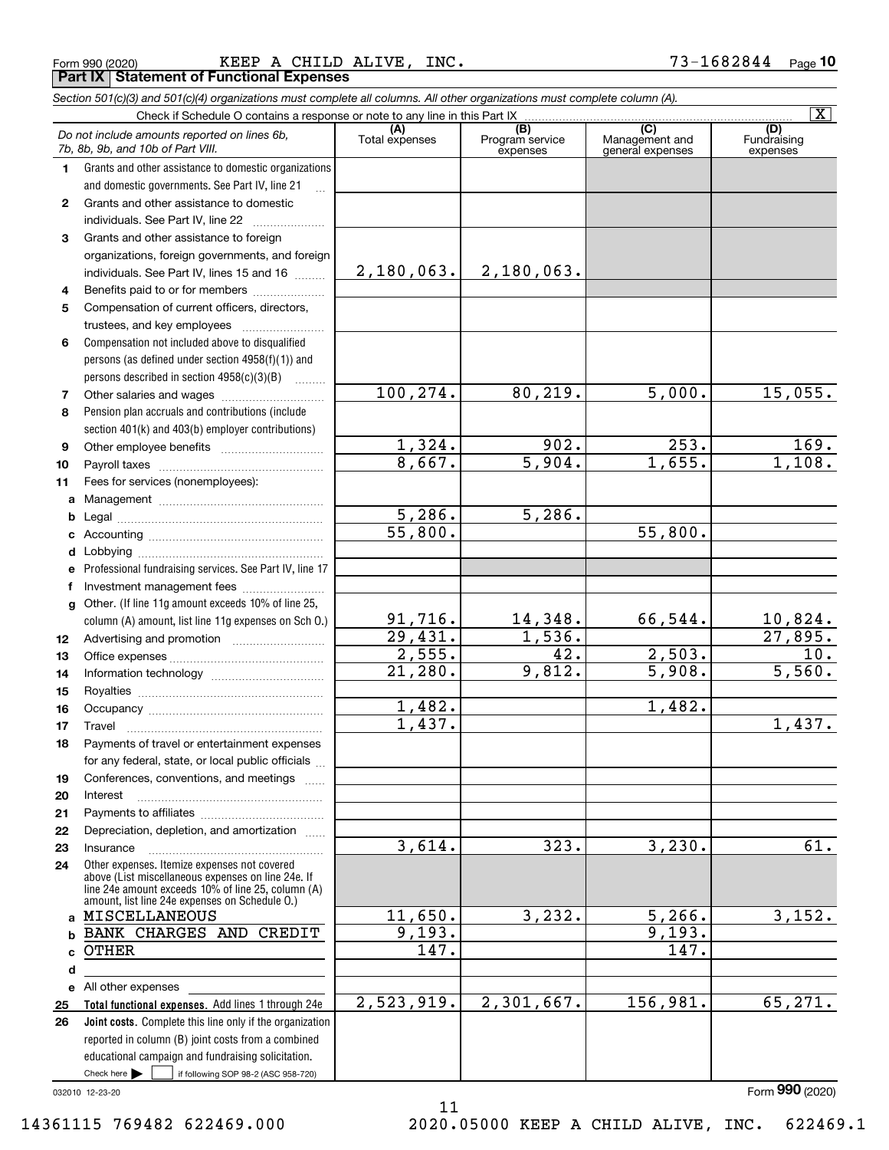|  | Form 990 (2020) |
|--|-----------------|
|  |                 |

Form 990 (2020) Page **Part IX Statement of Functional Expenses** KEEP A CHILD ALIVE, INC.  $73-1682844$ 

*Section 501(c)(3) and 501(c)(4) organizations must complete all columns. All other organizations must complete column (A).*

|              |                                                                                                                                                                                                            |                       |                                                 |                                                      | $\overline{\mathbf{X}}$        |
|--------------|------------------------------------------------------------------------------------------------------------------------------------------------------------------------------------------------------------|-----------------------|-------------------------------------------------|------------------------------------------------------|--------------------------------|
|              | Do not include amounts reported on lines 6b,<br>7b, 8b, 9b, and 10b of Part VIII.                                                                                                                          | (A)<br>Total expenses | $\overline{(B)}$<br>Program service<br>expenses | $\overline{C}$<br>Management and<br>general expenses | (D)<br>Fundraising<br>expenses |
| 1.           | Grants and other assistance to domestic organizations                                                                                                                                                      |                       |                                                 |                                                      |                                |
|              | and domestic governments. See Part IV, line 21                                                                                                                                                             |                       |                                                 |                                                      |                                |
| $\mathbf{2}$ | Grants and other assistance to domestic                                                                                                                                                                    |                       |                                                 |                                                      |                                |
|              | individuals. See Part IV, line 22                                                                                                                                                                          |                       |                                                 |                                                      |                                |
| 3            | Grants and other assistance to foreign                                                                                                                                                                     |                       |                                                 |                                                      |                                |
|              | organizations, foreign governments, and foreign                                                                                                                                                            |                       |                                                 |                                                      |                                |
|              | individuals. See Part IV, lines 15 and 16                                                                                                                                                                  | 2,180,063.            | 2,180,063.                                      |                                                      |                                |
| 4            | Benefits paid to or for members                                                                                                                                                                            |                       |                                                 |                                                      |                                |
| 5            | Compensation of current officers, directors,                                                                                                                                                               |                       |                                                 |                                                      |                                |
|              |                                                                                                                                                                                                            |                       |                                                 |                                                      |                                |
| 6            | Compensation not included above to disqualified                                                                                                                                                            |                       |                                                 |                                                      |                                |
|              | persons (as defined under section 4958(f)(1)) and                                                                                                                                                          |                       |                                                 |                                                      |                                |
|              | persons described in section 4958(c)(3)(B)                                                                                                                                                                 |                       |                                                 |                                                      |                                |
| 7            |                                                                                                                                                                                                            | 100, 274.             | 80, 219.                                        | 5,000.                                               | 15,055.                        |
| 8            | Pension plan accruals and contributions (include                                                                                                                                                           |                       |                                                 |                                                      |                                |
|              | section 401(k) and 403(b) employer contributions)                                                                                                                                                          |                       |                                                 |                                                      |                                |
| 9            |                                                                                                                                                                                                            | 1,324.                | 902.                                            | $\overline{253}$ .                                   | 169.                           |
| 10           |                                                                                                                                                                                                            | 8,667.                | $\overline{5,904}$ .                            | 1,655.                                               | 1,108.                         |
| 11           | Fees for services (nonemployees):                                                                                                                                                                          |                       |                                                 |                                                      |                                |
|              |                                                                                                                                                                                                            |                       |                                                 |                                                      |                                |
| b            |                                                                                                                                                                                                            | 5,286.                | 5,286.                                          |                                                      |                                |
| c            |                                                                                                                                                                                                            | 55,800.               |                                                 | 55,800.                                              |                                |
| d            |                                                                                                                                                                                                            |                       |                                                 |                                                      |                                |
| е            | Professional fundraising services. See Part IV, line 17                                                                                                                                                    |                       |                                                 |                                                      |                                |
| f            | Investment management fees                                                                                                                                                                                 |                       |                                                 |                                                      |                                |
| g            | Other. (If line 11g amount exceeds 10% of line 25,                                                                                                                                                         |                       |                                                 |                                                      |                                |
|              | column (A) amount, list line 11g expenses on Sch 0.)                                                                                                                                                       | 91,716.               | 14,348.                                         | 66,544.                                              | $\frac{10,824}{27,895}$ .      |
| 12           |                                                                                                                                                                                                            | 29,431.               | 1,536.                                          |                                                      |                                |
| 13           |                                                                                                                                                                                                            | 2,555.                | $\overline{42}$ .                               | 2,503.                                               | 10.                            |
| 14           |                                                                                                                                                                                                            | 21,280.               | 9,812.                                          | 5,908.                                               | 5,560.                         |
| 15           |                                                                                                                                                                                                            |                       |                                                 |                                                      |                                |
| 16           |                                                                                                                                                                                                            | 1,482.                |                                                 | 1,482.                                               |                                |
| 17           |                                                                                                                                                                                                            | 1,437.                |                                                 |                                                      | 1,437.                         |
| 18           | Payments of travel or entertainment expenses                                                                                                                                                               |                       |                                                 |                                                      |                                |
|              | for any federal, state, or local public officials                                                                                                                                                          |                       |                                                 |                                                      |                                |
| 19           | Conferences, conventions, and meetings                                                                                                                                                                     |                       |                                                 |                                                      |                                |
| 20           | Interest                                                                                                                                                                                                   |                       |                                                 |                                                      |                                |
| 21           |                                                                                                                                                                                                            |                       |                                                 |                                                      |                                |
| 22           | Depreciation, depletion, and amortization                                                                                                                                                                  |                       |                                                 |                                                      |                                |
| 23           | Insurance                                                                                                                                                                                                  | 3,614.                | 323.                                            | 3,230.                                               | 61.                            |
| 24           | Other expenses. Itemize expenses not covered<br>above (List miscellaneous expenses on line 24e. If<br>line 24e amount exceeds 10% of line 25, column (A)<br>amount, list line 24e expenses on Schedule O.) |                       |                                                 |                                                      |                                |
|              | a MISCELLANEOUS                                                                                                                                                                                            | 11,650.               | 3, 232.                                         | 5, 266.                                              | 3,152.                         |
|              | <b>b BANK CHARGES AND CREDIT</b>                                                                                                                                                                           | 9,193.                |                                                 | 9,193.                                               |                                |
| c            | <b>OTHER</b>                                                                                                                                                                                               | $\overline{147}$ .    |                                                 | 147.                                                 |                                |
| d            |                                                                                                                                                                                                            |                       |                                                 |                                                      |                                |
|              | e All other expenses                                                                                                                                                                                       |                       |                                                 |                                                      |                                |
| 25           | Total functional expenses. Add lines 1 through 24e                                                                                                                                                         | 2,523,919.            | 2,301,667.                                      | 156,981.                                             | 65, 271.                       |
| 26           | Joint costs. Complete this line only if the organization                                                                                                                                                   |                       |                                                 |                                                      |                                |
|              | reported in column (B) joint costs from a combined                                                                                                                                                         |                       |                                                 |                                                      |                                |
|              | educational campaign and fundraising solicitation.                                                                                                                                                         |                       |                                                 |                                                      |                                |
|              | Check here $\blacktriangleright$<br>if following SOP 98-2 (ASC 958-720)                                                                                                                                    |                       |                                                 |                                                      |                                |

11

032010 12-23-20

Form (2020) **990**

14361115 769482 622469.000 2020.05000 KEEP A CHILD ALIVE, INC. 622469.1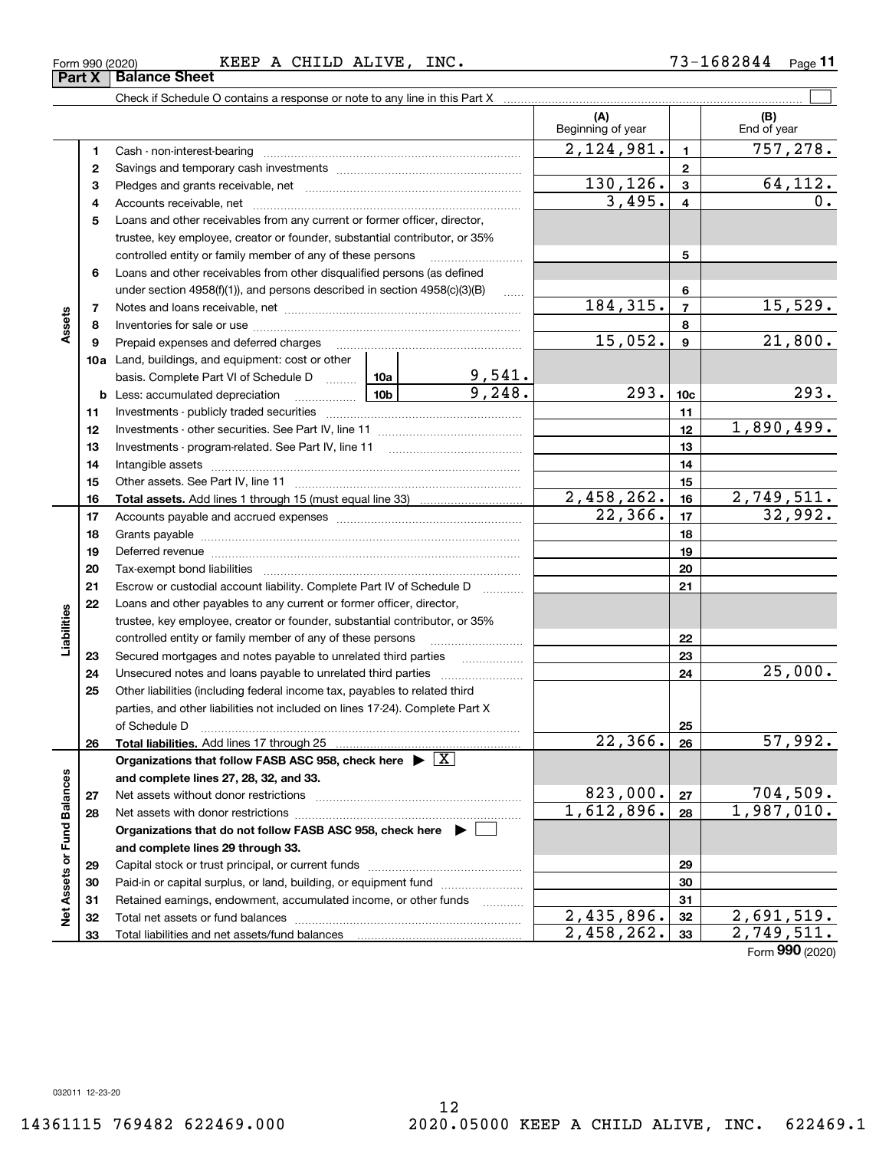**33**

Total liabilities and net assets/fund balances

**33**

 $2,458,262.$   $33$   $2,749,511.$ 

Form (2020) **990**

| Form 990 (2020)               |  |  |
|-------------------------------|--|--|
| <b>Part X   Balance Sheet</b> |  |  |

#### Form 990 (2020) KEEP A CHILD ALIVE, INC. 73-1682844 Page

Check if Schedule O contains a response or note to any line in this Part X

|                             |    |                                                                                                                                                                                                                                                                   |  |                          | (A)<br>Beginning of year   |                 | (B)<br>End of year            |
|-----------------------------|----|-------------------------------------------------------------------------------------------------------------------------------------------------------------------------------------------------------------------------------------------------------------------|--|--------------------------|----------------------------|-----------------|-------------------------------|
|                             | 1  |                                                                                                                                                                                                                                                                   |  |                          | 2,124,981.                 | $\mathbf{1}$    | 757,278.                      |
|                             | 2  |                                                                                                                                                                                                                                                                   |  |                          |                            | $\mathbf{2}$    |                               |
|                             | з  |                                                                                                                                                                                                                                                                   |  |                          | 130, 126.                  | $\mathbf{3}$    | 64, 112.                      |
|                             | 4  |                                                                                                                                                                                                                                                                   |  |                          | 3,495.                     | 4               | 0.                            |
|                             | 5  | Loans and other receivables from any current or former officer, director,                                                                                                                                                                                         |  |                          |                            |                 |                               |
|                             |    | trustee, key employee, creator or founder, substantial contributor, or 35%                                                                                                                                                                                        |  |                          |                            |                 |                               |
|                             |    | controlled entity or family member of any of these persons                                                                                                                                                                                                        |  | 5                        |                            |                 |                               |
|                             | 6  | Loans and other receivables from other disqualified persons (as defined                                                                                                                                                                                           |  |                          |                            |                 |                               |
|                             |    | under section $4958(f)(1)$ , and persons described in section $4958(c)(3)(B)$                                                                                                                                                                                     |  | $\sim$                   |                            | 6               |                               |
|                             | 7  |                                                                                                                                                                                                                                                                   |  |                          | 184, 315.                  | $\overline{7}$  | 15,529.                       |
| Assets                      | 8  |                                                                                                                                                                                                                                                                   |  |                          |                            | 8               |                               |
|                             | 9  | Prepaid expenses and deferred charges                                                                                                                                                                                                                             |  |                          | 15,052.                    | $\mathbf{9}$    | 21,800.                       |
|                             |    | 10a Land, buildings, and equipment: cost or other                                                                                                                                                                                                                 |  |                          |                            |                 |                               |
|                             |    |                                                                                                                                                                                                                                                                   |  |                          |                            |                 |                               |
|                             |    | basis. Complete Part VI of Schedule D $\begin{array}{ c c c c c }\n\hline\n10a & 9,541. \\ \hline\n\text{Less: accumulated depreciation} & 10b & 9,248. \\ \hline\n\end{array}$<br>$\begin{bmatrix} 10b \end{bmatrix}$<br><b>b</b> Less: accumulated depreciation |  |                          | 293.                       | 10 <sub>c</sub> | 293.                          |
|                             | 11 |                                                                                                                                                                                                                                                                   |  |                          |                            | 11              |                               |
|                             | 12 |                                                                                                                                                                                                                                                                   |  |                          |                            | 12              | 1,890,499.                    |
|                             | 13 |                                                                                                                                                                                                                                                                   |  |                          |                            | 13              |                               |
|                             | 14 |                                                                                                                                                                                                                                                                   |  |                          | 14                         |                 |                               |
|                             | 15 |                                                                                                                                                                                                                                                                   |  |                          |                            | 15              |                               |
|                             | 16 |                                                                                                                                                                                                                                                                   |  |                          | $\frac{2,458,262}{22,366}$ | 16              | <u>2,749,511.</u>             |
|                             | 17 |                                                                                                                                                                                                                                                                   |  |                          |                            | 17              | 32,992.                       |
|                             | 18 |                                                                                                                                                                                                                                                                   |  |                          |                            | 18              |                               |
|                             | 19 | Deferred revenue manual contracts and contracts are all the manual contracts and contracts are all the contracts of                                                                                                                                               |  | 19                       |                            |                 |                               |
|                             | 20 |                                                                                                                                                                                                                                                                   |  |                          |                            | 20              |                               |
|                             | 21 | Escrow or custodial account liability. Complete Part IV of Schedule D                                                                                                                                                                                             |  |                          |                            | 21              |                               |
|                             | 22 | Loans and other payables to any current or former officer, director,                                                                                                                                                                                              |  |                          |                            |                 |                               |
| Liabilities                 |    | trustee, key employee, creator or founder, substantial contributor, or 35%                                                                                                                                                                                        |  |                          |                            |                 |                               |
|                             |    | controlled entity or family member of any of these persons                                                                                                                                                                                                        |  |                          |                            | 22              |                               |
|                             | 23 | Secured mortgages and notes payable to unrelated third parties                                                                                                                                                                                                    |  | $\overline{\phantom{a}}$ |                            | 23              |                               |
|                             | 24 | Unsecured notes and loans payable to unrelated third parties                                                                                                                                                                                                      |  |                          |                            | 24              | 25,000.                       |
|                             | 25 | Other liabilities (including federal income tax, payables to related third                                                                                                                                                                                        |  |                          |                            |                 |                               |
|                             |    | parties, and other liabilities not included on lines 17-24). Complete Part X                                                                                                                                                                                      |  |                          |                            |                 |                               |
|                             |    | of Schedule D                                                                                                                                                                                                                                                     |  |                          |                            | 25              |                               |
|                             | 26 |                                                                                                                                                                                                                                                                   |  |                          | 22,366.                    | 26              | 57,992.                       |
|                             |    | Organizations that follow FASB ASC 958, check here $\blacktriangleright \boxed{\text{X}}$                                                                                                                                                                         |  |                          |                            |                 |                               |
|                             |    | and complete lines 27, 28, 32, and 33.                                                                                                                                                                                                                            |  |                          |                            |                 |                               |
|                             | 27 | Net assets without donor restrictions                                                                                                                                                                                                                             |  |                          | 823,000.<br>1,612,896.     | 27              | $\frac{704,509.}{1,987,010.}$ |
|                             | 28 | Net assets with donor restrictions                                                                                                                                                                                                                                |  |                          |                            | 28              |                               |
| Net Assets or Fund Balances |    | Organizations that do not follow FASB ASC 958, check here $\blacktriangleright$                                                                                                                                                                                   |  |                          |                            |                 |                               |
|                             |    | and complete lines 29 through 33.                                                                                                                                                                                                                                 |  |                          |                            | 29              |                               |
|                             | 29 | Paid-in or capital surplus, or land, building, or equipment fund                                                                                                                                                                                                  |  |                          |                            |                 |                               |
|                             | 30 |                                                                                                                                                                                                                                                                   |  |                          |                            | 30              |                               |
|                             | 31 | Retained earnings, endowment, accumulated income, or other funds                                                                                                                                                                                                  |  | $\cdots$                 | 2,435,896.                 | 31<br>32        | 2,691,519.                    |
|                             | 32 |                                                                                                                                                                                                                                                                   |  |                          |                            |                 |                               |

 $\mathcal{L}^{\text{max}}$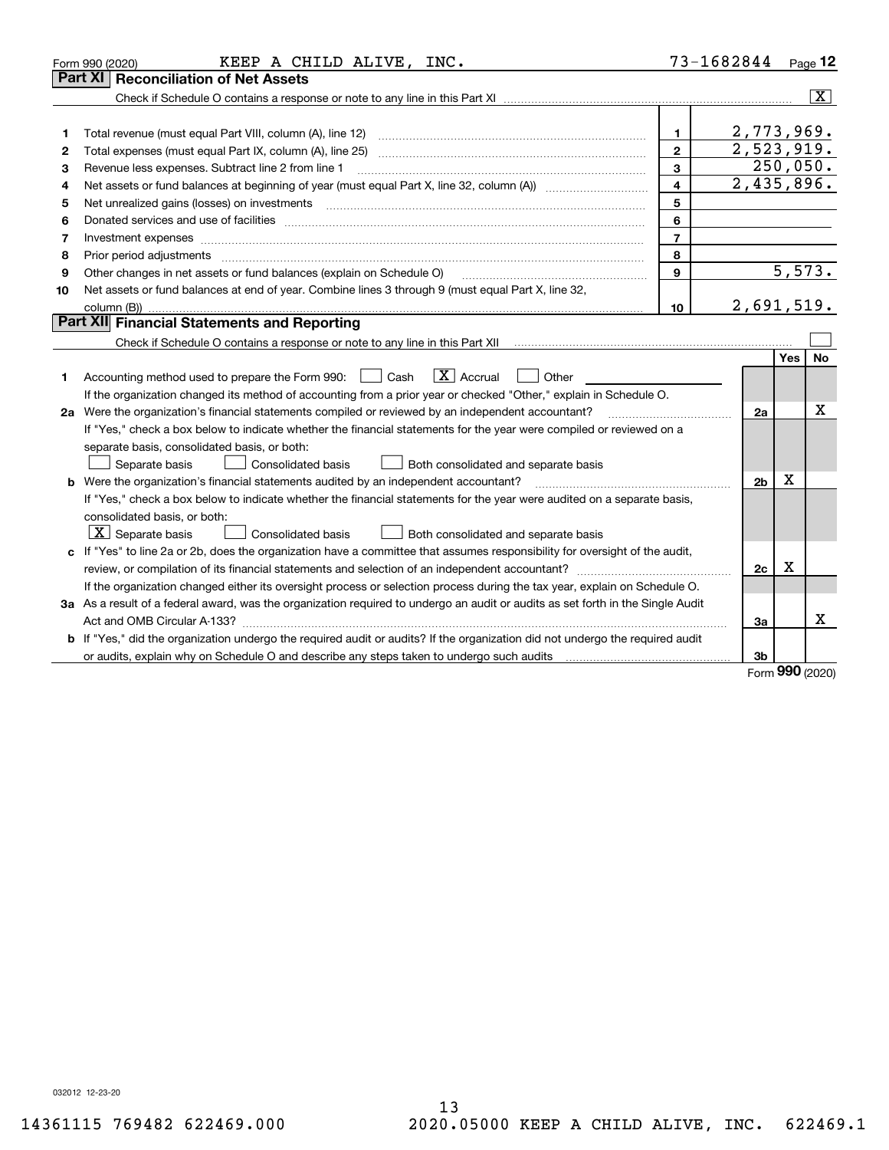|    | KEEP A CHILD ALIVE, INC.<br>Form 990 (2020)                                                                                                                                             | 73-1682844              |                |     | $_{\text{Page}}$ 12     |
|----|-----------------------------------------------------------------------------------------------------------------------------------------------------------------------------------------|-------------------------|----------------|-----|-------------------------|
|    | <b>Reconciliation of Net Assets</b><br>Part XI                                                                                                                                          |                         |                |     |                         |
|    |                                                                                                                                                                                         |                         |                |     | $\overline{\mathbf{x}}$ |
|    |                                                                                                                                                                                         |                         |                |     |                         |
| 1  | Total revenue (must equal Part VIII, column (A), line 12)                                                                                                                               | 1.                      | 2,773,969.     |     |                         |
| 2  |                                                                                                                                                                                         | $\mathbf{2}$            | 2,523,919.     |     |                         |
| 3  | Revenue less expenses. Subtract line 2 from line 1                                                                                                                                      | 3                       | 250,050.       |     |                         |
| 4  | Net assets or fund balances at beginning of year (must equal Part X, line 32, column (A)) <i>massets</i> or fund balances at beginning of year (must equal Part X, line 32, column (A)) | $\overline{\mathbf{4}}$ | 2,435,896.     |     |                         |
| 5  | Net unrealized gains (losses) on investments                                                                                                                                            | 5                       |                |     |                         |
| 6  |                                                                                                                                                                                         | 6                       |                |     |                         |
| 7  | Investment expenses www.communication.com/www.communication.com/www.communication.com/www.com                                                                                           | $\overline{7}$          |                |     |                         |
| 8  | Prior period adjustments                                                                                                                                                                | 8                       |                |     |                         |
| 9  | Other changes in net assets or fund balances (explain on Schedule O)                                                                                                                    | 9                       |                |     | 5,573.                  |
| 10 | Net assets or fund balances at end of year. Combine lines 3 through 9 (must equal Part X, line 32,                                                                                      |                         |                |     |                         |
|    |                                                                                                                                                                                         | 10                      | 2,691,519.     |     |                         |
|    | Part XII Financial Statements and Reporting                                                                                                                                             |                         |                |     |                         |
|    |                                                                                                                                                                                         |                         |                |     |                         |
|    |                                                                                                                                                                                         |                         |                | Yes | No                      |
| 1  | $\boxed{\mathbf{X}}$ Accrual<br>Accounting method used to prepare the Form 990: <u>June</u> Cash<br>Other                                                                               |                         |                |     |                         |
|    | If the organization changed its method of accounting from a prior year or checked "Other," explain in Schedule O.                                                                       |                         |                |     |                         |
|    | 2a Were the organization's financial statements compiled or reviewed by an independent accountant?                                                                                      |                         | 2a             |     | Χ                       |
|    | If "Yes," check a box below to indicate whether the financial statements for the year were compiled or reviewed on a                                                                    |                         |                |     |                         |
|    | separate basis, consolidated basis, or both:                                                                                                                                            |                         |                |     |                         |
|    | Separate basis<br><b>Consolidated basis</b><br>Both consolidated and separate basis                                                                                                     |                         |                |     |                         |
|    | <b>b</b> Were the organization's financial statements audited by an independent accountant?                                                                                             |                         | 2 <sub>b</sub> | х   |                         |
|    | If "Yes," check a box below to indicate whether the financial statements for the year were audited on a separate basis,                                                                 |                         |                |     |                         |
|    | consolidated basis, or both:                                                                                                                                                            |                         |                |     |                         |
|    | $\vert X \vert$ Separate basis<br>Consolidated basis<br>Both consolidated and separate basis                                                                                            |                         |                |     |                         |
|    | c If "Yes" to line 2a or 2b, does the organization have a committee that assumes responsibility for oversight of the audit,                                                             |                         |                |     |                         |
|    |                                                                                                                                                                                         |                         | 2c             | х   |                         |
|    | If the organization changed either its oversight process or selection process during the tax year, explain on Schedule O.                                                               |                         |                |     |                         |
|    | 3a As a result of a federal award, was the organization required to undergo an audit or audits as set forth in the Single Audit                                                         |                         |                |     |                         |
|    |                                                                                                                                                                                         |                         | 3a             |     | x                       |
|    | b If "Yes," did the organization undergo the required audit or audits? If the organization did not undergo the required audit                                                           |                         |                |     |                         |
|    |                                                                                                                                                                                         |                         | 3b             |     |                         |

Form (2020) **990**

032012 12-23-20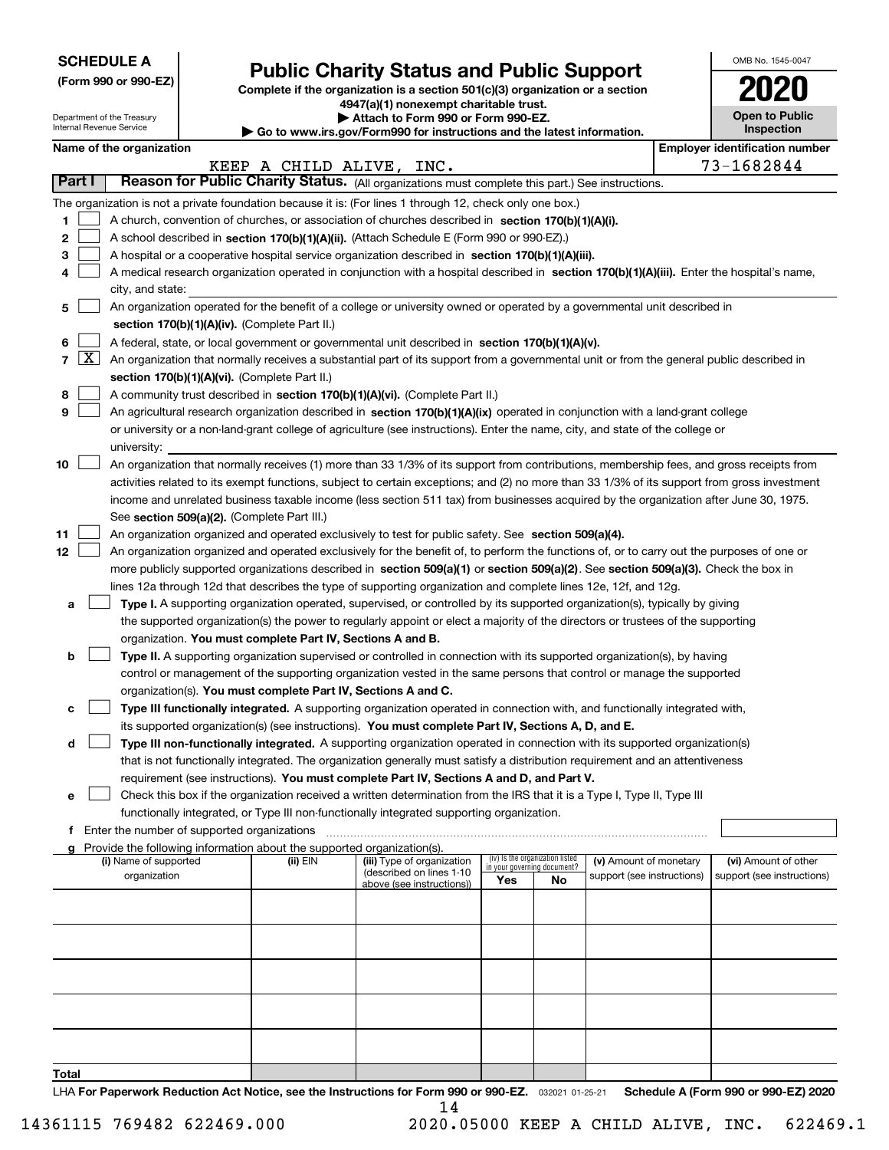| <b>SCHEDULE A</b> |
|-------------------|
|-------------------|

Department of the Treasury Internal Revenue Service

|  |  |  | (Form 990 or 990-EZ) |  |
|--|--|--|----------------------|--|
|--|--|--|----------------------|--|

# **Public Charity Status and Public Support**

**Complete if the organization is a section 501(c)(3) organization or a section 4947(a)(1) nonexempt charitable trust.**

| Attach to Form 990 or Form 990-EZ. |
|------------------------------------|
|                                    |

**| Go to www.irs.gov/Form990 for instructions and the latest information.**

| OMB No. 1545-0047                   |
|-------------------------------------|
| U20                                 |
| <b>Open to Public</b><br>Inspection |

|  | Name of the organization |
|--|--------------------------|
|--|--------------------------|

|  | lloyer identification numb |  |  |  |  |
|--|----------------------------|--|--|--|--|
|  |                            |  |  |  |  |

| Name of the organization<br><b>Employer identification number</b> |                                                                                                                                                                                                                                                      |                                                                                                                                              |                          |                            |                                    |                                 |                            |  |                            |  |  |
|-------------------------------------------------------------------|------------------------------------------------------------------------------------------------------------------------------------------------------------------------------------------------------------------------------------------------------|----------------------------------------------------------------------------------------------------------------------------------------------|--------------------------|----------------------------|------------------------------------|---------------------------------|----------------------------|--|----------------------------|--|--|
|                                                                   |                                                                                                                                                                                                                                                      |                                                                                                                                              | KEEP A CHILD ALIVE, INC. |                            |                                    |                                 |                            |  | 73-1682844                 |  |  |
|                                                                   | Part I                                                                                                                                                                                                                                               | Reason for Public Charity Status. (All organizations must complete this part.) See instructions.                                             |                          |                            |                                    |                                 |                            |  |                            |  |  |
|                                                                   |                                                                                                                                                                                                                                                      | The organization is not a private foundation because it is: (For lines 1 through 12, check only one box.)                                    |                          |                            |                                    |                                 |                            |  |                            |  |  |
| 1                                                                 |                                                                                                                                                                                                                                                      | A church, convention of churches, or association of churches described in section 170(b)(1)(A)(i).                                           |                          |                            |                                    |                                 |                            |  |                            |  |  |
| 2                                                                 |                                                                                                                                                                                                                                                      | A school described in section 170(b)(1)(A)(ii). (Attach Schedule E (Form 990 or 990-EZ).)                                                    |                          |                            |                                    |                                 |                            |  |                            |  |  |
| 3                                                                 |                                                                                                                                                                                                                                                      | A hospital or a cooperative hospital service organization described in section 170(b)(1)(A)(iii).                                            |                          |                            |                                    |                                 |                            |  |                            |  |  |
| 4                                                                 |                                                                                                                                                                                                                                                      | A medical research organization operated in conjunction with a hospital described in section 170(b)(1)(A)(iii). Enter the hospital's name,   |                          |                            |                                    |                                 |                            |  |                            |  |  |
|                                                                   |                                                                                                                                                                                                                                                      | city, and state:                                                                                                                             |                          |                            |                                    |                                 |                            |  |                            |  |  |
| 5                                                                 |                                                                                                                                                                                                                                                      | An organization operated for the benefit of a college or university owned or operated by a governmental unit described in                    |                          |                            |                                    |                                 |                            |  |                            |  |  |
|                                                                   | section 170(b)(1)(A)(iv). (Complete Part II.)                                                                                                                                                                                                        |                                                                                                                                              |                          |                            |                                    |                                 |                            |  |                            |  |  |
| 6                                                                 | A federal, state, or local government or governmental unit described in section 170(b)(1)(A)(v).                                                                                                                                                     |                                                                                                                                              |                          |                            |                                    |                                 |                            |  |                            |  |  |
| $\overline{7}$                                                    | $\lfloor x \rfloor$<br>An organization that normally receives a substantial part of its support from a governmental unit or from the general public described in                                                                                     |                                                                                                                                              |                          |                            |                                    |                                 |                            |  |                            |  |  |
|                                                                   | section 170(b)(1)(A)(vi). (Complete Part II.)                                                                                                                                                                                                        |                                                                                                                                              |                          |                            |                                    |                                 |                            |  |                            |  |  |
| 8                                                                 |                                                                                                                                                                                                                                                      | A community trust described in section 170(b)(1)(A)(vi). (Complete Part II.)                                                                 |                          |                            |                                    |                                 |                            |  |                            |  |  |
| 9                                                                 |                                                                                                                                                                                                                                                      | An agricultural research organization described in section 170(b)(1)(A)(ix) operated in conjunction with a land-grant college                |                          |                            |                                    |                                 |                            |  |                            |  |  |
|                                                                   |                                                                                                                                                                                                                                                      | or university or a non-land-grant college of agriculture (see instructions). Enter the name, city, and state of the college or               |                          |                            |                                    |                                 |                            |  |                            |  |  |
|                                                                   |                                                                                                                                                                                                                                                      | university:                                                                                                                                  |                          |                            |                                    |                                 |                            |  |                            |  |  |
| 10                                                                |                                                                                                                                                                                                                                                      | An organization that normally receives (1) more than 33 1/3% of its support from contributions, membership fees, and gross receipts from     |                          |                            |                                    |                                 |                            |  |                            |  |  |
|                                                                   |                                                                                                                                                                                                                                                      | activities related to its exempt functions, subject to certain exceptions; and (2) no more than 33 1/3% of its support from gross investment |                          |                            |                                    |                                 |                            |  |                            |  |  |
|                                                                   |                                                                                                                                                                                                                                                      | income and unrelated business taxable income (less section 511 tax) from businesses acquired by the organization after June 30, 1975.        |                          |                            |                                    |                                 |                            |  |                            |  |  |
|                                                                   |                                                                                                                                                                                                                                                      | See section 509(a)(2). (Complete Part III.)                                                                                                  |                          |                            |                                    |                                 |                            |  |                            |  |  |
| 11                                                                |                                                                                                                                                                                                                                                      | An organization organized and operated exclusively to test for public safety. See section 509(a)(4).                                         |                          |                            |                                    |                                 |                            |  |                            |  |  |
| 12                                                                |                                                                                                                                                                                                                                                      | An organization organized and operated exclusively for the benefit of, to perform the functions of, or to carry out the purposes of one or   |                          |                            |                                    |                                 |                            |  |                            |  |  |
|                                                                   |                                                                                                                                                                                                                                                      |                                                                                                                                              |                          |                            |                                    |                                 |                            |  |                            |  |  |
|                                                                   | more publicly supported organizations described in section 509(a)(1) or section 509(a)(2). See section 509(a)(3). Check the box in<br>lines 12a through 12d that describes the type of supporting organization and complete lines 12e, 12f, and 12g. |                                                                                                                                              |                          |                            |                                    |                                 |                            |  |                            |  |  |
| а                                                                 |                                                                                                                                                                                                                                                      | Type I. A supporting organization operated, supervised, or controlled by its supported organization(s), typically by giving                  |                          |                            |                                    |                                 |                            |  |                            |  |  |
|                                                                   |                                                                                                                                                                                                                                                      | the supported organization(s) the power to regularly appoint or elect a majority of the directors or trustees of the supporting              |                          |                            |                                    |                                 |                            |  |                            |  |  |
|                                                                   |                                                                                                                                                                                                                                                      | organization. You must complete Part IV, Sections A and B.                                                                                   |                          |                            |                                    |                                 |                            |  |                            |  |  |
| b                                                                 |                                                                                                                                                                                                                                                      | Type II. A supporting organization supervised or controlled in connection with its supported organization(s), by having                      |                          |                            |                                    |                                 |                            |  |                            |  |  |
|                                                                   |                                                                                                                                                                                                                                                      | control or management of the supporting organization vested in the same persons that control or manage the supported                         |                          |                            |                                    |                                 |                            |  |                            |  |  |
|                                                                   |                                                                                                                                                                                                                                                      | organization(s). You must complete Part IV, Sections A and C.                                                                                |                          |                            |                                    |                                 |                            |  |                            |  |  |
|                                                                   |                                                                                                                                                                                                                                                      | Type III functionally integrated. A supporting organization operated in connection with, and functionally integrated with,                   |                          |                            |                                    |                                 |                            |  |                            |  |  |
| c                                                                 |                                                                                                                                                                                                                                                      |                                                                                                                                              |                          |                            |                                    |                                 |                            |  |                            |  |  |
|                                                                   |                                                                                                                                                                                                                                                      | its supported organization(s) (see instructions). You must complete Part IV, Sections A, D, and E.                                           |                          |                            |                                    |                                 |                            |  |                            |  |  |
| d                                                                 |                                                                                                                                                                                                                                                      | Type III non-functionally integrated. A supporting organization operated in connection with its supported organization(s)                    |                          |                            |                                    |                                 |                            |  |                            |  |  |
|                                                                   |                                                                                                                                                                                                                                                      | that is not functionally integrated. The organization generally must satisfy a distribution requirement and an attentiveness                 |                          |                            |                                    |                                 |                            |  |                            |  |  |
|                                                                   |                                                                                                                                                                                                                                                      | requirement (see instructions). You must complete Part IV, Sections A and D, and Part V.                                                     |                          |                            |                                    |                                 |                            |  |                            |  |  |
|                                                                   |                                                                                                                                                                                                                                                      | Check this box if the organization received a written determination from the IRS that it is a Type I, Type II, Type III                      |                          |                            |                                    |                                 |                            |  |                            |  |  |
|                                                                   |                                                                                                                                                                                                                                                      | functionally integrated, or Type III non-functionally integrated supporting organization.                                                    |                          |                            |                                    |                                 |                            |  |                            |  |  |
|                                                                   |                                                                                                                                                                                                                                                      | f Enter the number of supported organizations                                                                                                |                          |                            |                                    |                                 |                            |  |                            |  |  |
|                                                                   |                                                                                                                                                                                                                                                      | g Provide the following information about the supported organization(s).<br>(i) Name of supported                                            | (ii) EIN                 | (iii) Type of organization |                                    | (iv) Is the organization listed | (v) Amount of monetary     |  | (vi) Amount of other       |  |  |
|                                                                   |                                                                                                                                                                                                                                                      | organization                                                                                                                                 |                          | (described on lines 1-10   | in your governing document?<br>Yes |                                 | support (see instructions) |  | support (see instructions) |  |  |
|                                                                   |                                                                                                                                                                                                                                                      |                                                                                                                                              |                          | above (see instructions))  |                                    | No                              |                            |  |                            |  |  |
|                                                                   |                                                                                                                                                                                                                                                      |                                                                                                                                              |                          |                            |                                    |                                 |                            |  |                            |  |  |
|                                                                   |                                                                                                                                                                                                                                                      |                                                                                                                                              |                          |                            |                                    |                                 |                            |  |                            |  |  |
|                                                                   |                                                                                                                                                                                                                                                      |                                                                                                                                              |                          |                            |                                    |                                 |                            |  |                            |  |  |
|                                                                   |                                                                                                                                                                                                                                                      |                                                                                                                                              |                          |                            |                                    |                                 |                            |  |                            |  |  |
|                                                                   |                                                                                                                                                                                                                                                      |                                                                                                                                              |                          |                            |                                    |                                 |                            |  |                            |  |  |
|                                                                   |                                                                                                                                                                                                                                                      |                                                                                                                                              |                          |                            |                                    |                                 |                            |  |                            |  |  |
|                                                                   |                                                                                                                                                                                                                                                      |                                                                                                                                              |                          |                            |                                    |                                 |                            |  |                            |  |  |
|                                                                   |                                                                                                                                                                                                                                                      |                                                                                                                                              |                          |                            |                                    |                                 |                            |  |                            |  |  |
|                                                                   |                                                                                                                                                                                                                                                      |                                                                                                                                              |                          |                            |                                    |                                 |                            |  |                            |  |  |

**Total**

LHA For Paperwork Reduction Act Notice, see the Instructions for Form 990 or 990-EZ. <sub>032021</sub> o1-25-21 Schedule A (Form 990 or 990-EZ) 2020 14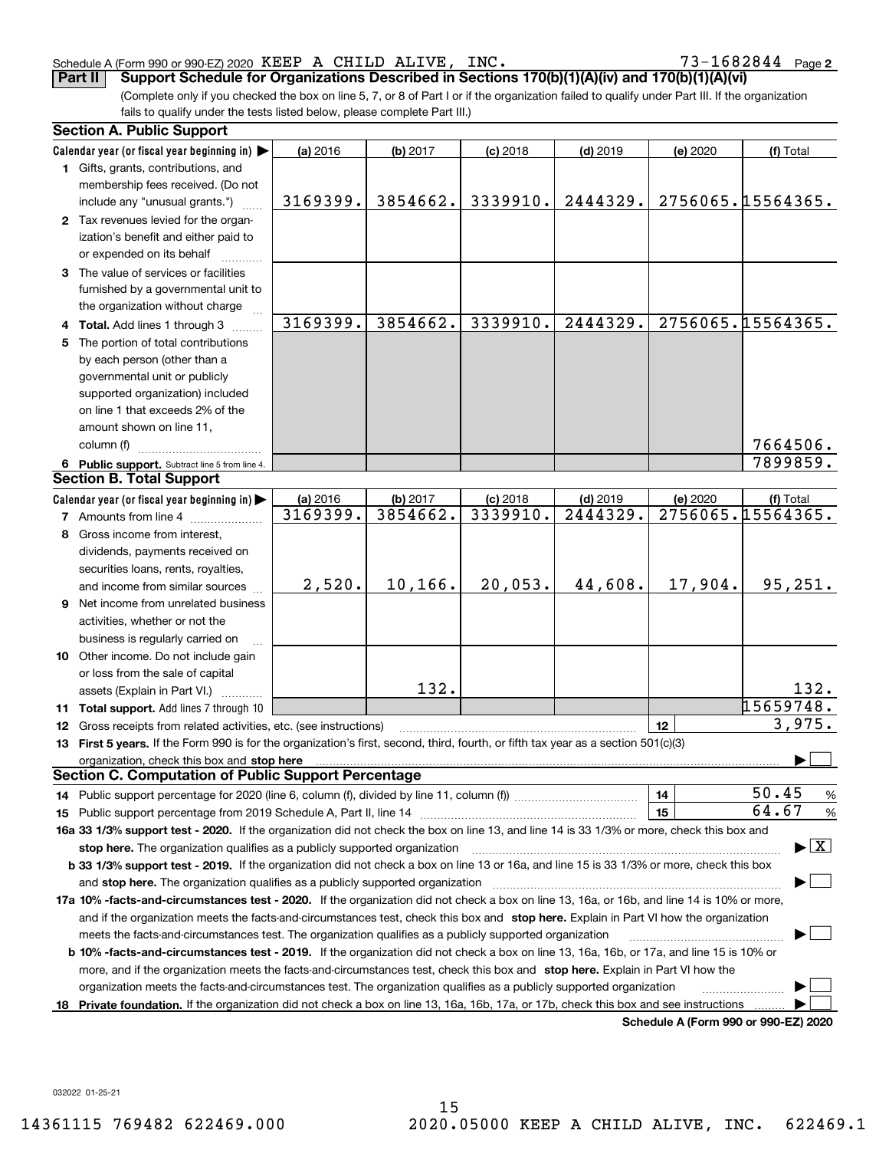#### Schedule A (Form 990 or 990-EZ) 2020 KEEP A CHILD ALIVE, INC。 / 3-I 6 8 2 8 4 4 Page KEEP A CHILD ALIVE, INC.  $73-1682844$

73-1682844 Page 2

(Complete only if you checked the box on line 5, 7, or 8 of Part I or if the organization failed to qualify under Part III. If the organization fails to qualify under the tests listed below, please complete Part III.) **Part II Support Schedule for Organizations Described in Sections 170(b)(1)(A)(iv) and 170(b)(1)(A)(vi)**

|    | <b>Section A. Public Support</b>                                                                                                                                                                                               |                      |          |                        |                        |                                       |                                         |
|----|--------------------------------------------------------------------------------------------------------------------------------------------------------------------------------------------------------------------------------|----------------------|----------|------------------------|------------------------|---------------------------------------|-----------------------------------------|
|    | Calendar year (or fiscal year beginning in)                                                                                                                                                                                    | (a) 2016             | (b) 2017 | $(c)$ 2018             | $(d)$ 2019             | (e) 2020                              | (f) Total                               |
|    | 1 Gifts, grants, contributions, and                                                                                                                                                                                            |                      |          |                        |                        |                                       |                                         |
|    | membership fees received. (Do not                                                                                                                                                                                              |                      |          |                        |                        |                                       |                                         |
|    | include any "unusual grants.")                                                                                                                                                                                                 | 3169399.             | 3854662. | 3339910.               | 2444329.               |                                       | 2756065.15564365.                       |
|    | 2 Tax revenues levied for the organ-                                                                                                                                                                                           |                      |          |                        |                        |                                       |                                         |
|    | ization's benefit and either paid to                                                                                                                                                                                           |                      |          |                        |                        |                                       |                                         |
|    | or expended on its behalf                                                                                                                                                                                                      |                      |          |                        |                        |                                       |                                         |
|    | 3 The value of services or facilities                                                                                                                                                                                          |                      |          |                        |                        |                                       |                                         |
|    | furnished by a governmental unit to                                                                                                                                                                                            |                      |          |                        |                        |                                       |                                         |
|    | the organization without charge                                                                                                                                                                                                |                      |          |                        |                        |                                       |                                         |
|    | 4 Total. Add lines 1 through 3                                                                                                                                                                                                 | 3169399.             | 3854662. | 3339910.               | 2444329.               |                                       | 2756065.15564365.                       |
|    | 5 The portion of total contributions                                                                                                                                                                                           |                      |          |                        |                        |                                       |                                         |
|    | by each person (other than a                                                                                                                                                                                                   |                      |          |                        |                        |                                       |                                         |
|    | governmental unit or publicly                                                                                                                                                                                                  |                      |          |                        |                        |                                       |                                         |
|    | supported organization) included                                                                                                                                                                                               |                      |          |                        |                        |                                       |                                         |
|    | on line 1 that exceeds 2% of the                                                                                                                                                                                               |                      |          |                        |                        |                                       |                                         |
|    | amount shown on line 11,                                                                                                                                                                                                       |                      |          |                        |                        |                                       |                                         |
|    | column (f)                                                                                                                                                                                                                     |                      |          |                        |                        |                                       | 7664506.                                |
|    |                                                                                                                                                                                                                                |                      |          |                        |                        |                                       | 7899859.                                |
|    | 6 Public support. Subtract line 5 from line 4.<br><b>Section B. Total Support</b>                                                                                                                                              |                      |          |                        |                        |                                       |                                         |
|    | Calendar year (or fiscal year beginning in)                                                                                                                                                                                    |                      | (b) 2017 |                        |                        |                                       |                                         |
|    |                                                                                                                                                                                                                                | (a) 2016<br>3169399. | 3854662. | $(c)$ 2018<br>3339910. | $(d)$ 2019<br>2444329. | (e) 2020                              | (f) Total<br>2756065.15564365.          |
|    | <b>7</b> Amounts from line 4                                                                                                                                                                                                   |                      |          |                        |                        |                                       |                                         |
| 8  | Gross income from interest,                                                                                                                                                                                                    |                      |          |                        |                        |                                       |                                         |
|    | dividends, payments received on                                                                                                                                                                                                |                      |          |                        |                        |                                       |                                         |
|    | securities loans, rents, royalties,                                                                                                                                                                                            |                      |          |                        |                        |                                       |                                         |
|    | and income from similar sources                                                                                                                                                                                                | 2,520.               | 10,166.  | 20,053.                | 44,608.                | 17,904.                               | 95, 251.                                |
|    | <b>9</b> Net income from unrelated business                                                                                                                                                                                    |                      |          |                        |                        |                                       |                                         |
|    | activities, whether or not the                                                                                                                                                                                                 |                      |          |                        |                        |                                       |                                         |
|    | business is regularly carried on                                                                                                                                                                                               |                      |          |                        |                        |                                       |                                         |
|    | 10 Other income. Do not include gain                                                                                                                                                                                           |                      |          |                        |                        |                                       |                                         |
|    | or loss from the sale of capital                                                                                                                                                                                               |                      |          |                        |                        |                                       |                                         |
|    | assets (Explain in Part VI.)                                                                                                                                                                                                   |                      | 132.     |                        |                        |                                       | 132.                                    |
|    | 11 Total support. Add lines 7 through 10                                                                                                                                                                                       |                      |          |                        |                        |                                       | 15659748.                               |
|    | 12 Gross receipts from related activities, etc. (see instructions)                                                                                                                                                             |                      |          |                        |                        | 12                                    | 3,975.                                  |
|    | 13 First 5 years. If the Form 990 is for the organization's first, second, third, fourth, or fifth tax year as a section 501(c)(3)                                                                                             |                      |          |                        |                        |                                       |                                         |
|    | organization, check this box and stop here manufactured and stop here are all the contractions of the state of the state of the state of the state of the state of the state of the state of the state of the state of the sta |                      |          |                        |                        |                                       |                                         |
|    | <b>Section C. Computation of Public Support Percentage</b>                                                                                                                                                                     |                      |          |                        |                        |                                       |                                         |
|    |                                                                                                                                                                                                                                |                      |          |                        |                        | 14                                    | 50.45<br>$\frac{9}{6}$                  |
|    |                                                                                                                                                                                                                                |                      |          |                        |                        | 15                                    | 64.67<br>%                              |
|    | 16a 33 1/3% support test - 2020. If the organization did not check the box on line 13, and line 14 is 33 1/3% or more, check this box and                                                                                      |                      |          |                        |                        |                                       |                                         |
|    | stop here. The organization qualifies as a publicly supported organization                                                                                                                                                     |                      |          |                        |                        |                                       | $\blacktriangleright$ $\vert$ X $\vert$ |
|    | b 33 1/3% support test - 2019. If the organization did not check a box on line 13 or 16a, and line 15 is 33 1/3% or more, check this box                                                                                       |                      |          |                        |                        |                                       |                                         |
|    | and stop here. The organization qualifies as a publicly supported organization                                                                                                                                                 |                      |          |                        |                        |                                       |                                         |
|    | 17a 10% -facts-and-circumstances test - 2020. If the organization did not check a box on line 13, 16a, or 16b, and line 14 is 10% or more,                                                                                     |                      |          |                        |                        |                                       |                                         |
|    | and if the organization meets the facts-and-circumstances test, check this box and stop here. Explain in Part VI how the organization                                                                                          |                      |          |                        |                        |                                       |                                         |
|    | meets the facts-and-circumstances test. The organization qualifies as a publicly supported organization                                                                                                                        |                      |          |                        |                        |                                       |                                         |
|    | <b>b 10% -facts-and-circumstances test - 2019.</b> If the organization did not check a box on line 13, 16a, 16b, or 17a, and line 15 is 10% or                                                                                 |                      |          |                        |                        |                                       |                                         |
|    | more, and if the organization meets the facts-and-circumstances test, check this box and stop here. Explain in Part VI how the                                                                                                 |                      |          |                        |                        |                                       |                                         |
|    | organization meets the facts-and-circumstances test. The organization qualifies as a publicly supported organization                                                                                                           |                      |          |                        |                        |                                       |                                         |
| 18 | Private foundation. If the organization did not check a box on line 13, 16a, 16b, 17a, or 17b, check this box and see instructions                                                                                             |                      |          |                        |                        |                                       |                                         |
|    |                                                                                                                                                                                                                                |                      |          |                        |                        | Cahadula A (Fauna 000 av 000 EZ) 0000 |                                         |

**Schedule A (Form 990 or 990-EZ) 2020**

032022 01-25-21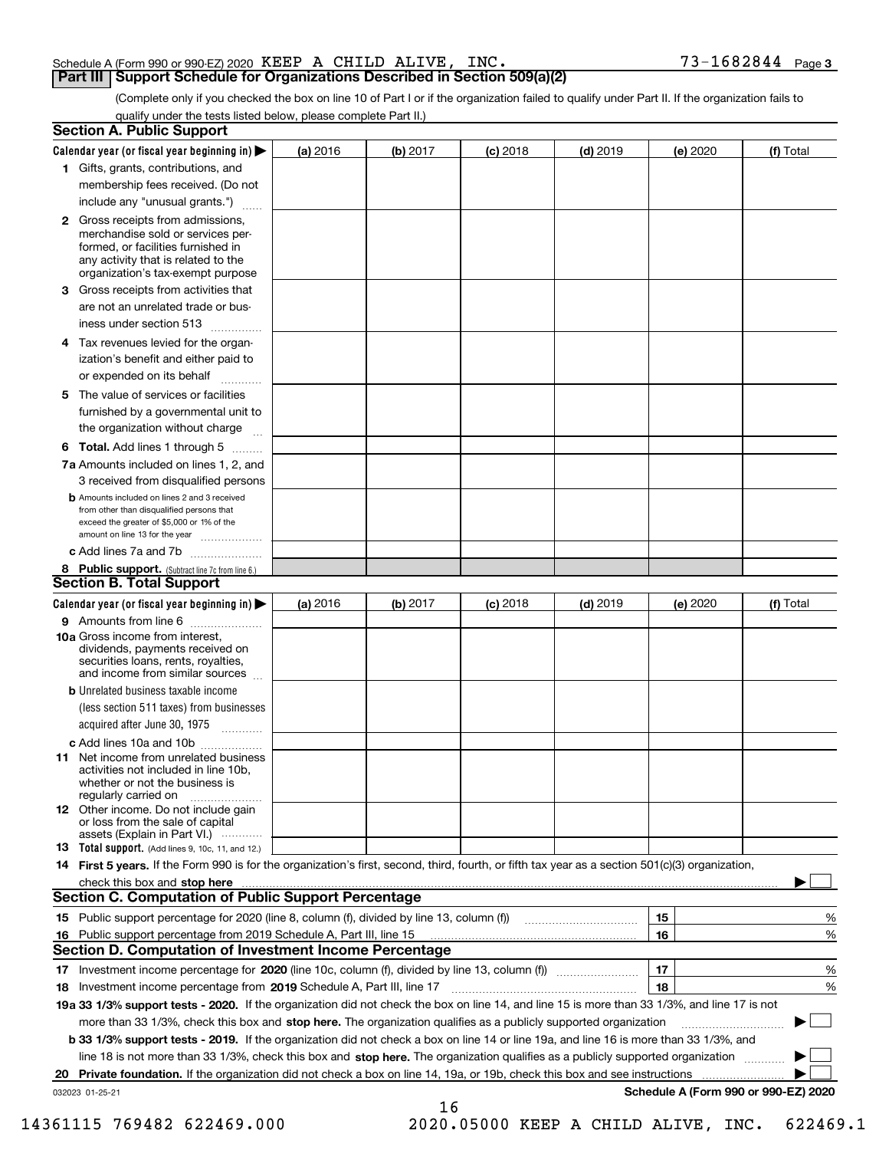| Schedule A (Form 990 or 990-EZ) 2020 $\rm\,KEEP$ $\rm\,A$ $\rm\,CHILD$ $\rm\,ALIVE$ , $\rm\,INC$ . |  | $73 - 1682844$ Page 3 |  |
|----------------------------------------------------------------------------------------------------|--|-----------------------|--|
| <b>Part III   Support Schedule for Organizations Described in Section 509(a)(2)</b>                |  |                       |  |

(Complete only if you checked the box on line 10 of Part I or if the organization failed to qualify under Part II. If the organization fails to qualify under the tests listed below, please complete Part II.)

|     | <b>Section A. Public Support</b>                                                                                                                                                                                               |          |          |            |            |          |                                      |
|-----|--------------------------------------------------------------------------------------------------------------------------------------------------------------------------------------------------------------------------------|----------|----------|------------|------------|----------|--------------------------------------|
|     | Calendar year (or fiscal year beginning in) $\blacktriangleright$                                                                                                                                                              | (a) 2016 | (b) 2017 | $(c)$ 2018 | $(d)$ 2019 | (e) 2020 | (f) Total                            |
|     | 1 Gifts, grants, contributions, and                                                                                                                                                                                            |          |          |            |            |          |                                      |
|     | membership fees received. (Do not                                                                                                                                                                                              |          |          |            |            |          |                                      |
|     | include any "unusual grants.")                                                                                                                                                                                                 |          |          |            |            |          |                                      |
|     | 2 Gross receipts from admissions,<br>merchandise sold or services per-<br>formed, or facilities furnished in<br>any activity that is related to the<br>organization's tax-exempt purpose                                       |          |          |            |            |          |                                      |
|     | 3 Gross receipts from activities that<br>are not an unrelated trade or bus-                                                                                                                                                    |          |          |            |            |          |                                      |
|     | iness under section 513                                                                                                                                                                                                        |          |          |            |            |          |                                      |
|     | 4 Tax revenues levied for the organ-<br>ization's benefit and either paid to                                                                                                                                                   |          |          |            |            |          |                                      |
|     | or expended on its behalf<br>.                                                                                                                                                                                                 |          |          |            |            |          |                                      |
|     | 5 The value of services or facilities                                                                                                                                                                                          |          |          |            |            |          |                                      |
|     | furnished by a governmental unit to                                                                                                                                                                                            |          |          |            |            |          |                                      |
|     | the organization without charge                                                                                                                                                                                                |          |          |            |            |          |                                      |
|     | <b>6 Total.</b> Add lines 1 through 5                                                                                                                                                                                          |          |          |            |            |          |                                      |
|     | 7a Amounts included on lines 1, 2, and<br>3 received from disqualified persons                                                                                                                                                 |          |          |            |            |          |                                      |
|     | <b>b</b> Amounts included on lines 2 and 3 received<br>from other than disqualified persons that<br>exceed the greater of \$5,000 or 1% of the<br>amount on line 13 for the year                                               |          |          |            |            |          |                                      |
|     | c Add lines 7a and 7b                                                                                                                                                                                                          |          |          |            |            |          |                                      |
|     | 8 Public support. (Subtract line 7c from line 6.)                                                                                                                                                                              |          |          |            |            |          |                                      |
|     | <b>Section B. Total Support</b>                                                                                                                                                                                                |          |          |            |            |          |                                      |
|     | Calendar year (or fiscal year beginning in)                                                                                                                                                                                    | (a) 2016 | (b) 2017 | $(c)$ 2018 | $(d)$ 2019 | (e) 2020 | (f) Total                            |
|     | 9 Amounts from line 6                                                                                                                                                                                                          |          |          |            |            |          |                                      |
|     | <b>10a</b> Gross income from interest,<br>dividends, payments received on<br>securities loans, rents, royalties,<br>and income from similar sources                                                                            |          |          |            |            |          |                                      |
|     | <b>b</b> Unrelated business taxable income                                                                                                                                                                                     |          |          |            |            |          |                                      |
|     | (less section 511 taxes) from businesses                                                                                                                                                                                       |          |          |            |            |          |                                      |
|     | acquired after June 30, 1975                                                                                                                                                                                                   |          |          |            |            |          |                                      |
|     | c Add lines 10a and 10b                                                                                                                                                                                                        |          |          |            |            |          |                                      |
|     | 11 Net income from unrelated business<br>activities not included in line 10b,<br>whether or not the business is<br>regularly carried on                                                                                        |          |          |            |            |          |                                      |
|     | 12 Other income. Do not include gain<br>or loss from the sale of capital<br>assets (Explain in Part VI.)                                                                                                                       |          |          |            |            |          |                                      |
|     | 13 Total support. (Add lines 9, 10c, 11, and 12.)                                                                                                                                                                              |          |          |            |            |          |                                      |
|     | 14 First 5 years. If the Form 990 is for the organization's first, second, third, fourth, or fifth tax year as a section 501(c)(3) organization,                                                                               |          |          |            |            |          |                                      |
|     | check this box and stop here measurements and contact the contract of the contract of the contract of the contract of the contract of the contract of the contract of the contract of the contract of the contract of the cont |          |          |            |            |          |                                      |
|     | <b>Section C. Computation of Public Support Percentage</b>                                                                                                                                                                     |          |          |            |            |          |                                      |
|     | 15 Public support percentage for 2020 (line 8, column (f), divided by line 13, column (f))                                                                                                                                     |          |          |            |            | 15       | %                                    |
| 16. | Public support percentage from 2019 Schedule A, Part III, line 15                                                                                                                                                              |          |          |            |            | 16       | %                                    |
|     | <b>Section D. Computation of Investment Income Percentage</b>                                                                                                                                                                  |          |          |            |            |          |                                      |
|     | 17 Investment income percentage for 2020 (line 10c, column (f), divided by line 13, column (f))                                                                                                                                |          |          |            |            | 17       | %                                    |
|     | 18 Investment income percentage from 2019 Schedule A, Part III, line 17                                                                                                                                                        |          |          |            |            | 18       | %                                    |
|     | 19a 33 1/3% support tests - 2020. If the organization did not check the box on line 14, and line 15 is more than 33 1/3%, and line 17 is not                                                                                   |          |          |            |            |          |                                      |
|     | more than 33 1/3%, check this box and stop here. The organization qualifies as a publicly supported organization                                                                                                               |          |          |            |            |          | ▶                                    |
|     | <b>b 33 1/3% support tests - 2019.</b> If the organization did not check a box on line 14 or line 19a, and line 16 is more than 33 1/3%, and                                                                                   |          |          |            |            |          |                                      |
|     | line 18 is not more than 33 1/3%, check this box and stop here. The organization qualifies as a publicly supported organization                                                                                                |          |          |            |            |          |                                      |
| 20  | <b>Private foundation.</b> If the organization did not check a box on line 14, 19a, or 19b, check this box and see instructions                                                                                                |          |          |            |            |          |                                      |
|     | 032023 01-25-21                                                                                                                                                                                                                |          |          |            |            |          | Schedule A (Form 990 or 990-EZ) 2020 |
|     |                                                                                                                                                                                                                                |          | 16       |            |            |          |                                      |

14361115 769482 622469.000 2020.05000 KEEP A CHILD ALIVE, INC. 622469.1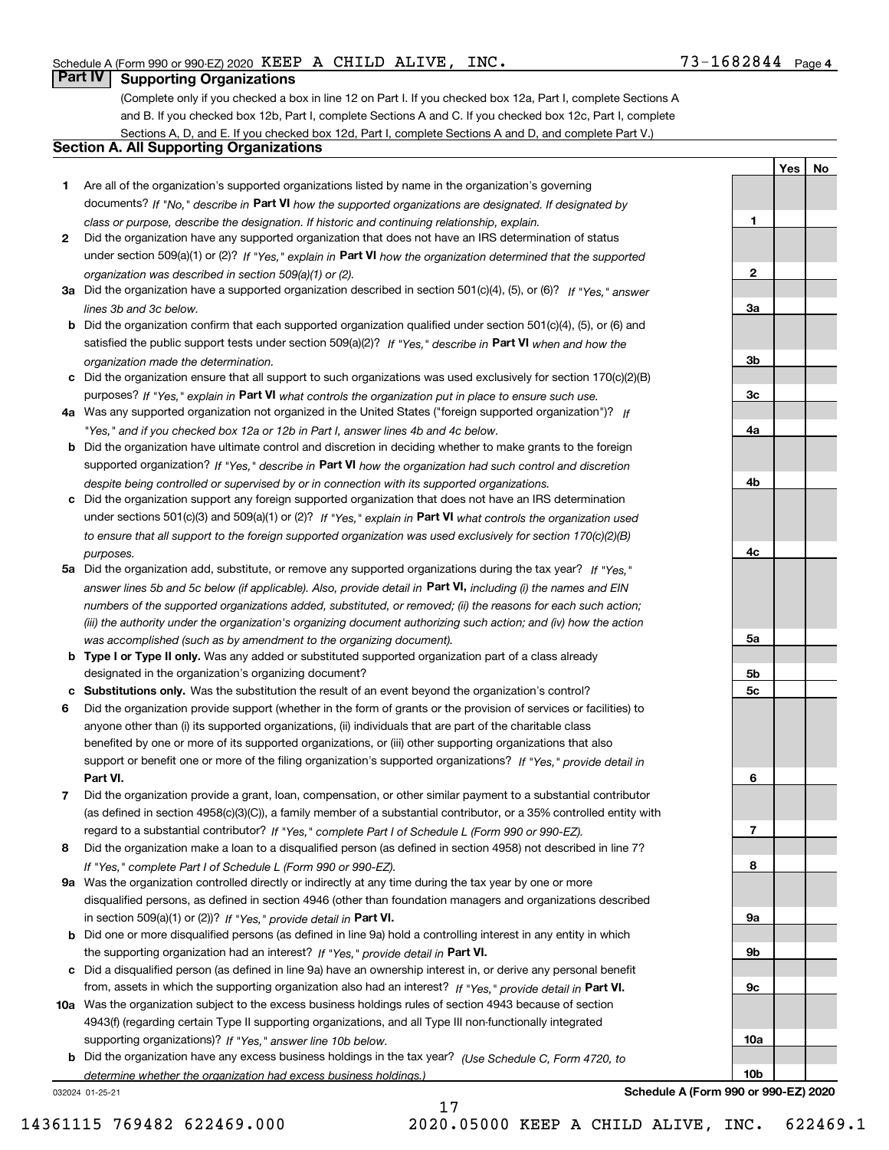**1**

**2**

**3a**

**3b**

**3c**

**4a**

**4b**

**4c**

**5a**

**5b5c**

**6**

**7**

**8**

**9a**

**9b**

**9c**

**10a**

**10b**

**YesNo**

### **Part IV Supporting Organizations**

(Complete only if you checked a box in line 12 on Part I. If you checked box 12a, Part I, complete Sections A and B. If you checked box 12b, Part I, complete Sections A and C. If you checked box 12c, Part I, complete Sections A, D, and E. If you checked box 12d, Part I, complete Sections A and D, and complete Part V.)

### **Section A. All Supporting Organizations**

- **1** Are all of the organization's supported organizations listed by name in the organization's governing documents? If "No," describe in **Part VI** how the supported organizations are designated. If designated by *class or purpose, describe the designation. If historic and continuing relationship, explain.*
- **2** Did the organization have any supported organization that does not have an IRS determination of status under section 509(a)(1) or (2)? If "Yes," explain in Part VI how the organization determined that the supported *organization was described in section 509(a)(1) or (2).*
- **3a** Did the organization have a supported organization described in section 501(c)(4), (5), or (6)? If "Yes," answer *lines 3b and 3c below.*
- **b** Did the organization confirm that each supported organization qualified under section 501(c)(4), (5), or (6) and satisfied the public support tests under section 509(a)(2)? If "Yes," describe in **Part VI** when and how the *organization made the determination.*
- **c**Did the organization ensure that all support to such organizations was used exclusively for section 170(c)(2)(B) purposes? If "Yes," explain in **Part VI** what controls the organization put in place to ensure such use.
- **4a***If* Was any supported organization not organized in the United States ("foreign supported organization")? *"Yes," and if you checked box 12a or 12b in Part I, answer lines 4b and 4c below.*
- **b** Did the organization have ultimate control and discretion in deciding whether to make grants to the foreign supported organization? If "Yes," describe in **Part VI** how the organization had such control and discretion *despite being controlled or supervised by or in connection with its supported organizations.*
- **c** Did the organization support any foreign supported organization that does not have an IRS determination under sections 501(c)(3) and 509(a)(1) or (2)? If "Yes," explain in **Part VI** what controls the organization used *to ensure that all support to the foreign supported organization was used exclusively for section 170(c)(2)(B) purposes.*
- **5a** Did the organization add, substitute, or remove any supported organizations during the tax year? If "Yes," answer lines 5b and 5c below (if applicable). Also, provide detail in **Part VI,** including (i) the names and EIN *numbers of the supported organizations added, substituted, or removed; (ii) the reasons for each such action; (iii) the authority under the organization's organizing document authorizing such action; and (iv) how the action was accomplished (such as by amendment to the organizing document).*
- **b** Type I or Type II only. Was any added or substituted supported organization part of a class already designated in the organization's organizing document?
- **cSubstitutions only.**  Was the substitution the result of an event beyond the organization's control?
- **6** Did the organization provide support (whether in the form of grants or the provision of services or facilities) to **Part VI.** *If "Yes," provide detail in* support or benefit one or more of the filing organization's supported organizations? anyone other than (i) its supported organizations, (ii) individuals that are part of the charitable class benefited by one or more of its supported organizations, or (iii) other supporting organizations that also
- **7**Did the organization provide a grant, loan, compensation, or other similar payment to a substantial contributor *If "Yes," complete Part I of Schedule L (Form 990 or 990-EZ).* regard to a substantial contributor? (as defined in section 4958(c)(3)(C)), a family member of a substantial contributor, or a 35% controlled entity with
- **8** Did the organization make a loan to a disqualified person (as defined in section 4958) not described in line 7? *If "Yes," complete Part I of Schedule L (Form 990 or 990-EZ).*
- **9a** Was the organization controlled directly or indirectly at any time during the tax year by one or more in section 509(a)(1) or (2))? If "Yes," *provide detail in* <code>Part VI.</code> disqualified persons, as defined in section 4946 (other than foundation managers and organizations described
- **b** Did one or more disqualified persons (as defined in line 9a) hold a controlling interest in any entity in which the supporting organization had an interest? If "Yes," provide detail in P**art VI**.
- **c**Did a disqualified person (as defined in line 9a) have an ownership interest in, or derive any personal benefit from, assets in which the supporting organization also had an interest? If "Yes," provide detail in P**art VI.**
- **10a** Was the organization subject to the excess business holdings rules of section 4943 because of section supporting organizations)? If "Yes," answer line 10b below. 4943(f) (regarding certain Type II supporting organizations, and all Type III non-functionally integrated
- **b** Did the organization have any excess business holdings in the tax year? (Use Schedule C, Form 4720, to *determine whether the organization had excess business holdings.)*

17

032024 01-25-21

**Schedule A (Form 990 or 990-EZ) 2020**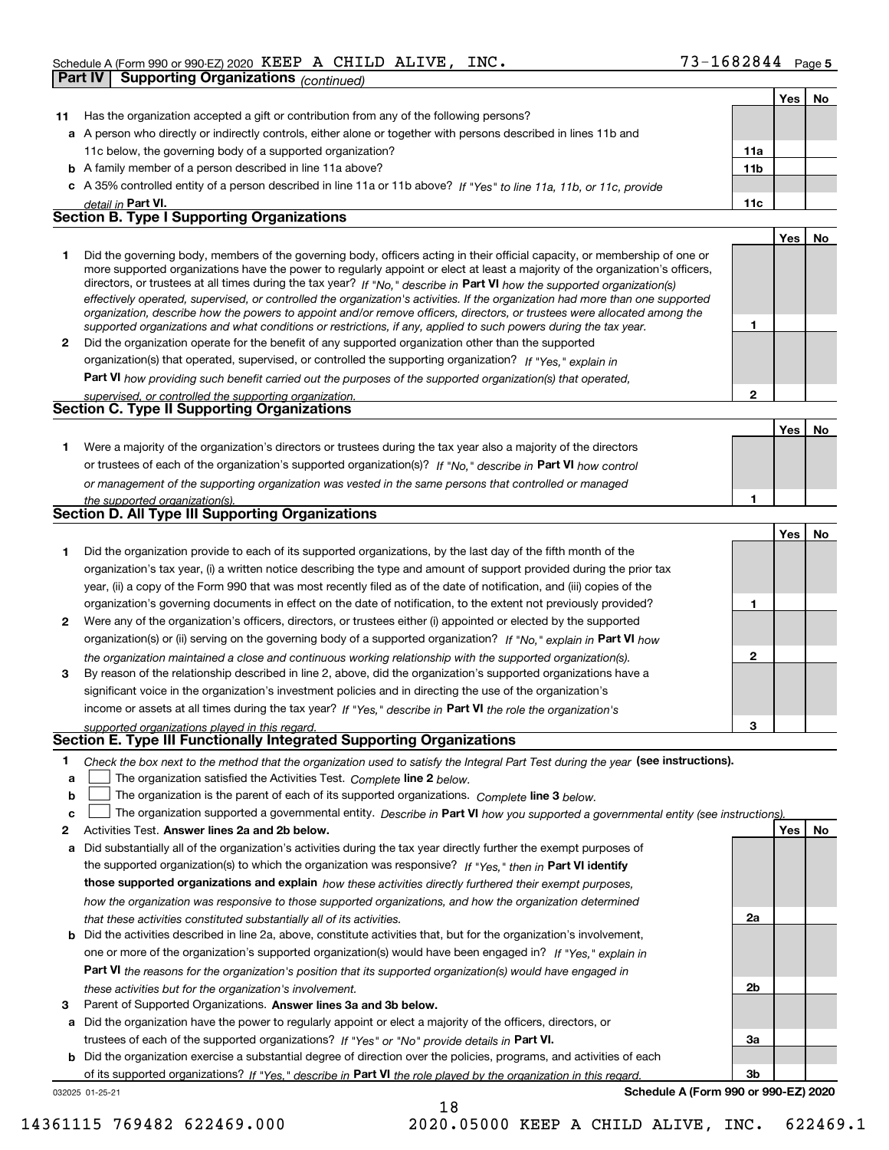|              | Part IV<br><b>Supporting Organizations (continued)</b>                                                                                                                                                                                                                                                                                                                                 |              |            |    |
|--------------|----------------------------------------------------------------------------------------------------------------------------------------------------------------------------------------------------------------------------------------------------------------------------------------------------------------------------------------------------------------------------------------|--------------|------------|----|
|              |                                                                                                                                                                                                                                                                                                                                                                                        |              | Yes        | No |
| 11           | Has the organization accepted a gift or contribution from any of the following persons?                                                                                                                                                                                                                                                                                                |              |            |    |
|              | a A person who directly or indirectly controls, either alone or together with persons described in lines 11b and                                                                                                                                                                                                                                                                       |              |            |    |
|              | 11c below, the governing body of a supported organization?                                                                                                                                                                                                                                                                                                                             | 11a          |            |    |
|              | <b>b</b> A family member of a person described in line 11a above?                                                                                                                                                                                                                                                                                                                      | 11b          |            |    |
|              | c A 35% controlled entity of a person described in line 11a or 11b above? If "Yes" to line 11a, 11b, or 11c, provide                                                                                                                                                                                                                                                                   |              |            |    |
|              | detail in Part VI.                                                                                                                                                                                                                                                                                                                                                                     | 11c          |            |    |
|              | <b>Section B. Type I Supporting Organizations</b>                                                                                                                                                                                                                                                                                                                                      |              |            |    |
|              |                                                                                                                                                                                                                                                                                                                                                                                        |              | Yes        | No |
| 1.           | Did the governing body, members of the governing body, officers acting in their official capacity, or membership of one or<br>more supported organizations have the power to regularly appoint or elect at least a majority of the organization's officers,<br>directors, or trustees at all times during the tax year? If "No," describe in Part VI how the supported organization(s) |              |            |    |
|              | effectively operated, supervised, or controlled the organization's activities. If the organization had more than one supported<br>organization, describe how the powers to appoint and/or remove officers, directors, or trustees were allocated among the<br>supported organizations and what conditions or restrictions, if any, applied to such powers during the tax year.         | 1            |            |    |
| $\mathbf{2}$ | Did the organization operate for the benefit of any supported organization other than the supported                                                                                                                                                                                                                                                                                    |              |            |    |
|              | organization(s) that operated, supervised, or controlled the supporting organization? If "Yes," explain in                                                                                                                                                                                                                                                                             |              |            |    |
|              | Part VI how providing such benefit carried out the purposes of the supported organization(s) that operated,                                                                                                                                                                                                                                                                            |              |            |    |
|              | supervised, or controlled the supporting organization.                                                                                                                                                                                                                                                                                                                                 | $\mathbf{2}$ |            |    |
|              | Section C. Type II Supporting Organizations                                                                                                                                                                                                                                                                                                                                            |              |            |    |
|              |                                                                                                                                                                                                                                                                                                                                                                                        |              | Yes        | No |
| 1.           | Were a majority of the organization's directors or trustees during the tax year also a majority of the directors                                                                                                                                                                                                                                                                       |              |            |    |
|              | or trustees of each of the organization's supported organization(s)? If "No," describe in Part VI how control                                                                                                                                                                                                                                                                          |              |            |    |
|              | or management of the supporting organization was vested in the same persons that controlled or managed                                                                                                                                                                                                                                                                                 |              |            |    |
|              | the supported organization(s).<br>Section D. All Type III Supporting Organizations                                                                                                                                                                                                                                                                                                     | 1            |            |    |
|              |                                                                                                                                                                                                                                                                                                                                                                                        |              |            |    |
|              |                                                                                                                                                                                                                                                                                                                                                                                        |              | Yes        | No |
|              |                                                                                                                                                                                                                                                                                                                                                                                        |              |            |    |
| 1.           | Did the organization provide to each of its supported organizations, by the last day of the fifth month of the                                                                                                                                                                                                                                                                         |              |            |    |
|              | organization's tax year, (i) a written notice describing the type and amount of support provided during the prior tax                                                                                                                                                                                                                                                                  |              |            |    |
|              | year, (ii) a copy of the Form 990 that was most recently filed as of the date of notification, and (iii) copies of the                                                                                                                                                                                                                                                                 |              |            |    |
|              | organization's governing documents in effect on the date of notification, to the extent not previously provided?                                                                                                                                                                                                                                                                       | 1            |            |    |
| 2            | Were any of the organization's officers, directors, or trustees either (i) appointed or elected by the supported                                                                                                                                                                                                                                                                       |              |            |    |
|              | organization(s) or (ii) serving on the governing body of a supported organization? If "No," explain in Part VI how                                                                                                                                                                                                                                                                     |              |            |    |
|              | the organization maintained a close and continuous working relationship with the supported organization(s).                                                                                                                                                                                                                                                                            | $\mathbf{2}$ |            |    |
| 3            | By reason of the relationship described in line 2, above, did the organization's supported organizations have a                                                                                                                                                                                                                                                                        |              |            |    |
|              | significant voice in the organization's investment policies and in directing the use of the organization's                                                                                                                                                                                                                                                                             |              |            |    |
|              | income or assets at all times during the tax year? If "Yes," describe in Part VI the role the organization's                                                                                                                                                                                                                                                                           |              |            |    |
|              | supported organizations played in this regard.<br>Section E. Type III Functionally Integrated Supporting Organizations                                                                                                                                                                                                                                                                 | з            |            |    |
|              |                                                                                                                                                                                                                                                                                                                                                                                        |              |            |    |
| 1            | Check the box next to the method that the organization used to satisfy the Integral Part Test during the year (see instructions).                                                                                                                                                                                                                                                      |              |            |    |
| a<br>b       | The organization satisfied the Activities Test. Complete line 2 below.                                                                                                                                                                                                                                                                                                                 |              |            |    |
| c            | The organization is the parent of each of its supported organizations. Complete line 3 below.                                                                                                                                                                                                                                                                                          |              |            |    |
| 2            | The organization supported a governmental entity. Describe in Part VI how you supported a governmental entity (see instructions)<br>Activities Test. Answer lines 2a and 2b below.                                                                                                                                                                                                     |              | <b>Yes</b> | No |
| а            | Did substantially all of the organization's activities during the tax year directly further the exempt purposes of                                                                                                                                                                                                                                                                     |              |            |    |
|              | the supported organization(s) to which the organization was responsive? If "Yes," then in Part VI identify                                                                                                                                                                                                                                                                             |              |            |    |
|              | those supported organizations and explain how these activities directly furthered their exempt purposes,                                                                                                                                                                                                                                                                               |              |            |    |
|              | how the organization was responsive to those supported organizations, and how the organization determined                                                                                                                                                                                                                                                                              |              |            |    |
|              | that these activities constituted substantially all of its activities.                                                                                                                                                                                                                                                                                                                 | 2a           |            |    |

**3** Parent of Supported Organizations. Answer lines 3a and 3b below. *these activities but for the organization's involvement.*

**a** Did the organization have the power to regularly appoint or elect a majority of the officers, directors, or trustees of each of the supported organizations? If "Yes" or "No" provide details in **Part VI.** 

**Part VI**  *the reasons for the organization's position that its supported organization(s) would have engaged in*

one or more of the organization's supported organization(s) would have been engaged in? If "Yes," e*xplain in* 

**b** Did the organization exercise a substantial degree of direction over the policies, programs, and activities of each of its supported organizations? If "Yes," describe in Part VI the role played by the organization in this regard.

18

032025 01-25-21

**Schedule A (Form 990 or 990-EZ) 2020**

**2b**

**3a**

**3b**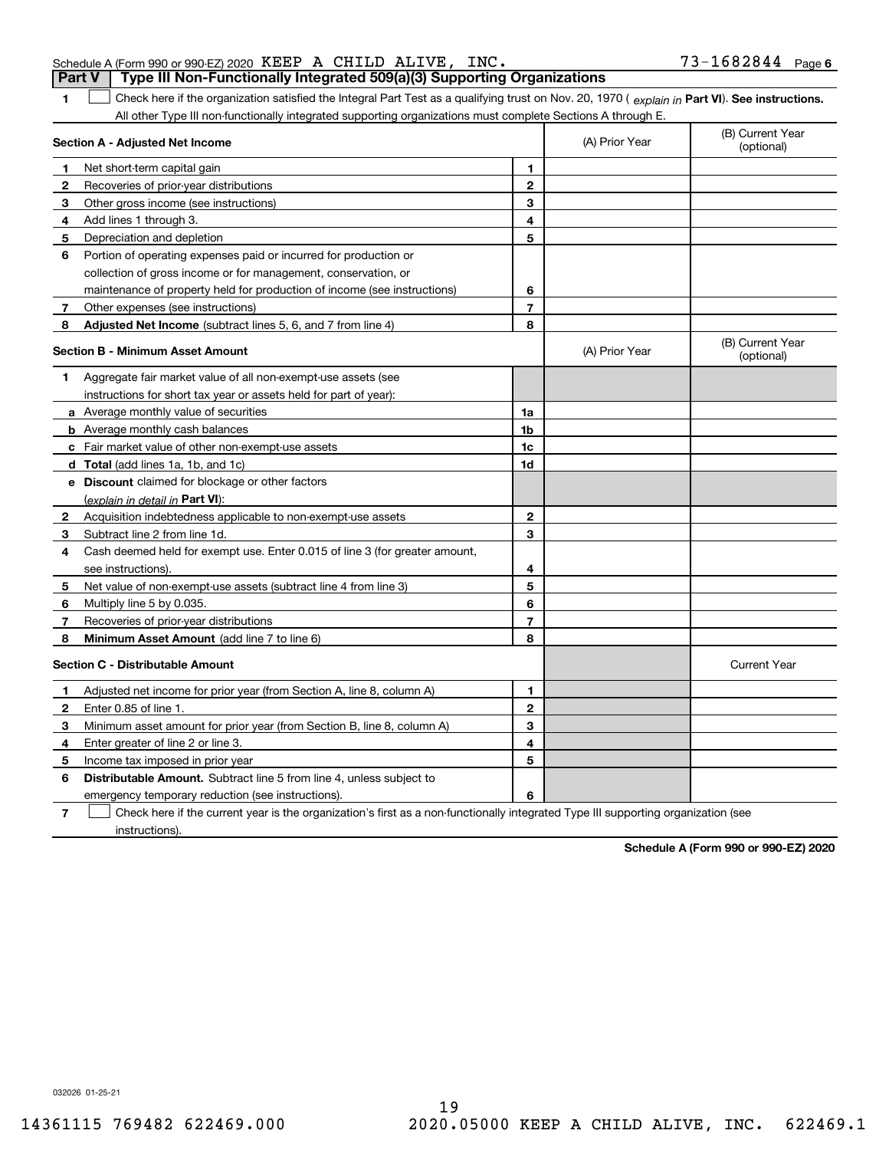instructions).

# 19 14361115 769482 622469.000 2020.05000 KEEP A CHILD ALIVE, INC. 622469.1

|              | Section A - Adjusted Net Income                                                                                                   |                | (A) Prior Year                 | (optional)          |
|--------------|-----------------------------------------------------------------------------------------------------------------------------------|----------------|--------------------------------|---------------------|
| 1            | Net short-term capital gain                                                                                                       | 1              |                                |                     |
| 2            | Recoveries of prior-year distributions                                                                                            | $\overline{2}$ |                                |                     |
| 3            | Other gross income (see instructions)                                                                                             | 3              |                                |                     |
| 4            | Add lines 1 through 3.                                                                                                            | 4              |                                |                     |
| 5            | Depreciation and depletion                                                                                                        | 5              |                                |                     |
| 6            | Portion of operating expenses paid or incurred for production or                                                                  |                |                                |                     |
|              | collection of gross income or for management, conservation, or                                                                    |                |                                |                     |
|              | maintenance of property held for production of income (see instructions)                                                          | 6              |                                |                     |
| 7            | Other expenses (see instructions)                                                                                                 | 7              |                                |                     |
| 8            | <b>Adjusted Net Income</b> (subtract lines 5, 6, and 7 from line 4)                                                               | 8              |                                |                     |
|              | <b>Section B - Minimum Asset Amount</b>                                                                                           | (A) Prior Year | (B) Current Year<br>(optional) |                     |
| 1            | Aggregate fair market value of all non-exempt-use assets (see                                                                     |                |                                |                     |
|              | instructions for short tax year or assets held for part of year):                                                                 |                |                                |                     |
|              | a Average monthly value of securities                                                                                             | 1a             |                                |                     |
|              | <b>b</b> Average monthly cash balances                                                                                            | 1 <sub>b</sub> |                                |                     |
|              | c Fair market value of other non-exempt-use assets                                                                                | 1c             |                                |                     |
|              | <b>d</b> Total (add lines 1a, 1b, and 1c)                                                                                         | 1d             |                                |                     |
|              | e Discount claimed for blockage or other factors                                                                                  |                |                                |                     |
|              | (explain in detail in Part VI):                                                                                                   |                |                                |                     |
| $\mathbf{2}$ | Acquisition indebtedness applicable to non-exempt-use assets                                                                      | $\mathbf{2}$   |                                |                     |
| 3            | Subtract line 2 from line 1d.                                                                                                     | 3              |                                |                     |
| 4            | Cash deemed held for exempt use. Enter 0.015 of line 3 (for greater amount,                                                       |                |                                |                     |
|              | see instructions).                                                                                                                | 4              |                                |                     |
| 5            | Net value of non-exempt-use assets (subtract line 4 from line 3)                                                                  | 5              |                                |                     |
| 6            | Multiply line 5 by 0.035.                                                                                                         | 6              |                                |                     |
| 7            | Recoveries of prior-year distributions                                                                                            | $\overline{7}$ |                                |                     |
| 8            | Minimum Asset Amount (add line 7 to line 6)                                                                                       | 8              |                                |                     |
|              | <b>Section C - Distributable Amount</b>                                                                                           |                |                                | <b>Current Year</b> |
| 1            | Adjusted net income for prior year (from Section A, line 8, column A)                                                             | 1              |                                |                     |
| 2            | Enter 0.85 of line 1.                                                                                                             | $\mathbf{2}$   |                                |                     |
| з            | Minimum asset amount for prior year (from Section B, line 8, column A)                                                            | 3              |                                |                     |
| 4            | Enter greater of line 2 or line 3.                                                                                                | 4              |                                |                     |
| 5            | Income tax imposed in prior year                                                                                                  | 5              |                                |                     |
| 6            | <b>Distributable Amount.</b> Subtract line 5 from line 4, unless subject to                                                       |                |                                |                     |
|              | emergency temporary reduction (see instructions).                                                                                 | 6              |                                |                     |
| 7            | Check here if the current year is the organization's first as a non-functionally integrated Type III supporting organization (see |                |                                |                     |

1 Check here if the organization satisfied the Integral Part Test as a qualifying trust on Nov. 20, 1970 (explain in Part VI). See instructions.

All other Type III non-functionally integrated supporting organizations must complete Sections A through E.

**Part V Type III Non-Functionally Integrated 509(a)(3) Supporting Organizations** 

**1**

**Section A - Adjusted Net Income**

73-1682844 Page 6 Schedule A (Form 990 or 990-EZ) 2020 Page KEEP A CHILD ALIVE, INC. 73-1682844

(B) Current Year

(A) Prior Year

**Schedule A (Form 990 or 990-EZ) 2020**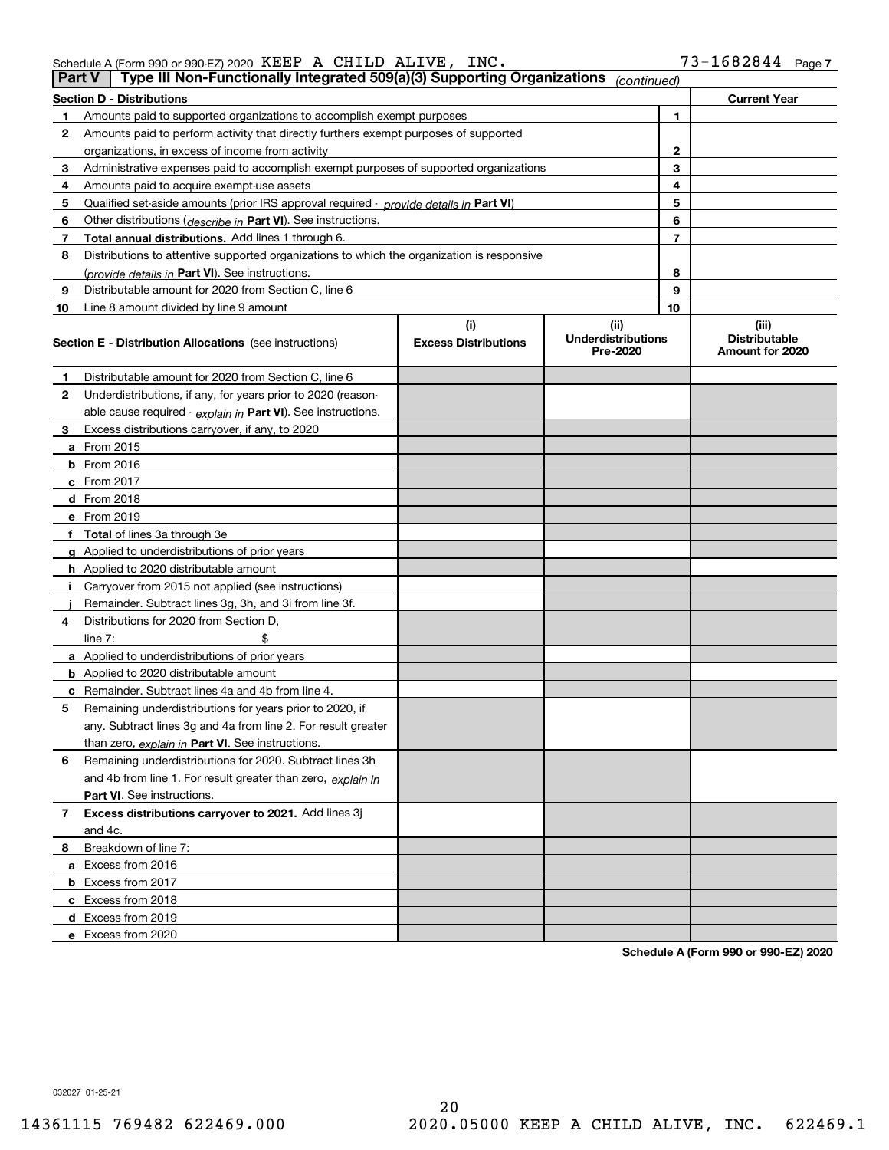| Schedule A (Form 990 or 990-EZ) 2020 $\,$ KEEP $\,$ A $\,$ CHILD $\,$ ALIVE, $\,$ . |  | INC. | $73 - 1682844$ Page 7 |  |
|-------------------------------------------------------------------------------------|--|------|-----------------------|--|
|                                                                                     |  |      |                       |  |

| <b>Part V</b> | Type III Non-Functionally Integrated 509(a)(3) Supporting Organizations                    |                             | (continued)                           |    |                                         |
|---------------|--------------------------------------------------------------------------------------------|-----------------------------|---------------------------------------|----|-----------------------------------------|
|               | <b>Section D - Distributions</b>                                                           |                             |                                       |    | <b>Current Year</b>                     |
| 1             | Amounts paid to supported organizations to accomplish exempt purposes                      |                             |                                       | 1  |                                         |
| 2             | Amounts paid to perform activity that directly furthers exempt purposes of supported       |                             |                                       |    |                                         |
|               | organizations, in excess of income from activity                                           |                             |                                       | 2  |                                         |
| 3             | Administrative expenses paid to accomplish exempt purposes of supported organizations      |                             | 3                                     |    |                                         |
| 4             | Amounts paid to acquire exempt-use assets                                                  |                             |                                       | 4  |                                         |
| 5             | Qualified set-aside amounts (prior IRS approval required - provide details in Part VI)     |                             |                                       | 5  |                                         |
| 6             | Other distributions (describe in Part VI). See instructions.                               |                             |                                       | 6  |                                         |
| 7             | Total annual distributions. Add lines 1 through 6.                                         |                             |                                       | 7  |                                         |
| 8             | Distributions to attentive supported organizations to which the organization is responsive |                             |                                       |    |                                         |
|               | (provide details in Part VI). See instructions.                                            |                             |                                       | 8  |                                         |
| 9             | Distributable amount for 2020 from Section C, line 6                                       |                             |                                       | 9  |                                         |
| 10            | Line 8 amount divided by line 9 amount                                                     |                             |                                       | 10 |                                         |
|               |                                                                                            | (i)                         | (ii)                                  |    | (iii)                                   |
|               | <b>Section E - Distribution Allocations</b> (see instructions)                             | <b>Excess Distributions</b> | <b>Underdistributions</b><br>Pre-2020 |    | <b>Distributable</b><br>Amount for 2020 |
| 1             | Distributable amount for 2020 from Section C, line 6                                       |                             |                                       |    |                                         |
| 2             | Underdistributions, if any, for years prior to 2020 (reason-                               |                             |                                       |    |                                         |
|               | able cause required - explain in Part VI). See instructions.                               |                             |                                       |    |                                         |
| 3             | Excess distributions carryover, if any, to 2020                                            |                             |                                       |    |                                         |
|               | <b>a</b> From 2015                                                                         |                             |                                       |    |                                         |
|               | <b>b</b> From 2016                                                                         |                             |                                       |    |                                         |
|               | c From 2017                                                                                |                             |                                       |    |                                         |
|               | <b>d</b> From 2018                                                                         |                             |                                       |    |                                         |
|               | e From 2019                                                                                |                             |                                       |    |                                         |
|               | f Total of lines 3a through 3e                                                             |                             |                                       |    |                                         |
|               | g Applied to underdistributions of prior years                                             |                             |                                       |    |                                         |
|               | <b>h</b> Applied to 2020 distributable amount                                              |                             |                                       |    |                                         |
|               | Carryover from 2015 not applied (see instructions)                                         |                             |                                       |    |                                         |
|               | Remainder. Subtract lines 3g, 3h, and 3i from line 3f.                                     |                             |                                       |    |                                         |
| 4             | Distributions for 2020 from Section D,                                                     |                             |                                       |    |                                         |
|               | line $7:$                                                                                  |                             |                                       |    |                                         |
|               | a Applied to underdistributions of prior years                                             |                             |                                       |    |                                         |
|               | <b>b</b> Applied to 2020 distributable amount                                              |                             |                                       |    |                                         |
|               | c Remainder. Subtract lines 4a and 4b from line 4.                                         |                             |                                       |    |                                         |
| 5             | Remaining underdistributions for years prior to 2020, if                                   |                             |                                       |    |                                         |
|               | any. Subtract lines 3g and 4a from line 2. For result greater                              |                             |                                       |    |                                         |
|               | than zero, explain in Part VI. See instructions.                                           |                             |                                       |    |                                         |
| 6             | Remaining underdistributions for 2020. Subtract lines 3h                                   |                             |                                       |    |                                         |
|               | and 4b from line 1. For result greater than zero, explain in                               |                             |                                       |    |                                         |
|               | Part VI. See instructions.                                                                 |                             |                                       |    |                                         |
| 7             | Excess distributions carryover to 2021. Add lines 3j                                       |                             |                                       |    |                                         |
|               | and 4c.                                                                                    |                             |                                       |    |                                         |
| 8             | Breakdown of line 7:                                                                       |                             |                                       |    |                                         |
|               | a Excess from 2016                                                                         |                             |                                       |    |                                         |
|               | <b>b</b> Excess from 2017                                                                  |                             |                                       |    |                                         |
|               | c Excess from 2018                                                                         |                             |                                       |    |                                         |
|               | d Excess from 2019                                                                         |                             |                                       |    |                                         |
|               | e Excess from 2020                                                                         |                             |                                       |    |                                         |

**Schedule A (Form 990 or 990-EZ) 2020**

032027 01-25-21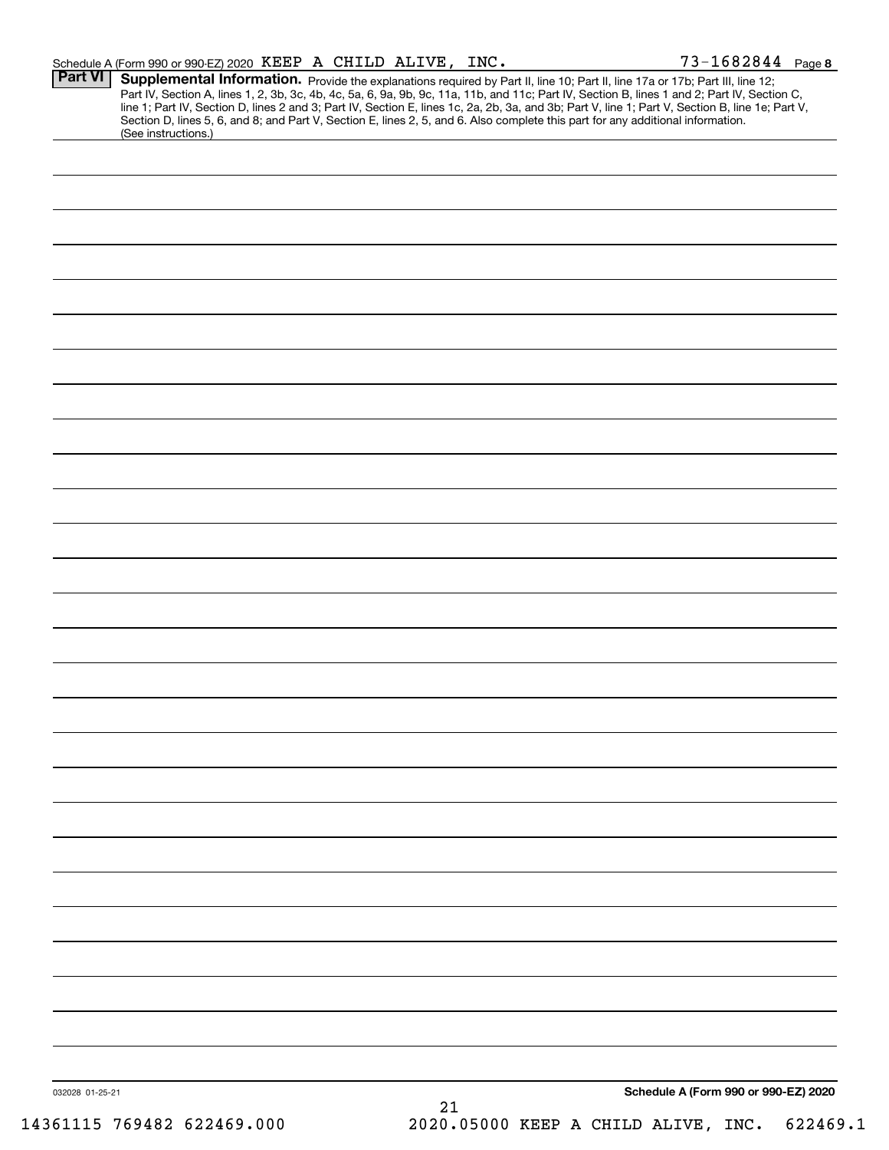| Schedule A (Form 990 or 990-EZ) 2020 KEEP A CHILD ALIVE, INC. |    | 73-1682844 Page 8                                                                                                                                                                                                                                                                                                                                                                                                                                                                                                                                                    |
|---------------------------------------------------------------|----|----------------------------------------------------------------------------------------------------------------------------------------------------------------------------------------------------------------------------------------------------------------------------------------------------------------------------------------------------------------------------------------------------------------------------------------------------------------------------------------------------------------------------------------------------------------------|
| <b>Part VI</b>                                                |    | Supplemental Information. Provide the explanations required by Part II, line 10; Part II, line 17a or 17b; Part III, line 12;<br>Part IV, Section A, lines 1, 2, 3b, 3c, 4b, 4c, 5a, 6, 9a, 9b, 9c, 11a, 11b, and 11c; Part IV, Section B, lines 1 and 2; Part IV, Section C,<br>line 1; Part IV, Section D, lines 2 and 3; Part IV, Section E, lines 1c, 2a, 2b, 3a, and 3b; Part V, line 1; Part V, Section B, line 1e; Part V,<br>Section D, lines 5, 6, and 8; and Part V, Section E, lines 2, 5, and 6. Also complete this part for any additional information. |
| (See instructions.)                                           |    |                                                                                                                                                                                                                                                                                                                                                                                                                                                                                                                                                                      |
|                                                               |    |                                                                                                                                                                                                                                                                                                                                                                                                                                                                                                                                                                      |
|                                                               |    |                                                                                                                                                                                                                                                                                                                                                                                                                                                                                                                                                                      |
|                                                               |    |                                                                                                                                                                                                                                                                                                                                                                                                                                                                                                                                                                      |
|                                                               |    |                                                                                                                                                                                                                                                                                                                                                                                                                                                                                                                                                                      |
|                                                               |    |                                                                                                                                                                                                                                                                                                                                                                                                                                                                                                                                                                      |
|                                                               |    |                                                                                                                                                                                                                                                                                                                                                                                                                                                                                                                                                                      |
|                                                               |    |                                                                                                                                                                                                                                                                                                                                                                                                                                                                                                                                                                      |
|                                                               |    |                                                                                                                                                                                                                                                                                                                                                                                                                                                                                                                                                                      |
|                                                               |    |                                                                                                                                                                                                                                                                                                                                                                                                                                                                                                                                                                      |
|                                                               |    |                                                                                                                                                                                                                                                                                                                                                                                                                                                                                                                                                                      |
|                                                               |    |                                                                                                                                                                                                                                                                                                                                                                                                                                                                                                                                                                      |
|                                                               |    |                                                                                                                                                                                                                                                                                                                                                                                                                                                                                                                                                                      |
|                                                               |    |                                                                                                                                                                                                                                                                                                                                                                                                                                                                                                                                                                      |
|                                                               |    |                                                                                                                                                                                                                                                                                                                                                                                                                                                                                                                                                                      |
|                                                               |    |                                                                                                                                                                                                                                                                                                                                                                                                                                                                                                                                                                      |
|                                                               |    |                                                                                                                                                                                                                                                                                                                                                                                                                                                                                                                                                                      |
|                                                               |    |                                                                                                                                                                                                                                                                                                                                                                                                                                                                                                                                                                      |
|                                                               |    |                                                                                                                                                                                                                                                                                                                                                                                                                                                                                                                                                                      |
|                                                               |    |                                                                                                                                                                                                                                                                                                                                                                                                                                                                                                                                                                      |
|                                                               |    |                                                                                                                                                                                                                                                                                                                                                                                                                                                                                                                                                                      |
|                                                               |    |                                                                                                                                                                                                                                                                                                                                                                                                                                                                                                                                                                      |
|                                                               |    |                                                                                                                                                                                                                                                                                                                                                                                                                                                                                                                                                                      |
|                                                               |    |                                                                                                                                                                                                                                                                                                                                                                                                                                                                                                                                                                      |
|                                                               |    |                                                                                                                                                                                                                                                                                                                                                                                                                                                                                                                                                                      |
|                                                               |    |                                                                                                                                                                                                                                                                                                                                                                                                                                                                                                                                                                      |
|                                                               |    |                                                                                                                                                                                                                                                                                                                                                                                                                                                                                                                                                                      |
|                                                               |    |                                                                                                                                                                                                                                                                                                                                                                                                                                                                                                                                                                      |
|                                                               |    |                                                                                                                                                                                                                                                                                                                                                                                                                                                                                                                                                                      |
|                                                               |    |                                                                                                                                                                                                                                                                                                                                                                                                                                                                                                                                                                      |
|                                                               |    |                                                                                                                                                                                                                                                                                                                                                                                                                                                                                                                                                                      |
|                                                               |    |                                                                                                                                                                                                                                                                                                                                                                                                                                                                                                                                                                      |
|                                                               |    |                                                                                                                                                                                                                                                                                                                                                                                                                                                                                                                                                                      |
|                                                               |    |                                                                                                                                                                                                                                                                                                                                                                                                                                                                                                                                                                      |
|                                                               |    |                                                                                                                                                                                                                                                                                                                                                                                                                                                                                                                                                                      |
| 032028 01-25-21                                               |    | Schedule A (Form 990 or 990-EZ) 2020                                                                                                                                                                                                                                                                                                                                                                                                                                                                                                                                 |
|                                                               | 21 |                                                                                                                                                                                                                                                                                                                                                                                                                                                                                                                                                                      |
| 14361115 769482 622469.000                                    |    | 2020.05000 KEEP A CHILD ALIVE, INC. 622469.1                                                                                                                                                                                                                                                                                                                                                                                                                                                                                                                         |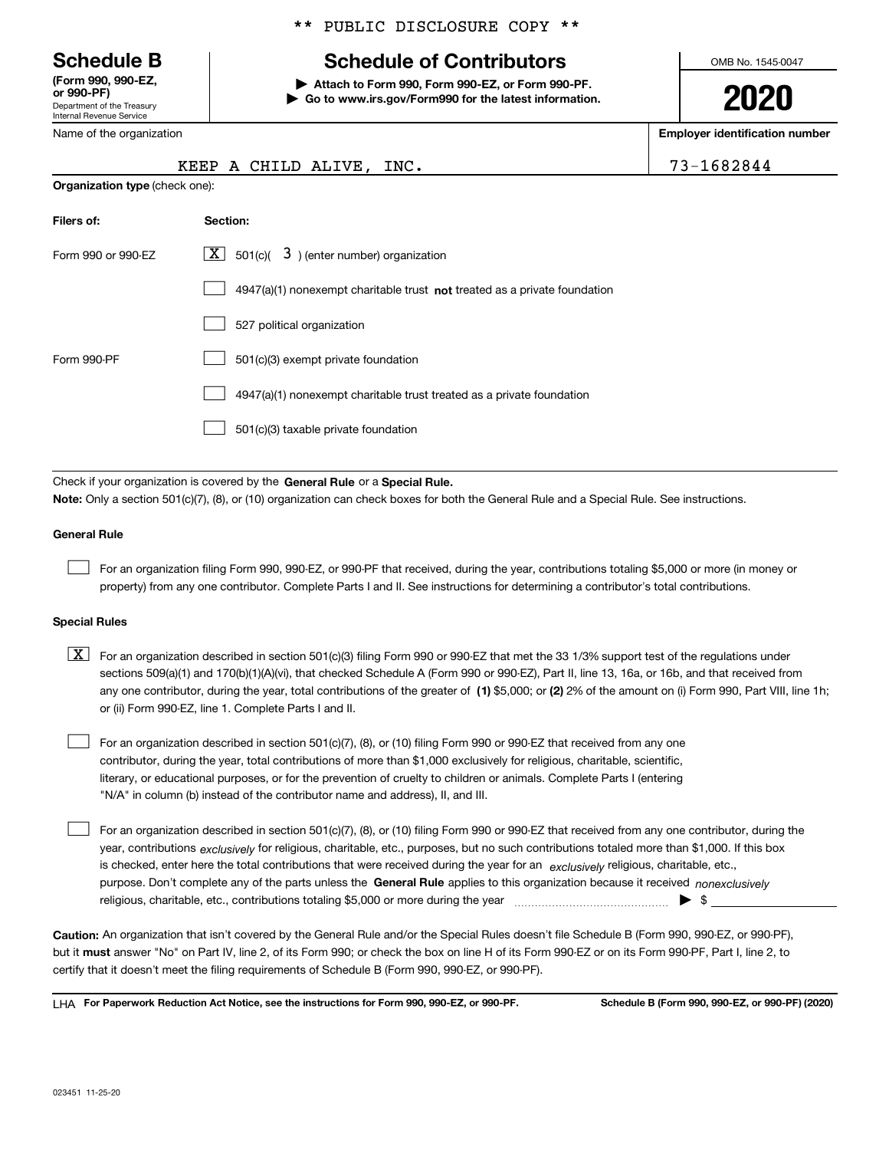Department of the Treasury Internal Revenue Service **(Form 990, 990-EZ, or 990-PF)**

Name of the organization

### \*\* PUBLIC DISCLOSURE COPY \*\*

# **Schedule B Schedule of Contributors**

**| Attach to Form 990, Form 990-EZ, or Form 990-PF. | Go to www.irs.gov/Form990 for the latest information.** OMB No. 1545-0047

**2020**

**Employer identification number**

|  |  |  | -1682844 |  |  |  |  |  |  |  |
|--|--|--|----------|--|--|--|--|--|--|--|
|--|--|--|----------|--|--|--|--|--|--|--|

|                                       | KEEP A CHILD ALIVE, | INC. | 73-1682844 |
|---------------------------------------|---------------------|------|------------|
| <b>Organization type (check one):</b> |                     |      |            |

| Filers of:         | Section:                                                                    |
|--------------------|-----------------------------------------------------------------------------|
| Form 990 or 990-EZ | $\lfloor \mathbf{X} \rfloor$ 501(c)( 3) (enter number) organization         |
|                    | $4947(a)(1)$ nonexempt charitable trust not treated as a private foundation |
|                    | 527 political organization                                                  |
| Form 990-PF        | 501(c)(3) exempt private foundation                                         |
|                    | 4947(a)(1) nonexempt charitable trust treated as a private foundation       |
|                    | 501(c)(3) taxable private foundation                                        |

Check if your organization is covered by the **General Rule** or a **Special Rule. Note:**  Only a section 501(c)(7), (8), or (10) organization can check boxes for both the General Rule and a Special Rule. See instructions.

#### **General Rule**

 $\mathcal{L}^{\text{max}}$ 

For an organization filing Form 990, 990-EZ, or 990-PF that received, during the year, contributions totaling \$5,000 or more (in money or property) from any one contributor. Complete Parts I and II. See instructions for determining a contributor's total contributions.

#### **Special Rules**

any one contributor, during the year, total contributions of the greater of  $\,$  (1) \$5,000; or **(2)** 2% of the amount on (i) Form 990, Part VIII, line 1h;  $\boxed{\textbf{X}}$  For an organization described in section 501(c)(3) filing Form 990 or 990-EZ that met the 33 1/3% support test of the regulations under sections 509(a)(1) and 170(b)(1)(A)(vi), that checked Schedule A (Form 990 or 990-EZ), Part II, line 13, 16a, or 16b, and that received from or (ii) Form 990-EZ, line 1. Complete Parts I and II.

For an organization described in section 501(c)(7), (8), or (10) filing Form 990 or 990-EZ that received from any one contributor, during the year, total contributions of more than \$1,000 exclusively for religious, charitable, scientific, literary, or educational purposes, or for the prevention of cruelty to children or animals. Complete Parts I (entering "N/A" in column (b) instead of the contributor name and address), II, and III.  $\mathcal{L}^{\text{max}}$ 

purpose. Don't complete any of the parts unless the **General Rule** applies to this organization because it received *nonexclusively* year, contributions <sub>exclusively</sub> for religious, charitable, etc., purposes, but no such contributions totaled more than \$1,000. If this box is checked, enter here the total contributions that were received during the year for an  $\;$ exclusively religious, charitable, etc., For an organization described in section 501(c)(7), (8), or (10) filing Form 990 or 990-EZ that received from any one contributor, during the religious, charitable, etc., contributions totaling \$5,000 or more during the year  $\Box$ — $\Box$   $\Box$  $\mathcal{L}^{\text{max}}$ 

**Caution:**  An organization that isn't covered by the General Rule and/or the Special Rules doesn't file Schedule B (Form 990, 990-EZ, or 990-PF),  **must** but it answer "No" on Part IV, line 2, of its Form 990; or check the box on line H of its Form 990-EZ or on its Form 990-PF, Part I, line 2, to certify that it doesn't meet the filing requirements of Schedule B (Form 990, 990-EZ, or 990-PF).

**For Paperwork Reduction Act Notice, see the instructions for Form 990, 990-EZ, or 990-PF. Schedule B (Form 990, 990-EZ, or 990-PF) (2020)** LHA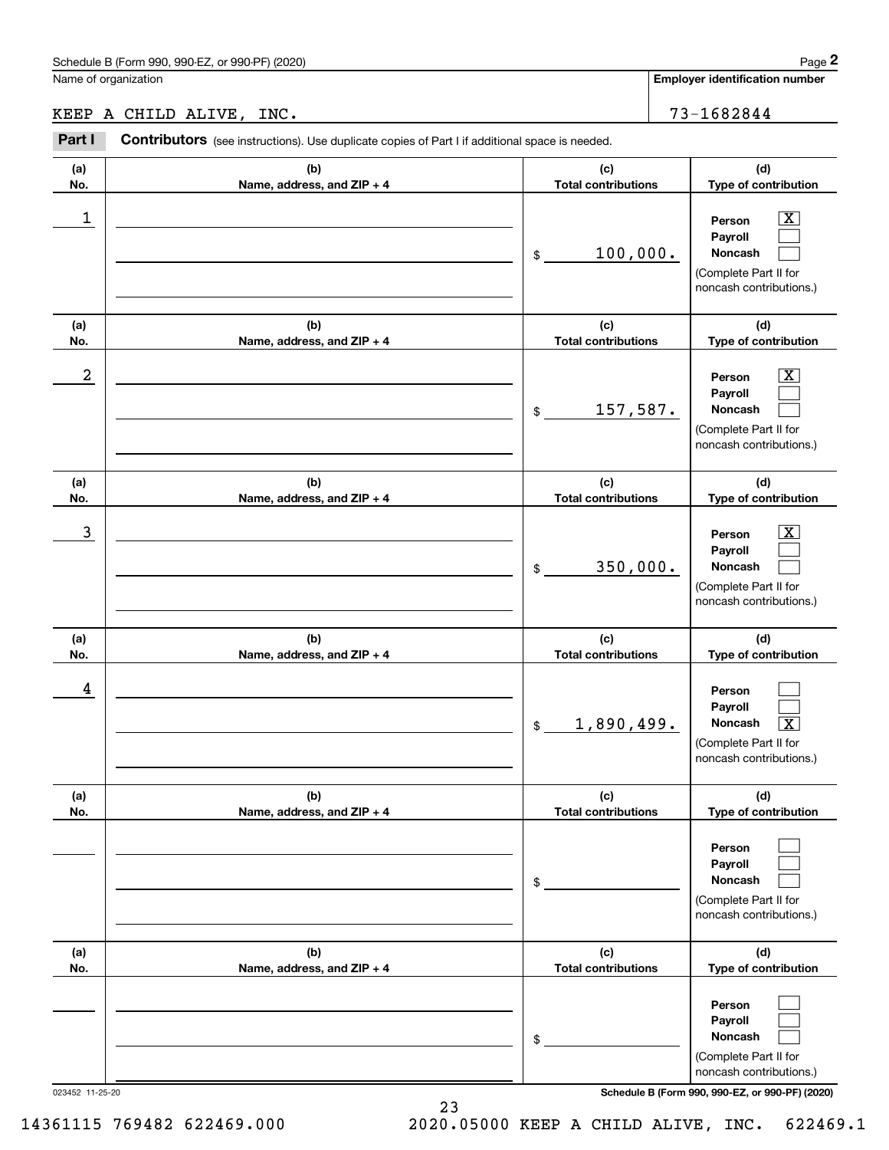|            | Schedule B (Form 990, 990-EZ, or 990-PF) (2020)                                                |                                   | Page 2                                                                                                      |
|------------|------------------------------------------------------------------------------------------------|-----------------------------------|-------------------------------------------------------------------------------------------------------------|
|            | Name of organization                                                                           |                                   | <b>Employer identification number</b>                                                                       |
|            | KEEP A CHILD ALIVE, INC.                                                                       |                                   | 73-1682844                                                                                                  |
| Part I     | Contributors (see instructions). Use duplicate copies of Part I if additional space is needed. |                                   |                                                                                                             |
| (a)<br>No. | (b)<br>Name, address, and ZIP + 4                                                              | (c)<br><b>Total contributions</b> | (d)<br>Type of contribution                                                                                 |
| 1          |                                                                                                | 100,000.<br>\$                    | $\overline{\mathbf{X}}$<br>Person<br>Payroll<br>Noncash<br>(Complete Part II for<br>noncash contributions.) |
| (a)<br>No. | (b)<br>Name, address, and ZIP + 4                                                              | (c)<br><b>Total contributions</b> | (d)<br>Type of contribution                                                                                 |
| 2          |                                                                                                | 157,587.<br>\$                    | $\overline{\text{X}}$<br>Person<br>Payroll<br>Noncash<br>(Complete Part II for<br>noncash contributions.)   |
| (a)<br>No. | (b)<br>Name, address, and ZIP + 4                                                              | (c)<br><b>Total contributions</b> | (d)<br>Type of contribution                                                                                 |
| 3          |                                                                                                | 350,000.<br>\$                    | $\overline{\text{X}}$<br>Person<br>Payroll<br>Noncash<br>(Complete Part II for<br>noncash contributions.)   |
| (a)<br>No. | (b)<br>Name, address, and ZIP + 4                                                              | (c)<br><b>Total contributions</b> | (d)<br>Type of contribution                                                                                 |
| 4          |                                                                                                | 1,890,499.<br>\$                  | Person<br>Payroll<br>Noncash<br>$\boxed{\text{X}}$<br>(Complete Part II for<br>noncash contributions.)      |
| (a)<br>No. | (b)<br>Name, address, and ZIP + 4                                                              | (c)<br><b>Total contributions</b> | (d)<br>Type of contribution                                                                                 |
|            |                                                                                                | \$                                | Person<br>Payroll<br>Noncash<br>(Complete Part II for<br>noncash contributions.)                            |
| (a)<br>No. | (b)<br>Name, address, and ZIP + 4                                                              | (c)<br><b>Total contributions</b> | (d)<br>Type of contribution                                                                                 |
|            |                                                                                                | \$                                | Person<br>Payroll<br>Noncash<br>(Complete Part II for<br>noncash contributions.)                            |

023452 11-25-20 **Schedule B (Form 990, 990-EZ, or 990-PF) (2020)**

23 14361115 769482 622469.000 2020.05000 KEEP A CHILD ALIVE, INC. 622469.1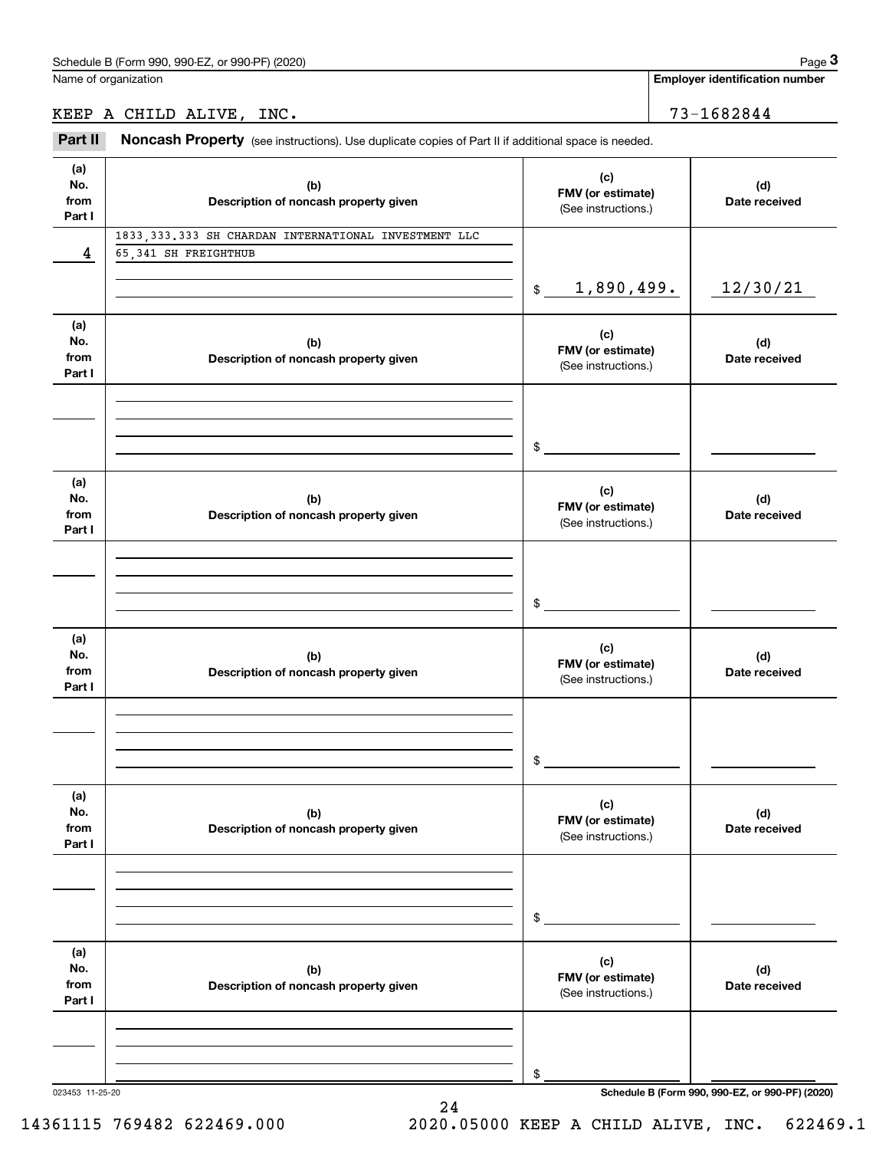**Employer identification number**

KEEP A CHILD ALIVE, INC. 73-1682844

Chedule B (Form 990, 990-EZ, or 990-PF) (2020)<br>
lame of organization<br> **2Part II ACHILD ALIVE, INC.**<br>
2Part II **Noncash Property** (see instructions). Use duplicate copies of Part II if additional space is needed.

| (a)             |                                                       | (c)                         |                                                 |
|-----------------|-------------------------------------------------------|-----------------------------|-------------------------------------------------|
| No.             | (b)                                                   | FMV (or estimate)           | (d)                                             |
| from            | Description of noncash property given                 | (See instructions.)         | Date received                                   |
| Part I          |                                                       |                             |                                                 |
|                 | 1833, 333.333 SH CHARDAN INTERNATIONAL INVESTMENT LLC |                             |                                                 |
| 4               | 65,341 SH FREIGHTHUB                                  |                             |                                                 |
|                 |                                                       |                             |                                                 |
|                 |                                                       | 1,890,499.<br>$\frac{1}{2}$ | 12/30/21                                        |
|                 |                                                       |                             |                                                 |
| (a)<br>No.      |                                                       | (c)                         |                                                 |
| from            | (b)<br>Description of noncash property given          | FMV (or estimate)           | (d)<br>Date received                            |
| Part I          |                                                       | (See instructions.)         |                                                 |
|                 |                                                       |                             |                                                 |
|                 |                                                       |                             |                                                 |
|                 |                                                       |                             |                                                 |
|                 |                                                       | $\mathfrak s$               |                                                 |
|                 |                                                       |                             |                                                 |
| (a)             |                                                       |                             |                                                 |
| No.             | (b)                                                   | (c)                         | (d)                                             |
| from            | Description of noncash property given                 | FMV (or estimate)           | Date received                                   |
| Part I          |                                                       | (See instructions.)         |                                                 |
|                 |                                                       |                             |                                                 |
|                 |                                                       |                             |                                                 |
|                 |                                                       |                             |                                                 |
|                 |                                                       | \$                          |                                                 |
|                 |                                                       |                             |                                                 |
| (a)             |                                                       | (c)                         |                                                 |
| No.             | (b)                                                   | FMV (or estimate)           | (d)                                             |
| from            | Description of noncash property given                 | (See instructions.)         | Date received                                   |
| Part I          |                                                       |                             |                                                 |
|                 |                                                       |                             |                                                 |
|                 |                                                       |                             |                                                 |
|                 |                                                       |                             |                                                 |
|                 |                                                       | \$                          |                                                 |
|                 |                                                       |                             |                                                 |
| (a)             |                                                       | (c)                         |                                                 |
| No.<br>from     | (b)<br>Description of noncash property given          | FMV (or estimate)           | (d)<br>Date received                            |
| Part I          |                                                       | (See instructions.)         |                                                 |
|                 |                                                       |                             |                                                 |
|                 |                                                       |                             |                                                 |
|                 |                                                       |                             |                                                 |
|                 |                                                       | \$                          |                                                 |
|                 |                                                       |                             |                                                 |
| (a)             |                                                       |                             |                                                 |
| No.             | (b)                                                   | (c)                         | (d)                                             |
| from            | Description of noncash property given                 | FMV (or estimate)           | Date received                                   |
| Part I          |                                                       | (See instructions.)         |                                                 |
|                 |                                                       |                             |                                                 |
|                 |                                                       |                             |                                                 |
|                 |                                                       |                             |                                                 |
|                 |                                                       | \$                          |                                                 |
| 023453 11-25-20 |                                                       |                             | Schedule B (Form 990, 990-EZ, or 990-PF) (2020) |

24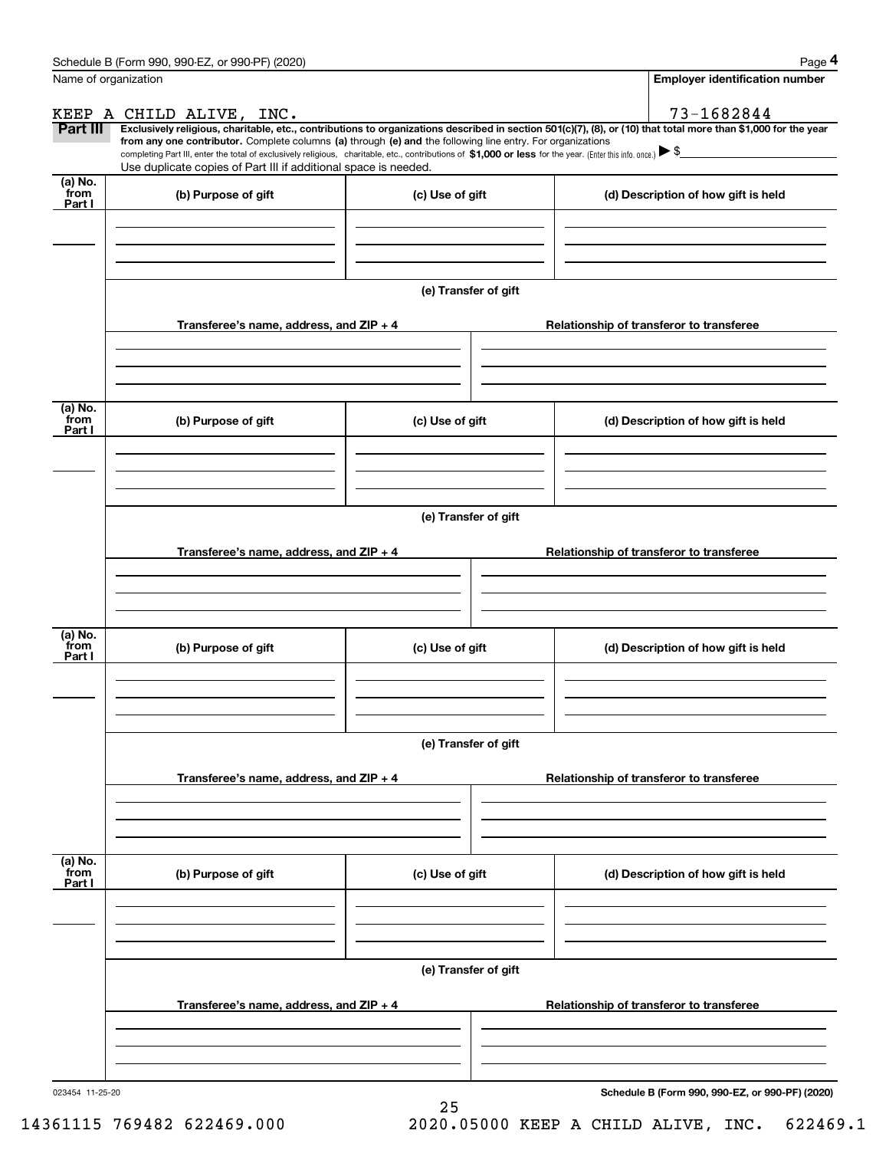|                           | Schedule B (Form 990, 990-EZ, or 990-PF) (2020)                                                                                                                                                                                                                              |                      | Page 4                                          |
|---------------------------|------------------------------------------------------------------------------------------------------------------------------------------------------------------------------------------------------------------------------------------------------------------------------|----------------------|-------------------------------------------------|
|                           | Name of organization                                                                                                                                                                                                                                                         |                      | Employer identification number                  |
|                           | KEEP A CHILD ALIVE, INC.                                                                                                                                                                                                                                                     |                      | 73-1682844                                      |
| Part III                  | Exclusively religious, charitable, etc., contributions to organizations described in section 501(c)(7), (8), or (10) that total more than \$1,000 for the year<br>from any one contributor. Complete columns (a) through (e) and the following line entry. For organizations |                      |                                                 |
|                           | completing Part III, enter the total of exclusively religious, charitable, etc., contributions of \$1,000 or less for the year. (Enter this info. once.) \\$                                                                                                                 |                      |                                                 |
| (a) No.                   | Use duplicate copies of Part III if additional space is needed.                                                                                                                                                                                                              |                      |                                                 |
| from<br>Part I            | (b) Purpose of gift                                                                                                                                                                                                                                                          | (c) Use of gift      | (d) Description of how gift is held             |
|                           |                                                                                                                                                                                                                                                                              |                      |                                                 |
|                           |                                                                                                                                                                                                                                                                              |                      |                                                 |
|                           |                                                                                                                                                                                                                                                                              |                      |                                                 |
|                           |                                                                                                                                                                                                                                                                              | (e) Transfer of gift |                                                 |
|                           | Transferee's name, address, and ZIP + 4                                                                                                                                                                                                                                      |                      | Relationship of transferor to transferee        |
|                           |                                                                                                                                                                                                                                                                              |                      |                                                 |
|                           |                                                                                                                                                                                                                                                                              |                      |                                                 |
|                           |                                                                                                                                                                                                                                                                              |                      |                                                 |
| (a) No.<br>from           | (b) Purpose of gift                                                                                                                                                                                                                                                          | (c) Use of gift      | (d) Description of how gift is held             |
| Part I                    |                                                                                                                                                                                                                                                                              |                      |                                                 |
|                           |                                                                                                                                                                                                                                                                              |                      |                                                 |
|                           |                                                                                                                                                                                                                                                                              |                      |                                                 |
|                           |                                                                                                                                                                                                                                                                              | (e) Transfer of gift |                                                 |
|                           |                                                                                                                                                                                                                                                                              |                      |                                                 |
|                           | Transferee's name, address, and $ZIP + 4$                                                                                                                                                                                                                                    |                      | Relationship of transferor to transferee        |
|                           |                                                                                                                                                                                                                                                                              |                      |                                                 |
|                           |                                                                                                                                                                                                                                                                              |                      |                                                 |
| (a) No.                   |                                                                                                                                                                                                                                                                              |                      |                                                 |
| from<br>Part I            | (b) Purpose of gift                                                                                                                                                                                                                                                          | (c) Use of gift      | (d) Description of how gift is held             |
|                           |                                                                                                                                                                                                                                                                              |                      |                                                 |
|                           |                                                                                                                                                                                                                                                                              |                      |                                                 |
|                           |                                                                                                                                                                                                                                                                              |                      |                                                 |
|                           |                                                                                                                                                                                                                                                                              | (e) Transfer of gift |                                                 |
|                           | Transferee's name, address, and ZIP + 4                                                                                                                                                                                                                                      |                      | Relationship of transferor to transferee        |
|                           |                                                                                                                                                                                                                                                                              |                      |                                                 |
|                           |                                                                                                                                                                                                                                                                              |                      |                                                 |
|                           |                                                                                                                                                                                                                                                                              |                      |                                                 |
| (a) No.<br>from<br>Part I | (b) Purpose of gift                                                                                                                                                                                                                                                          | (c) Use of gift      | (d) Description of how gift is held             |
|                           |                                                                                                                                                                                                                                                                              |                      |                                                 |
|                           |                                                                                                                                                                                                                                                                              |                      |                                                 |
|                           |                                                                                                                                                                                                                                                                              |                      |                                                 |
|                           |                                                                                                                                                                                                                                                                              | (e) Transfer of gift |                                                 |
|                           |                                                                                                                                                                                                                                                                              |                      |                                                 |
|                           | Transferee's name, address, and $ZIP + 4$                                                                                                                                                                                                                                    |                      | Relationship of transferor to transferee        |
|                           |                                                                                                                                                                                                                                                                              |                      |                                                 |
|                           |                                                                                                                                                                                                                                                                              |                      |                                                 |
| 023454 11-25-20           |                                                                                                                                                                                                                                                                              |                      | Schedule B (Form 990, 990-EZ, or 990-PF) (2020) |

25 14361115 769482 622469.000 2020.05000 KEEP A CHILD ALIVE, INC. 622469.1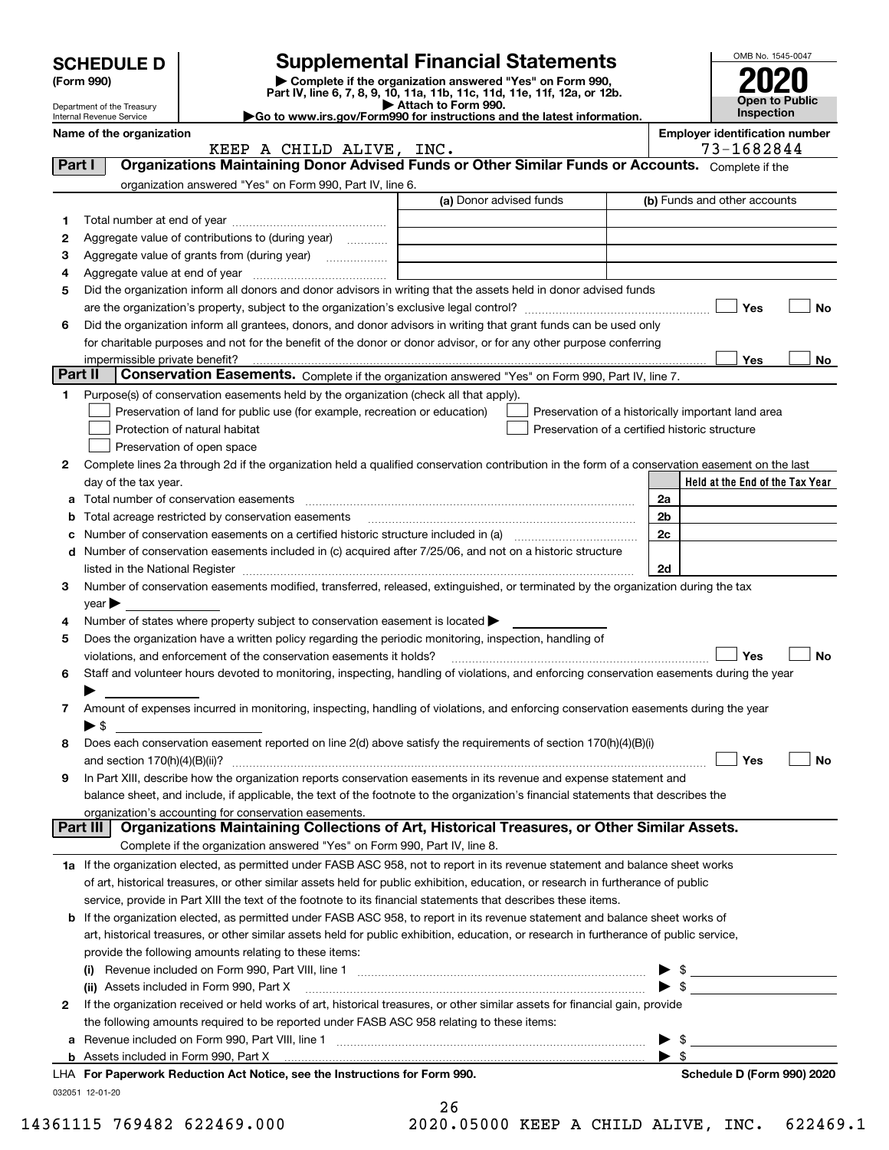|         | <b>SCHEDULE D</b>                                    |                                                                                                        | <b>Supplemental Financial Statements</b>                                                                                                                                                                                                |                          | OMB No. 1545-0047                     |
|---------|------------------------------------------------------|--------------------------------------------------------------------------------------------------------|-----------------------------------------------------------------------------------------------------------------------------------------------------------------------------------------------------------------------------------------|--------------------------|---------------------------------------|
|         | (Form 990)                                           |                                                                                                        | Complete if the organization answered "Yes" on Form 990,<br>Part IV, line 6, 7, 8, 9, 10, 11a, 11b, 11c, 11d, 11e, 11f, 12a, or 12b.                                                                                                    |                          |                                       |
|         | Department of the Treasury                           |                                                                                                        | Attach to Form 990.                                                                                                                                                                                                                     |                          | Open to Public<br><b>Inspection</b>   |
|         | Internal Revenue Service<br>Name of the organization |                                                                                                        | Go to www.irs.gov/Form990 for instructions and the latest information.                                                                                                                                                                  |                          | <b>Employer identification number</b> |
|         |                                                      | KEEP A CHILD ALIVE, INC.                                                                               |                                                                                                                                                                                                                                         |                          | 73-1682844                            |
| Part I  |                                                      |                                                                                                        | Organizations Maintaining Donor Advised Funds or Other Similar Funds or Accounts. Complete if the                                                                                                                                       |                          |                                       |
|         |                                                      | organization answered "Yes" on Form 990, Part IV, line 6.                                              |                                                                                                                                                                                                                                         |                          |                                       |
|         |                                                      |                                                                                                        | (a) Donor advised funds                                                                                                                                                                                                                 |                          | (b) Funds and other accounts          |
| 1       |                                                      |                                                                                                        |                                                                                                                                                                                                                                         |                          |                                       |
| 2       |                                                      | Aggregate value of contributions to (during year)                                                      |                                                                                                                                                                                                                                         |                          |                                       |
| з       |                                                      | Aggregate value of grants from (during year)                                                           |                                                                                                                                                                                                                                         |                          |                                       |
| 4       |                                                      |                                                                                                        |                                                                                                                                                                                                                                         |                          |                                       |
| 5       |                                                      |                                                                                                        | Did the organization inform all donors and donor advisors in writing that the assets held in donor advised funds                                                                                                                        |                          |                                       |
|         |                                                      |                                                                                                        |                                                                                                                                                                                                                                         |                          | Yes<br>No                             |
| 6       |                                                      |                                                                                                        | Did the organization inform all grantees, donors, and donor advisors in writing that grant funds can be used only<br>for charitable purposes and not for the benefit of the donor or donor advisor, or for any other purpose conferring |                          |                                       |
|         |                                                      |                                                                                                        |                                                                                                                                                                                                                                         |                          | Yes<br>No                             |
| Part II |                                                      |                                                                                                        | Conservation Easements. Complete if the organization answered "Yes" on Form 990, Part IV, line 7.                                                                                                                                       |                          |                                       |
| 1.      |                                                      | Purpose(s) of conservation easements held by the organization (check all that apply).                  |                                                                                                                                                                                                                                         |                          |                                       |
|         |                                                      | Preservation of land for public use (for example, recreation or education)                             | Preservation of a historically important land area                                                                                                                                                                                      |                          |                                       |
|         |                                                      | Protection of natural habitat                                                                          | Preservation of a certified historic structure                                                                                                                                                                                          |                          |                                       |
|         |                                                      | Preservation of open space                                                                             |                                                                                                                                                                                                                                         |                          |                                       |
| 2       |                                                      |                                                                                                        | Complete lines 2a through 2d if the organization held a qualified conservation contribution in the form of a conservation easement on the last                                                                                          |                          |                                       |
|         | day of the tax year.                                 |                                                                                                        |                                                                                                                                                                                                                                         |                          | Held at the End of the Tax Year       |
| а       |                                                      |                                                                                                        |                                                                                                                                                                                                                                         | 2a                       |                                       |
| b       |                                                      |                                                                                                        |                                                                                                                                                                                                                                         | 2b                       |                                       |
| c       |                                                      |                                                                                                        | Number of conservation easements on a certified historic structure included in (a) manufacture included in (a)                                                                                                                          | 2c                       |                                       |
|         |                                                      |                                                                                                        | d Number of conservation easements included in (c) acquired after 7/25/06, and not on a historic structure                                                                                                                              |                          |                                       |
|         |                                                      |                                                                                                        |                                                                                                                                                                                                                                         | 2d                       |                                       |
| 3       |                                                      |                                                                                                        | Number of conservation easements modified, transferred, released, extinguished, or terminated by the organization during the tax                                                                                                        |                          |                                       |
|         | $\gamma$ ear                                         |                                                                                                        |                                                                                                                                                                                                                                         |                          |                                       |
| 4       |                                                      | Number of states where property subject to conservation easement is located $\blacktriangleright$      |                                                                                                                                                                                                                                         |                          |                                       |
| 5       |                                                      | Does the organization have a written policy regarding the periodic monitoring, inspection, handling of |                                                                                                                                                                                                                                         |                          |                                       |
|         |                                                      | violations, and enforcement of the conservation easements it holds?                                    |                                                                                                                                                                                                                                         |                          | Yes<br>No                             |
| 6       |                                                      |                                                                                                        | Staff and volunteer hours devoted to monitoring, inspecting, handling of violations, and enforcing conservation easements during the year                                                                                               |                          |                                       |
|         | ▶                                                    |                                                                                                        |                                                                                                                                                                                                                                         |                          |                                       |
| 7       | $\blacktriangleright$ \$                             |                                                                                                        | Amount of expenses incurred in monitoring, inspecting, handling of violations, and enforcing conservation easements during the year                                                                                                     |                          |                                       |
| 8       |                                                      |                                                                                                        | Does each conservation easement reported on line 2(d) above satisfy the requirements of section 170(h)(4)(B)(i)                                                                                                                         |                          |                                       |
|         |                                                      |                                                                                                        |                                                                                                                                                                                                                                         |                          | Yes<br>No                             |
| 9       |                                                      |                                                                                                        | In Part XIII, describe how the organization reports conservation easements in its revenue and expense statement and                                                                                                                     |                          |                                       |
|         |                                                      |                                                                                                        | balance sheet, and include, if applicable, the text of the footnote to the organization's financial statements that describes the                                                                                                       |                          |                                       |
|         |                                                      | organization's accounting for conservation easements.                                                  |                                                                                                                                                                                                                                         |                          |                                       |
|         | Part III                                             |                                                                                                        | Organizations Maintaining Collections of Art, Historical Treasures, or Other Similar Assets.                                                                                                                                            |                          |                                       |
|         |                                                      | Complete if the organization answered "Yes" on Form 990, Part IV, line 8.                              |                                                                                                                                                                                                                                         |                          |                                       |
|         |                                                      |                                                                                                        | 1a If the organization elected, as permitted under FASB ASC 958, not to report in its revenue statement and balance sheet works                                                                                                         |                          |                                       |
|         |                                                      |                                                                                                        | of art, historical treasures, or other similar assets held for public exhibition, education, or research in furtherance of public                                                                                                       |                          |                                       |
|         |                                                      |                                                                                                        | service, provide in Part XIII the text of the footnote to its financial statements that describes these items.                                                                                                                          |                          |                                       |
|         |                                                      |                                                                                                        | <b>b</b> If the organization elected, as permitted under FASB ASC 958, to report in its revenue statement and balance sheet works of                                                                                                    |                          |                                       |
|         |                                                      |                                                                                                        | art, historical treasures, or other similar assets held for public exhibition, education, or research in furtherance of public service,                                                                                                 |                          |                                       |
|         |                                                      | provide the following amounts relating to these items:                                                 |                                                                                                                                                                                                                                         |                          |                                       |
|         |                                                      |                                                                                                        |                                                                                                                                                                                                                                         | \$                       |                                       |
|         |                                                      | (ii) Assets included in Form 990, Part X                                                               |                                                                                                                                                                                                                                         | $\blacktriangleright$ \$ |                                       |
| 2       |                                                      |                                                                                                        | If the organization received or held works of art, historical treasures, or other similar assets for financial gain, provide                                                                                                            |                          |                                       |
|         |                                                      | the following amounts required to be reported under FASB ASC 958 relating to these items:              |                                                                                                                                                                                                                                         |                          |                                       |
|         |                                                      |                                                                                                        |                                                                                                                                                                                                                                         | \$                       |                                       |
|         |                                                      | LHA For Paperwork Reduction Act Notice, see the Instructions for Form 990.                             |                                                                                                                                                                                                                                         | $\blacktriangleright$ \$ | Schedule D (Form 990) 2020            |
|         | 032051 12-01-20                                      |                                                                                                        |                                                                                                                                                                                                                                         |                          |                                       |
|         |                                                      |                                                                                                        | 26                                                                                                                                                                                                                                      |                          |                                       |

| - - |  |                   |  |
|-----|--|-------------------|--|
|     |  | 0.05000 KEEP A CI |  |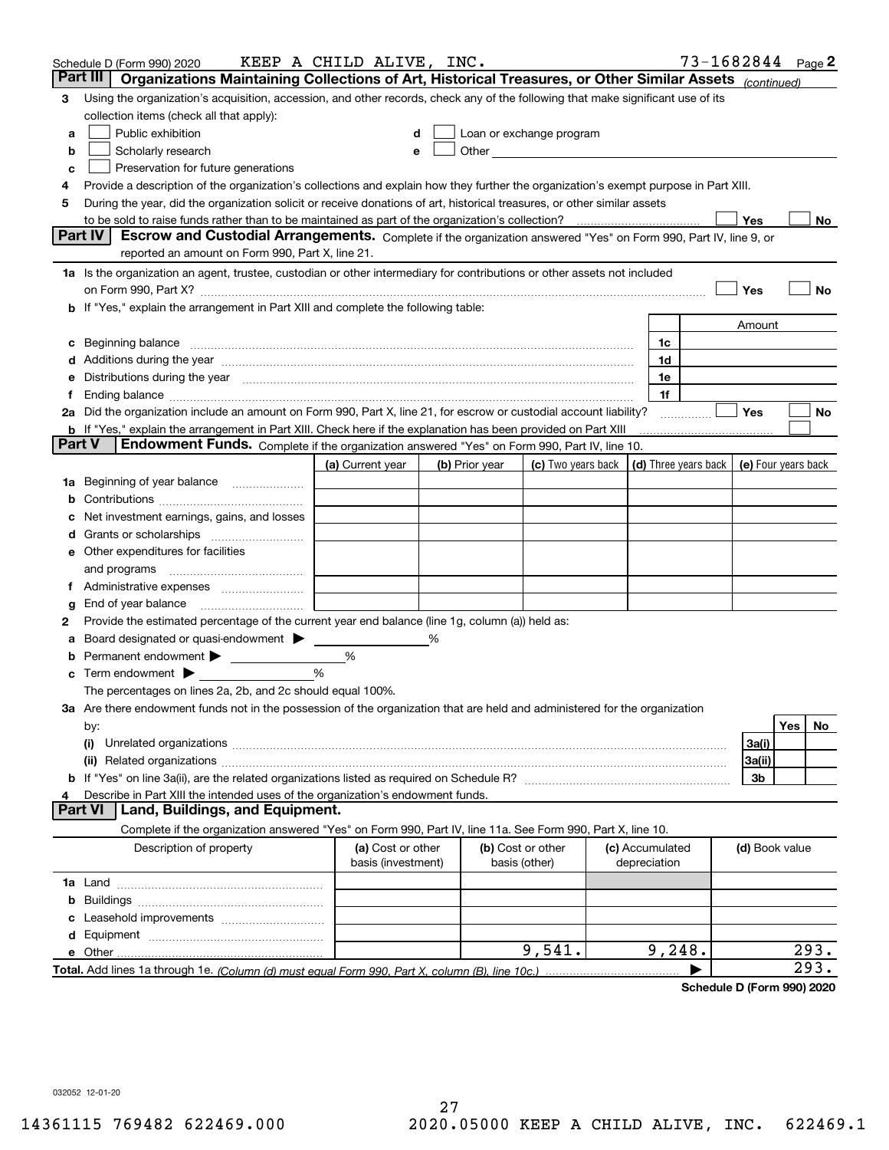|        | Schedule D (Form 990) 2020                                                                                                                                                                                                         | KEEP A CHILD ALIVE, INC. |   |                |                                                                                                                                                                                                                               |                 |              | 73-1682844 Page 2 |                     |     |      |
|--------|------------------------------------------------------------------------------------------------------------------------------------------------------------------------------------------------------------------------------------|--------------------------|---|----------------|-------------------------------------------------------------------------------------------------------------------------------------------------------------------------------------------------------------------------------|-----------------|--------------|-------------------|---------------------|-----|------|
|        | Part III<br>Organizations Maintaining Collections of Art, Historical Treasures, or Other Similar Assets (continued)                                                                                                                |                          |   |                |                                                                                                                                                                                                                               |                 |              |                   |                     |     |      |
| 3      | Using the organization's acquisition, accession, and other records, check any of the following that make significant use of its                                                                                                    |                          |   |                |                                                                                                                                                                                                                               |                 |              |                   |                     |     |      |
|        | collection items (check all that apply):                                                                                                                                                                                           |                          |   |                |                                                                                                                                                                                                                               |                 |              |                   |                     |     |      |
| a      | Public exhibition                                                                                                                                                                                                                  |                          |   |                | Loan or exchange program                                                                                                                                                                                                      |                 |              |                   |                     |     |      |
| b      | Scholarly research                                                                                                                                                                                                                 |                          |   |                | Other and the contract of the contract of the contract of the contract of the contract of the contract of the contract of the contract of the contract of the contract of the contract of the contract of the contract of the |                 |              |                   |                     |     |      |
| с      | Preservation for future generations                                                                                                                                                                                                |                          |   |                |                                                                                                                                                                                                                               |                 |              |                   |                     |     |      |
| 4      | Provide a description of the organization's collections and explain how they further the organization's exempt purpose in Part XIII.                                                                                               |                          |   |                |                                                                                                                                                                                                                               |                 |              |                   |                     |     |      |
| 5      | During the year, did the organization solicit or receive donations of art, historical treasures, or other similar assets                                                                                                           |                          |   |                |                                                                                                                                                                                                                               |                 |              |                   |                     |     |      |
|        | to be sold to raise funds rather than to be maintained as part of the organization's collection?                                                                                                                                   |                          |   |                |                                                                                                                                                                                                                               |                 |              |                   | Yes                 |     | No   |
|        | Escrow and Custodial Arrangements. Complete if the organization answered "Yes" on Form 990, Part IV, line 9, or<br><b>Part IV</b>                                                                                                  |                          |   |                |                                                                                                                                                                                                                               |                 |              |                   |                     |     |      |
|        | reported an amount on Form 990, Part X, line 21.                                                                                                                                                                                   |                          |   |                |                                                                                                                                                                                                                               |                 |              |                   |                     |     |      |
|        | 1a Is the organization an agent, trustee, custodian or other intermediary for contributions or other assets not included                                                                                                           |                          |   |                |                                                                                                                                                                                                                               |                 |              |                   |                     |     |      |
|        | on Form 990, Part X? [11] matter contracts and contracts and contracts are contracted as a form 990, Part X?                                                                                                                       |                          |   |                |                                                                                                                                                                                                                               |                 |              |                   | Yes                 |     | No   |
|        | <b>b</b> If "Yes," explain the arrangement in Part XIII and complete the following table:                                                                                                                                          |                          |   |                |                                                                                                                                                                                                                               |                 |              |                   |                     |     |      |
|        |                                                                                                                                                                                                                                    |                          |   |                |                                                                                                                                                                                                                               |                 |              |                   | Amount              |     |      |
| c      | Beginning balance <u>manual membershare communication</u> and the set of the set of the set of the set of the set of the set of the set of the set of the set of the set of the set of the set of the set of the set of the set of |                          |   |                |                                                                                                                                                                                                                               |                 | 1c           |                   |                     |     |      |
|        |                                                                                                                                                                                                                                    |                          |   |                |                                                                                                                                                                                                                               |                 | 1d           |                   |                     |     |      |
|        | e Distributions during the year manufactured and continuum and contained and the year manufactured and contained and the year manufactured and contained and contained and contained and contained and contained and contained     |                          |   |                |                                                                                                                                                                                                                               |                 | 1e           |                   |                     |     |      |
|        |                                                                                                                                                                                                                                    |                          |   |                |                                                                                                                                                                                                                               |                 | 1f           |                   |                     |     |      |
|        | 2a Did the organization include an amount on Form 990, Part X, line 21, for escrow or custodial account liability?                                                                                                                 |                          |   |                |                                                                                                                                                                                                                               |                 |              | .                 | Yes                 |     | No   |
|        | <b>b</b> If "Yes," explain the arrangement in Part XIII. Check here if the explanation has been provided on Part XIII                                                                                                              |                          |   |                |                                                                                                                                                                                                                               |                 |              |                   |                     |     |      |
| Part V | Endowment Funds. Complete if the organization answered "Yes" on Form 990, Part IV, line 10.                                                                                                                                        |                          |   |                |                                                                                                                                                                                                                               |                 |              |                   |                     |     |      |
|        |                                                                                                                                                                                                                                    | (a) Current year         |   | (b) Prior year | (c) Two years back $\vert$ (d) Three years back $\vert$                                                                                                                                                                       |                 |              |                   | (e) Four years back |     |      |
|        | 1a Beginning of year balance                                                                                                                                                                                                       |                          |   |                |                                                                                                                                                                                                                               |                 |              |                   |                     |     |      |
| b      |                                                                                                                                                                                                                                    |                          |   |                |                                                                                                                                                                                                                               |                 |              |                   |                     |     |      |
|        | Net investment earnings, gains, and losses                                                                                                                                                                                         |                          |   |                |                                                                                                                                                                                                                               |                 |              |                   |                     |     |      |
|        |                                                                                                                                                                                                                                    |                          |   |                |                                                                                                                                                                                                                               |                 |              |                   |                     |     |      |
|        | e Other expenditures for facilities                                                                                                                                                                                                |                          |   |                |                                                                                                                                                                                                                               |                 |              |                   |                     |     |      |
|        |                                                                                                                                                                                                                                    |                          |   |                |                                                                                                                                                                                                                               |                 |              |                   |                     |     |      |
|        | f Administrative expenses                                                                                                                                                                                                          |                          |   |                |                                                                                                                                                                                                                               |                 |              |                   |                     |     |      |
| g      | End of year balance <i>manually contained</i>                                                                                                                                                                                      |                          |   |                |                                                                                                                                                                                                                               |                 |              |                   |                     |     |      |
| 2      | Provide the estimated percentage of the current year end balance (line 1g, column (a)) held as:                                                                                                                                    |                          |   |                |                                                                                                                                                                                                                               |                 |              |                   |                     |     |      |
| а      | Board designated or quasi-endowment                                                                                                                                                                                                |                          | % |                |                                                                                                                                                                                                                               |                 |              |                   |                     |     |      |
| b      | Permanent endowment >                                                                                                                                                                                                              | %                        |   |                |                                                                                                                                                                                                                               |                 |              |                   |                     |     |      |
|        | $\mathbf c$ Term endowment $\blacktriangleright$                                                                                                                                                                                   | %                        |   |                |                                                                                                                                                                                                                               |                 |              |                   |                     |     |      |
|        | The percentages on lines 2a, 2b, and 2c should equal 100%.                                                                                                                                                                         |                          |   |                |                                                                                                                                                                                                                               |                 |              |                   |                     |     |      |
|        | 3a Are there endowment funds not in the possession of the organization that are held and administered for the organization                                                                                                         |                          |   |                |                                                                                                                                                                                                                               |                 |              |                   |                     |     |      |
|        | by:                                                                                                                                                                                                                                |                          |   |                |                                                                                                                                                                                                                               |                 |              |                   |                     | Yes | No   |
|        | (i)                                                                                                                                                                                                                                |                          |   |                |                                                                                                                                                                                                                               |                 |              |                   | 3a(i)               |     |      |
|        |                                                                                                                                                                                                                                    |                          |   |                |                                                                                                                                                                                                                               |                 |              |                   | 3a(ii)              |     |      |
|        |                                                                                                                                                                                                                                    |                          |   |                |                                                                                                                                                                                                                               |                 |              |                   | 3b                  |     |      |
|        | Describe in Part XIII the intended uses of the organization's endowment funds.                                                                                                                                                     |                          |   |                |                                                                                                                                                                                                                               |                 |              |                   |                     |     |      |
|        | Land, Buildings, and Equipment.<br>Part VI                                                                                                                                                                                         |                          |   |                |                                                                                                                                                                                                                               |                 |              |                   |                     |     |      |
|        | Complete if the organization answered "Yes" on Form 990, Part IV, line 11a. See Form 990, Part X, line 10.                                                                                                                         |                          |   |                |                                                                                                                                                                                                                               |                 |              |                   |                     |     |      |
|        | Description of property                                                                                                                                                                                                            | (a) Cost or other        |   |                | (b) Cost or other                                                                                                                                                                                                             | (c) Accumulated |              |                   | (d) Book value      |     |      |
|        |                                                                                                                                                                                                                                    | basis (investment)       |   |                | basis (other)                                                                                                                                                                                                                 |                 | depreciation |                   |                     |     |      |
|        |                                                                                                                                                                                                                                    |                          |   |                |                                                                                                                                                                                                                               |                 |              |                   |                     |     |      |
| b      |                                                                                                                                                                                                                                    |                          |   |                |                                                                                                                                                                                                                               |                 |              |                   |                     |     |      |
|        |                                                                                                                                                                                                                                    |                          |   |                |                                                                                                                                                                                                                               |                 |              |                   |                     |     |      |
|        |                                                                                                                                                                                                                                    |                          |   |                |                                                                                                                                                                                                                               |                 |              |                   |                     |     |      |
|        |                                                                                                                                                                                                                                    |                          |   |                | 9,541.                                                                                                                                                                                                                        |                 | 9,248.       |                   |                     |     | 293. |
|        |                                                                                                                                                                                                                                    |                          |   |                |                                                                                                                                                                                                                               |                 |              |                   |                     |     | 293. |
|        |                                                                                                                                                                                                                                    |                          |   |                |                                                                                                                                                                                                                               |                 |              |                   |                     |     |      |

**Schedule D (Form 990) 2020**

032052 12-01-20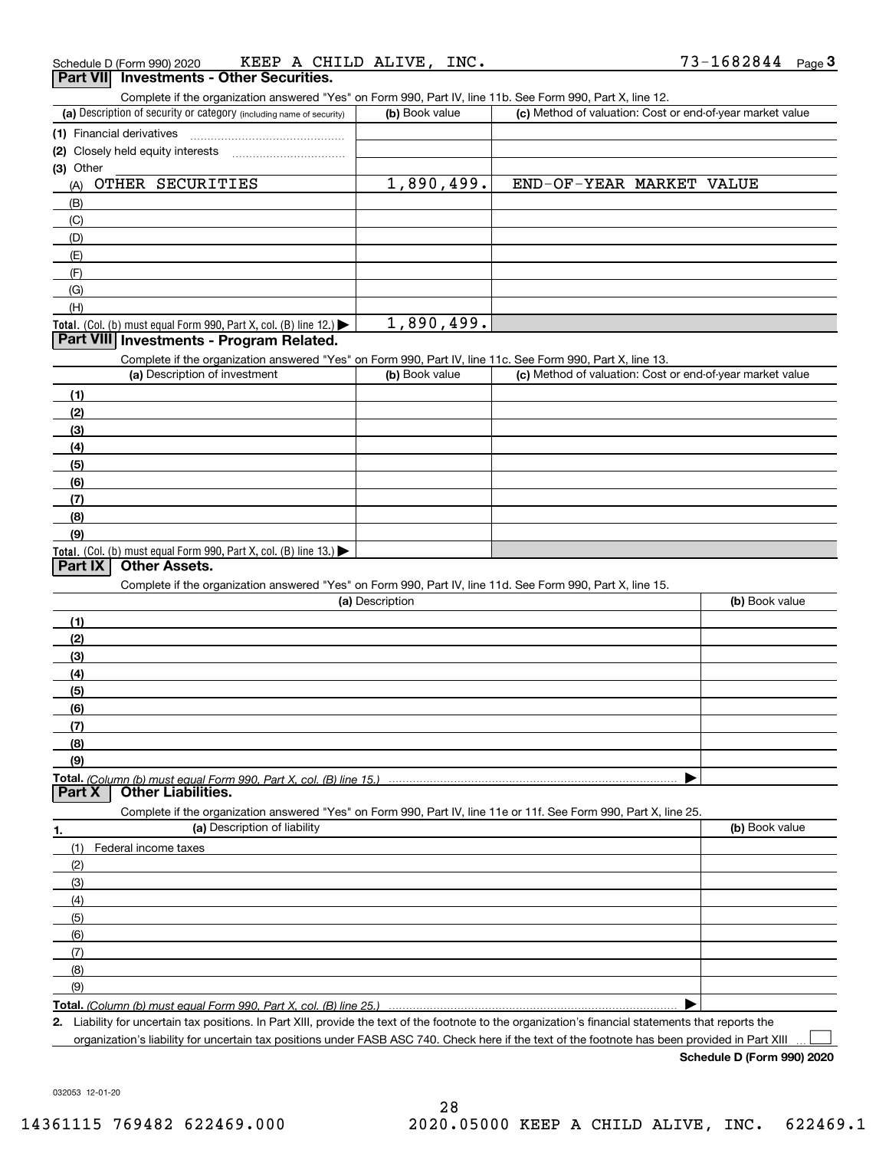| Schedule D (Form 990) 2020                      | A CHILD ALIVE. | INC.         | 1682844 |
|-------------------------------------------------|----------------|--------------|---------|
|                                                 | KEEP           | $\mathbf{v}$ | Page 3  |
| <b>Part VII</b> Investments - Other Securities. |                |              |         |

Complete if the organization answered "Yes" on Form 990, Part IV, line 11b. See Form 990, Part X, line 12.

| (a) Description of security or category (including name of security) | (b) Book value | (c) Method of valuation: Cost or end-of-year market value |
|----------------------------------------------------------------------|----------------|-----------------------------------------------------------|
| (1) Financial derivatives                                            |                |                                                           |
| (2) Closely held equity interests                                    |                |                                                           |
| (3) Other                                                            |                |                                                           |
| OTHER SECURITIES<br>(A)                                              | 1,890,499.     | END-OF-YEAR MARKET VALUE                                  |
| (B)                                                                  |                |                                                           |
| (C)                                                                  |                |                                                           |
| (D)                                                                  |                |                                                           |
| (E)                                                                  |                |                                                           |
| (F)                                                                  |                |                                                           |
| (G)                                                                  |                |                                                           |
| (H)                                                                  |                |                                                           |
| Total. (Col. (b) must equal Form 990, Part X, col. (B) line $12$ .)  | 1,890,499.     |                                                           |

### **Part VIII Investments - Program Related.**

Complete if the organization answered "Yes" on Form 990, Part IV, line 11c. See Form 990, Part X, line 13.

| (a) Description of investment                                       | (b) Book value | (c) Method of valuation: Cost or end-of-year market value |
|---------------------------------------------------------------------|----------------|-----------------------------------------------------------|
| (1)                                                                 |                |                                                           |
| (2)                                                                 |                |                                                           |
| $\frac{1}{2}$                                                       |                |                                                           |
| (4)                                                                 |                |                                                           |
| $\frac{1}{2}$                                                       |                |                                                           |
| (6)                                                                 |                |                                                           |
| $\sqrt{(7)}$                                                        |                |                                                           |
| (8)                                                                 |                |                                                           |
| (9)                                                                 |                |                                                           |
| Total. (Col. (b) must equal Form 990, Part X, col. (B) line $13.$ ) |                |                                                           |

### **Part IX Other Assets.**

Complete if the organization answered "Yes" on Form 990, Part IV, line 11d. See Form 990, Part X, line 15.

| (a) Description                                                                                                   | (b) Book value |
|-------------------------------------------------------------------------------------------------------------------|----------------|
| (1)                                                                                                               |                |
| (2)                                                                                                               |                |
| (3)                                                                                                               |                |
| (4)                                                                                                               |                |
| $\frac{1}{2}$ (5)                                                                                                 |                |
| (6)                                                                                                               |                |
|                                                                                                                   |                |
| (8)                                                                                                               |                |
| (9)                                                                                                               |                |
|                                                                                                                   |                |
| <b>Part X</b><br><b>Other Liabilities.</b>                                                                        |                |
| Complete if the organization answered "Yes" on Form 990, Part IV, line 11e or 11f. See Form 990, Part X, line 25. |                |

**1.(a)** Description of liability **Book value** Book value Book value Book value Book value (1)Federal income taxes (2)(3)(4)(5) (6)(7)(8)(9) $\blacktriangleright$ 

**Total.**  *(Column (b) must equal Form 990, Part X, col. (B) line 25.)* 

**2.**Liability for uncertain tax positions. In Part XIII, provide the text of the footnote to the organization's financial statements that reports the organization's liability for uncertain tax positions under FASB ASC 740. Check here if the text of the footnote has been provided in Part XIII

**Schedule D (Form 990) 2020**

 $\mathcal{L}^{\text{max}}$ 

032053 12-01-20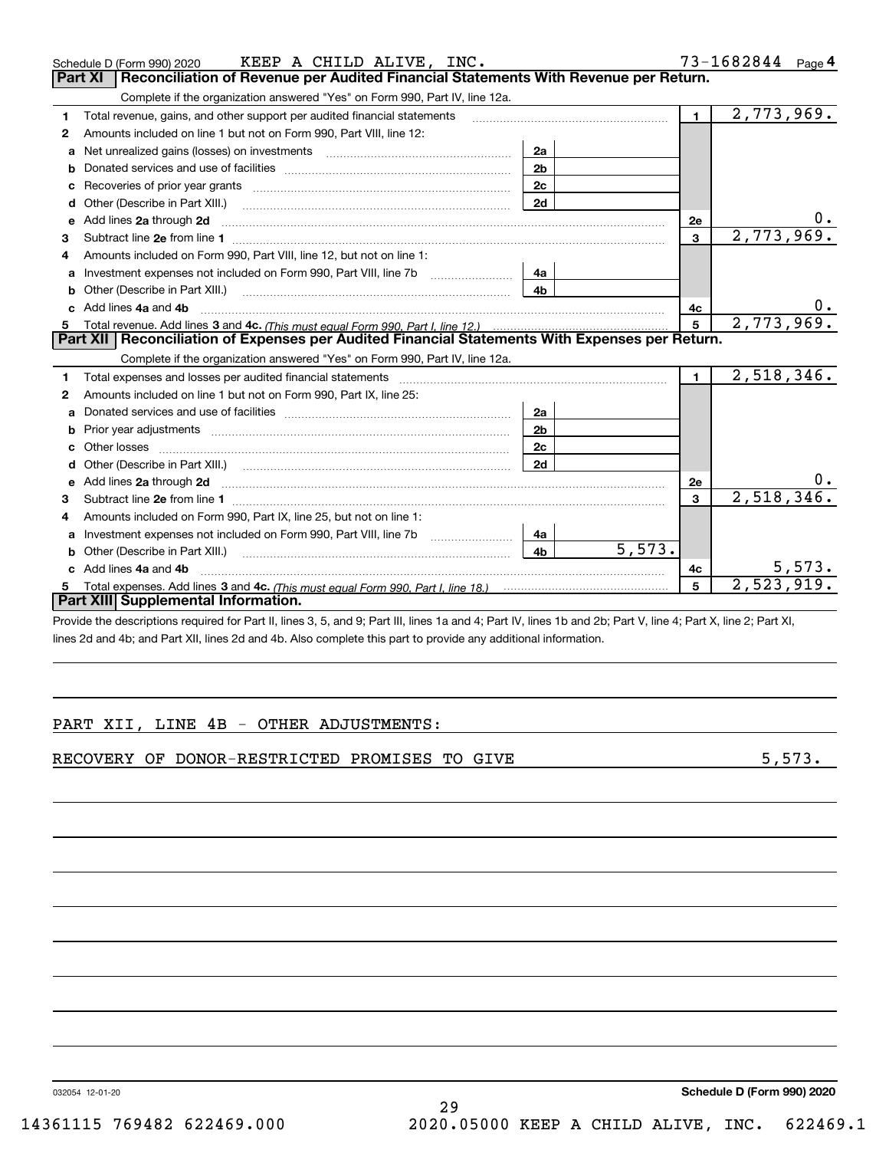|    | KEEP A CHILD ALIVE, INC.<br>Schedule D (Form 990) 2020                                                                                                                                                                         |                |        |              | 73-1682844 Page 4 |
|----|--------------------------------------------------------------------------------------------------------------------------------------------------------------------------------------------------------------------------------|----------------|--------|--------------|-------------------|
|    | Reconciliation of Revenue per Audited Financial Statements With Revenue per Return.<br>Part XI                                                                                                                                 |                |        |              |                   |
|    | Complete if the organization answered "Yes" on Form 990, Part IV, line 12a.                                                                                                                                                    |                |        |              |                   |
| 1. | Total revenue, gains, and other support per audited financial statements                                                                                                                                                       |                |        | 1            | 2,773,969.        |
| 2  | Amounts included on line 1 but not on Form 990, Part VIII, line 12:                                                                                                                                                            |                |        |              |                   |
| a  | Net unrealized gains (losses) on investments [11] matter contracts and the unrealized gains (losses) on investments                                                                                                            | 2a             |        |              |                   |
| b  |                                                                                                                                                                                                                                | 2 <sub>b</sub> |        |              |                   |
| c  | Recoveries of prior year grants [11, 120] matter control and prior year grants [11, 120] matter control and prior vertical matter of the control of the control of the control of the control of the control of the control of | 2c             |        |              |                   |
| d  | Other (Describe in Part XIII.)                                                                                                                                                                                                 | 2d             |        |              |                   |
| е  | Add lines 2a through 2d                                                                                                                                                                                                        |                |        | 2e           |                   |
| 3  |                                                                                                                                                                                                                                |                |        | 3            | 2,773,969.        |
| 4  | Amounts included on Form 990, Part VIII, line 12, but not on line 1:                                                                                                                                                           |                |        |              |                   |
| a  | Investment expenses not included on Form 990, Part VIII, line 7b                                                                                                                                                               | 4a             |        |              |                   |
| b  | Other (Describe in Part XIII.) [100] [100] [100] [100] [100] [100] [100] [100] [100] [100] [100] [100] [100] [                                                                                                                 | 4 <sub>b</sub> |        |              |                   |
|    | c Add lines 4a and 4b                                                                                                                                                                                                          |                |        | 4c           | 0.                |
|    |                                                                                                                                                                                                                                |                |        | 5            | 2,773,969.        |
|    | Part XII   Reconciliation of Expenses per Audited Financial Statements With Expenses per Return.                                                                                                                               |                |        |              |                   |
|    |                                                                                                                                                                                                                                |                |        |              |                   |
|    | Complete if the organization answered "Yes" on Form 990, Part IV, line 12a.                                                                                                                                                    |                |        |              |                   |
| 1  | Total expenses and losses per audited financial statements [11] [11] Total expenses and losses per audited financial statements [11] [11] Total expenses and losses per audited financial statements                           |                |        | $\mathbf{1}$ | 2,518,346.        |
| 2  | Amounts included on line 1 but not on Form 990, Part IX, line 25:                                                                                                                                                              |                |        |              |                   |
| a  |                                                                                                                                                                                                                                | 2a             |        |              |                   |
| b  |                                                                                                                                                                                                                                | 2 <sub>b</sub> |        |              |                   |
| c  |                                                                                                                                                                                                                                | 2c             |        |              |                   |
| d  |                                                                                                                                                                                                                                | 2d             |        |              |                   |
| е  | Add lines 2a through 2d <b>contained a contained a contained a contained a</b> contained a contained a contact the set                                                                                                         |                |        | 2e           |                   |
| 3  |                                                                                                                                                                                                                                |                |        | 3            | 2,518,346.        |
| 4  | Amounts included on Form 990, Part IX, line 25, but not on line 1:                                                                                                                                                             |                |        |              |                   |
| a  | Investment expenses not included on Form 990, Part VIII, line 7b [100] [100] [100] [100] [100] [100] [100] [10                                                                                                                 | 4a             |        |              |                   |
|    | Other (Describe in Part XIII.)                                                                                                                                                                                                 | 4 <sub>b</sub> | 5,573. |              |                   |
|    | c Add lines 4a and 4b                                                                                                                                                                                                          |                |        | 4c           | 5,573.            |
|    | Part XIII Supplemental Information.                                                                                                                                                                                            |                |        | 5            | 2,523,919.        |

Provide the descriptions required for Part II, lines 3, 5, and 9; Part III, lines 1a and 4; Part IV, lines 1b and 2b; Part V, line 4; Part X, line 2; Part XI, lines 2d and 4b; and Part XII, lines 2d and 4b. Also complete this part to provide any additional information.

#### PART XII, LINE 4B - OTHER ADJUSTMENTS:

RECOVERY OF DONOR-RESTRICTED PROMISES TO GIVE **5**,573.

032054 12-01-20

29 14361115 769482 622469.000 2020.05000 KEEP A CHILD ALIVE, INC. 622469.1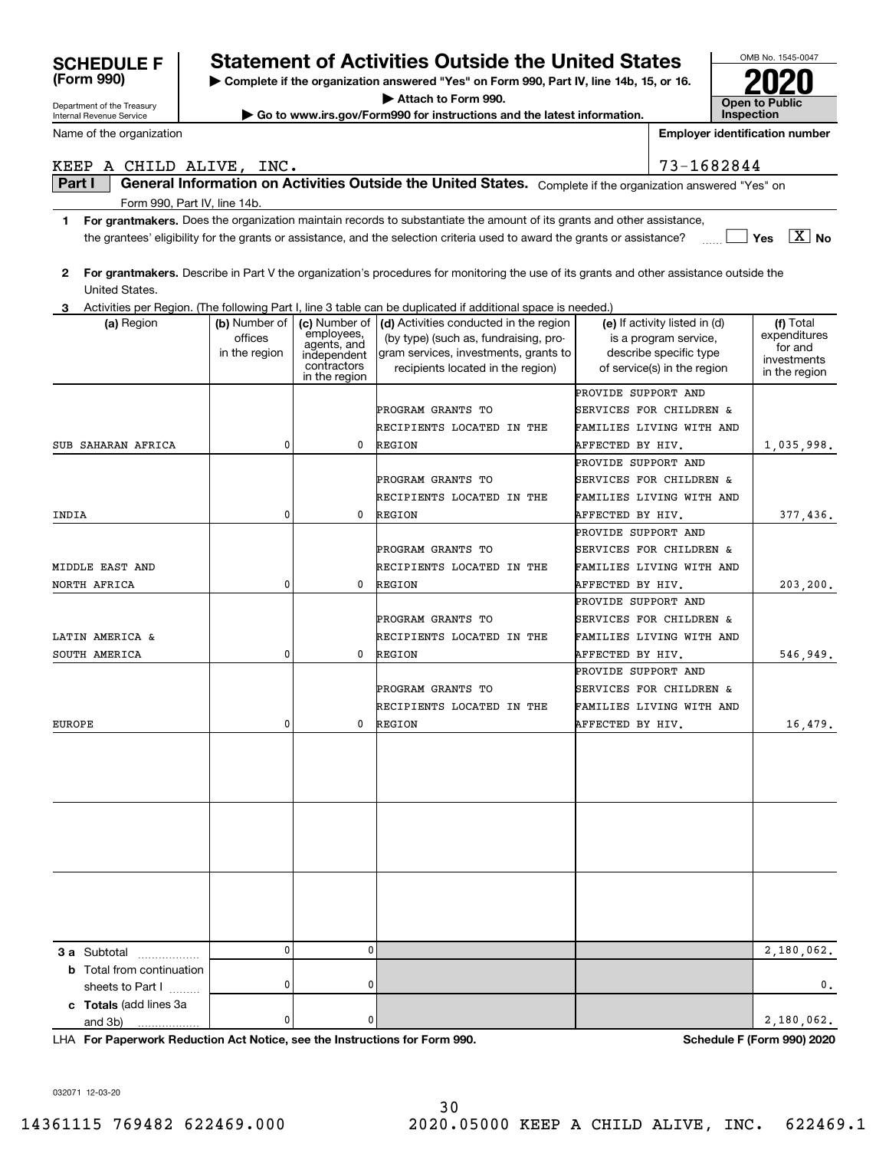| Department of the Treasury       | ----<br>Attach to Form 990.<br><b>Open to Public</b>                   |                             |                                                                                                                                         |                     |                                                 |                                       |  |  |  |
|----------------------------------|------------------------------------------------------------------------|-----------------------------|-----------------------------------------------------------------------------------------------------------------------------------------|---------------------|-------------------------------------------------|---------------------------------------|--|--|--|
| <b>Internal Revenue Service</b>  | Go to www.irs.gov/Form990 for instructions and the latest information. |                             |                                                                                                                                         |                     |                                                 |                                       |  |  |  |
| Name of the organization         |                                                                        |                             |                                                                                                                                         |                     |                                                 | <b>Employer identification number</b> |  |  |  |
|                                  | 73-1682844<br>KEEP A CHILD ALIVE, INC.                                 |                             |                                                                                                                                         |                     |                                                 |                                       |  |  |  |
| Part I                           |                                                                        |                             | General Information on Activities Outside the United States. Complete if the organization answered "Yes" on                             |                     |                                                 |                                       |  |  |  |
| Form 990, Part IV, line 14b.     |                                                                        |                             |                                                                                                                                         |                     |                                                 |                                       |  |  |  |
| 1                                |                                                                        |                             | For grantmakers. Does the organization maintain records to substantiate the amount of its grants and other assistance,                  |                     |                                                 |                                       |  |  |  |
|                                  |                                                                        |                             | the grantees' eligibility for the grants or assistance, and the selection criteria used to award the grants or assistance?              |                     |                                                 | $\overline{X}$ No<br><b>Yes</b>       |  |  |  |
| 2<br>United States.              |                                                                        |                             | For grantmakers. Describe in Part V the organization's procedures for monitoring the use of its grants and other assistance outside the |                     |                                                 |                                       |  |  |  |
| 3                                |                                                                        |                             | Activities per Region. (The following Part I, line 3 table can be duplicated if additional space is needed.)                            |                     |                                                 |                                       |  |  |  |
| (a) Region                       | (b) Number of                                                          | (c) Number of<br>employees, | (d) Activities conducted in the region                                                                                                  |                     | (e) If activity listed in (d)                   | (f) Total<br>expenditures             |  |  |  |
|                                  | offices<br>in the region                                               | agents, and<br>independent  | (by type) (such as, fundraising, pro-<br>gram services, investments, grants to                                                          |                     | is a program service,<br>describe specific type | for and                               |  |  |  |
|                                  |                                                                        | contractors                 | recipients located in the region)                                                                                                       |                     | of service(s) in the region                     | investments<br>in the region          |  |  |  |
|                                  |                                                                        | in the region               |                                                                                                                                         |                     |                                                 |                                       |  |  |  |
|                                  |                                                                        |                             | PROGRAM GRANTS TO                                                                                                                       | PROVIDE SUPPORT AND | SERVICES FOR CHILDREN &                         |                                       |  |  |  |
|                                  |                                                                        |                             | RECIPIENTS LOCATED IN THE                                                                                                               |                     | FAMILIES LIVING WITH AND                        |                                       |  |  |  |
| SUB SAHARAN AFRICA               | 0                                                                      | 0                           | <b>REGION</b>                                                                                                                           | AFFECTED BY HIV.    |                                                 | 1,035,998.                            |  |  |  |
|                                  |                                                                        |                             |                                                                                                                                         | PROVIDE SUPPORT AND |                                                 |                                       |  |  |  |
|                                  |                                                                        |                             | PROGRAM GRANTS TO                                                                                                                       |                     | SERVICES FOR CHILDREN &                         |                                       |  |  |  |
|                                  |                                                                        |                             | RECIPIENTS LOCATED IN THE                                                                                                               |                     | FAMILIES LIVING WITH AND                        |                                       |  |  |  |
| INDIA                            | 0                                                                      | 0                           | <b>REGION</b>                                                                                                                           | AFFECTED BY HIV.    |                                                 | 377,436.                              |  |  |  |
|                                  |                                                                        |                             |                                                                                                                                         | PROVIDE SUPPORT AND |                                                 |                                       |  |  |  |
|                                  |                                                                        |                             | PROGRAM GRANTS TO                                                                                                                       |                     | SERVICES FOR CHILDREN &                         |                                       |  |  |  |
| MIDDLE EAST AND                  |                                                                        |                             | RECIPIENTS LOCATED IN THE                                                                                                               |                     | FAMILIES LIVING WITH AND                        |                                       |  |  |  |
| NORTH AFRICA                     | 0                                                                      | 0                           | <b>REGION</b>                                                                                                                           | AFFECTED BY HIV.    |                                                 | 203,200.                              |  |  |  |
|                                  |                                                                        |                             |                                                                                                                                         | PROVIDE SUPPORT AND |                                                 |                                       |  |  |  |
|                                  |                                                                        |                             | PROGRAM GRANTS TO                                                                                                                       |                     | SERVICES FOR CHILDREN &                         |                                       |  |  |  |
| LATIN AMERICA &                  |                                                                        |                             | RECIPIENTS LOCATED IN THE                                                                                                               |                     | FAMILIES LIVING WITH AND                        |                                       |  |  |  |
| SOUTH AMERICA                    | 0                                                                      | 0                           | <b>REGION</b>                                                                                                                           | AFFECTED BY HIV.    |                                                 | 546,949.                              |  |  |  |
|                                  |                                                                        |                             |                                                                                                                                         | PROVIDE SUPPORT AND |                                                 |                                       |  |  |  |
|                                  |                                                                        |                             | PROGRAM GRANTS TO                                                                                                                       |                     | SERVICES FOR CHILDREN &                         |                                       |  |  |  |
|                                  |                                                                        |                             | RECIPIENTS LOCATED IN THE                                                                                                               |                     | FAMILIES LIVING WITH AND                        |                                       |  |  |  |
| <b>EUROPE</b>                    | 0                                                                      | 0                           | <b>REGION</b>                                                                                                                           | AFFECTED BY HIV.    |                                                 | 16,479.                               |  |  |  |
|                                  |                                                                        |                             |                                                                                                                                         |                     |                                                 |                                       |  |  |  |
|                                  |                                                                        |                             |                                                                                                                                         |                     |                                                 |                                       |  |  |  |
|                                  |                                                                        |                             |                                                                                                                                         |                     |                                                 |                                       |  |  |  |
|                                  |                                                                        |                             |                                                                                                                                         |                     |                                                 |                                       |  |  |  |
|                                  |                                                                        |                             |                                                                                                                                         |                     |                                                 |                                       |  |  |  |
|                                  |                                                                        |                             |                                                                                                                                         |                     |                                                 |                                       |  |  |  |
|                                  |                                                                        |                             |                                                                                                                                         |                     |                                                 |                                       |  |  |  |
|                                  |                                                                        |                             |                                                                                                                                         |                     |                                                 |                                       |  |  |  |
|                                  |                                                                        |                             |                                                                                                                                         |                     |                                                 |                                       |  |  |  |
|                                  |                                                                        |                             |                                                                                                                                         |                     |                                                 |                                       |  |  |  |
|                                  |                                                                        |                             |                                                                                                                                         |                     |                                                 |                                       |  |  |  |
| <b>3 a</b> Subtotal              | 0                                                                      | 0                           |                                                                                                                                         |                     |                                                 | 2,180,062.                            |  |  |  |
| <b>b</b> Total from continuation |                                                                        |                             |                                                                                                                                         |                     |                                                 |                                       |  |  |  |
| sheets to Part I                 | 0                                                                      | 0                           |                                                                                                                                         |                     |                                                 | 0.                                    |  |  |  |
| c Totals (add lines 3a           | 0                                                                      | 0                           |                                                                                                                                         |                     |                                                 | 2,180,062.                            |  |  |  |
| and 3b)                          |                                                                        |                             |                                                                                                                                         |                     |                                                 |                                       |  |  |  |

**| Complete if the organization answered "Yes" on Form 990, Part IV, line 14b, 15, or 16.**

**Statement of Activities Outside the United States** 

**For Paperwork Reduction Act Notice, see the Instructions for Form 990. Schedule F (Form 990) 2020** LHA

032071 12-03-20

and 3b)

**(Form 990)**

OMB No. 1545-0047

**2020**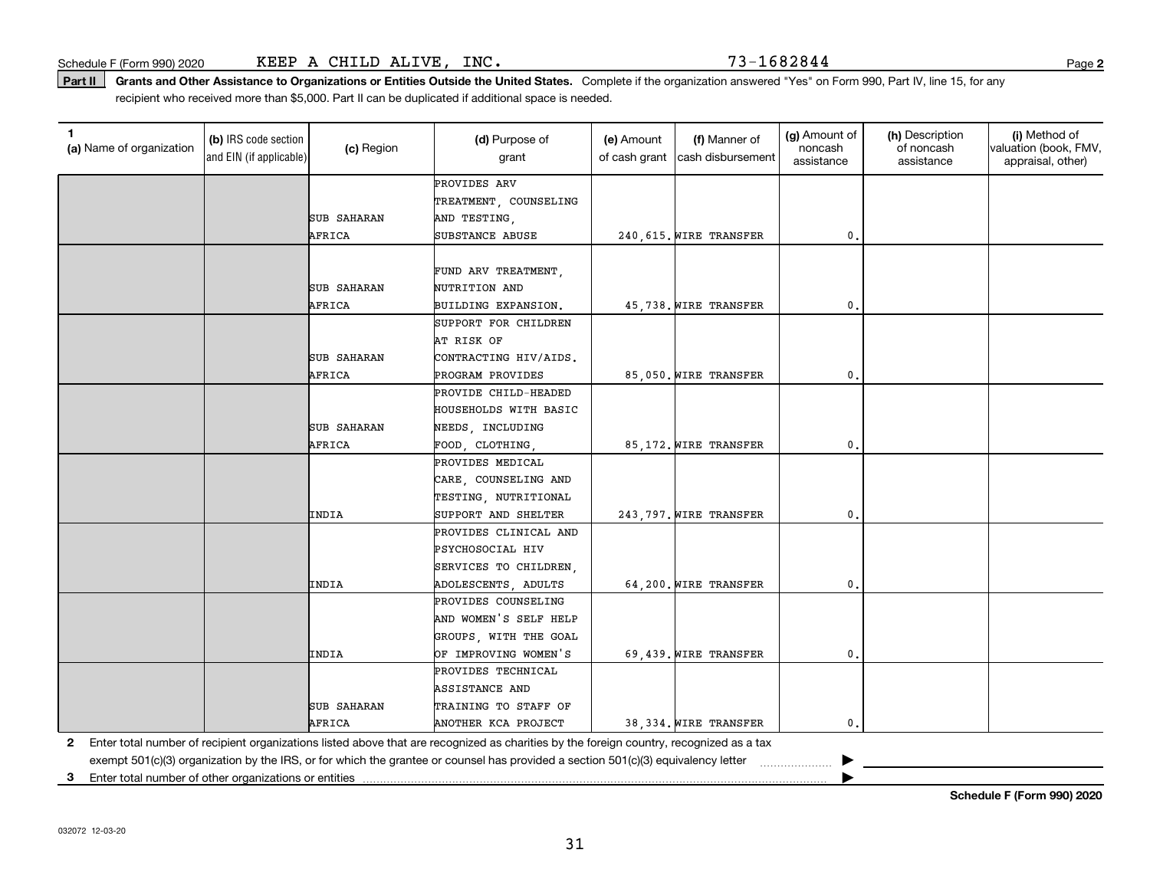**2**

Part II | Grants and Other Assistance to Organizations or Entities Outside the United States. Complete if the organization answered "Yes" on Form 990, Part IV, line 15, for any recipient who received more than \$5,000. Part II can be duplicated if additional space is needed.

| 1<br>(a) Name of organization | (b) IRS code section<br>and EIN (if applicable) | (c) Region         | (d) Purpose of<br>grant                                                                                                                 | (e) Amount<br>of cash grant | (f) Manner of<br>cash disbursement | (g) Amount of<br>noncash<br>assistance | (h) Description<br>of noncash<br>assistance | (i) Method of<br>valuation (book, FMV,<br>appraisal, other) |
|-------------------------------|-------------------------------------------------|--------------------|-----------------------------------------------------------------------------------------------------------------------------------------|-----------------------------|------------------------------------|----------------------------------------|---------------------------------------------|-------------------------------------------------------------|
|                               |                                                 |                    | PROVIDES ARV                                                                                                                            |                             |                                    |                                        |                                             |                                                             |
|                               |                                                 |                    | TREATMENT, COUNSELING                                                                                                                   |                             |                                    |                                        |                                             |                                                             |
|                               |                                                 | <b>SUB SAHARAN</b> | AND TESTING,                                                                                                                            |                             |                                    |                                        |                                             |                                                             |
|                               |                                                 | AFRICA             | SUBSTANCE ABUSE                                                                                                                         |                             | 240, 615. WIRE TRANSFER            | 0.                                     |                                             |                                                             |
|                               |                                                 |                    |                                                                                                                                         |                             |                                    |                                        |                                             |                                                             |
|                               |                                                 |                    | FUND ARV TREATMENT,                                                                                                                     |                             |                                    |                                        |                                             |                                                             |
|                               |                                                 | <b>SUB SAHARAN</b> | NUTRITION AND                                                                                                                           |                             |                                    |                                        |                                             |                                                             |
|                               |                                                 | AFRICA             | BUILDING EXPANSION.                                                                                                                     |                             | 45,738. WIRE TRANSFER              | 0.                                     |                                             |                                                             |
|                               |                                                 |                    | SUPPORT FOR CHILDREN                                                                                                                    |                             |                                    |                                        |                                             |                                                             |
|                               |                                                 |                    | AT RISK OF                                                                                                                              |                             |                                    |                                        |                                             |                                                             |
|                               |                                                 | <b>SUB SAHARAN</b> | CONTRACTING HIV/AIDS.                                                                                                                   |                             |                                    |                                        |                                             |                                                             |
|                               |                                                 | AFRICA             | PROGRAM PROVIDES                                                                                                                        |                             | 85,050. WIRE TRANSFER              | 0.                                     |                                             |                                                             |
|                               |                                                 |                    | PROVIDE CHILD-HEADED                                                                                                                    |                             |                                    |                                        |                                             |                                                             |
|                               |                                                 |                    | HOUSEHOLDS WITH BASIC                                                                                                                   |                             |                                    |                                        |                                             |                                                             |
|                               |                                                 | <b>SUB SAHARAN</b> | NEEDS, INCLUDING                                                                                                                        |                             |                                    |                                        |                                             |                                                             |
|                               |                                                 | AFRICA             | FOOD, CLOTHING,                                                                                                                         |                             | 85,172. WIRE TRANSFER              | $\mathbf{0}$ .                         |                                             |                                                             |
|                               |                                                 |                    | PROVIDES MEDICAL                                                                                                                        |                             |                                    |                                        |                                             |                                                             |
|                               |                                                 |                    | CARE, COUNSELING AND                                                                                                                    |                             |                                    |                                        |                                             |                                                             |
|                               |                                                 |                    | TESTING, NUTRITIONAL                                                                                                                    |                             |                                    |                                        |                                             |                                                             |
|                               |                                                 | INDIA              | SUPPORT AND SHELTER                                                                                                                     |                             | 243,797. WIRE TRANSFER             | 0.                                     |                                             |                                                             |
|                               |                                                 |                    | PROVIDES CLINICAL AND                                                                                                                   |                             |                                    |                                        |                                             |                                                             |
|                               |                                                 |                    | PSYCHOSOCIAL HIV                                                                                                                        |                             |                                    |                                        |                                             |                                                             |
|                               |                                                 |                    | SERVICES TO CHILDREN,                                                                                                                   |                             |                                    |                                        |                                             |                                                             |
|                               |                                                 | INDIA              | ADOLESCENTS, ADULTS                                                                                                                     |                             | 64,200. WIRE TRANSFER              | 0.                                     |                                             |                                                             |
|                               |                                                 |                    | PROVIDES COUNSELING                                                                                                                     |                             |                                    |                                        |                                             |                                                             |
|                               |                                                 |                    | AND WOMEN'S SELF HELP                                                                                                                   |                             |                                    |                                        |                                             |                                                             |
|                               |                                                 |                    | GROUPS, WITH THE GOAL                                                                                                                   |                             |                                    |                                        |                                             |                                                             |
|                               |                                                 | INDIA              | OF IMPROVING WOMEN'S                                                                                                                    |                             | 69,439. WIRE TRANSFER              | 0.                                     |                                             |                                                             |
|                               |                                                 |                    | PROVIDES TECHNICAL                                                                                                                      |                             |                                    |                                        |                                             |                                                             |
|                               |                                                 |                    | ASSISTANCE AND                                                                                                                          |                             |                                    |                                        |                                             |                                                             |
|                               |                                                 | <b>SUB SAHARAN</b> | TRAINING TO STAFF OF                                                                                                                    |                             |                                    |                                        |                                             |                                                             |
|                               |                                                 | AFRICA             | ANOTHER KCA PROJECT                                                                                                                     |                             | 38,334. WIRE TRANSFER              | $\mathbf{0}$ .                         |                                             |                                                             |
| 2                             |                                                 |                    | Enter total number of recipient organizations listed above that are recognized as charities by the foreign country, recognized as a tax |                             |                                    |                                        |                                             |                                                             |
|                               |                                                 |                    | exempt 501(c)(3) organization by the IRS, or for which the grantee or counsel has provided a section 501(c)(3) equivalency letter       |                             |                                    |                                        |                                             |                                                             |

**3**Enter total number of other organizations or entities |

**Schedule F (Form 990) 2020**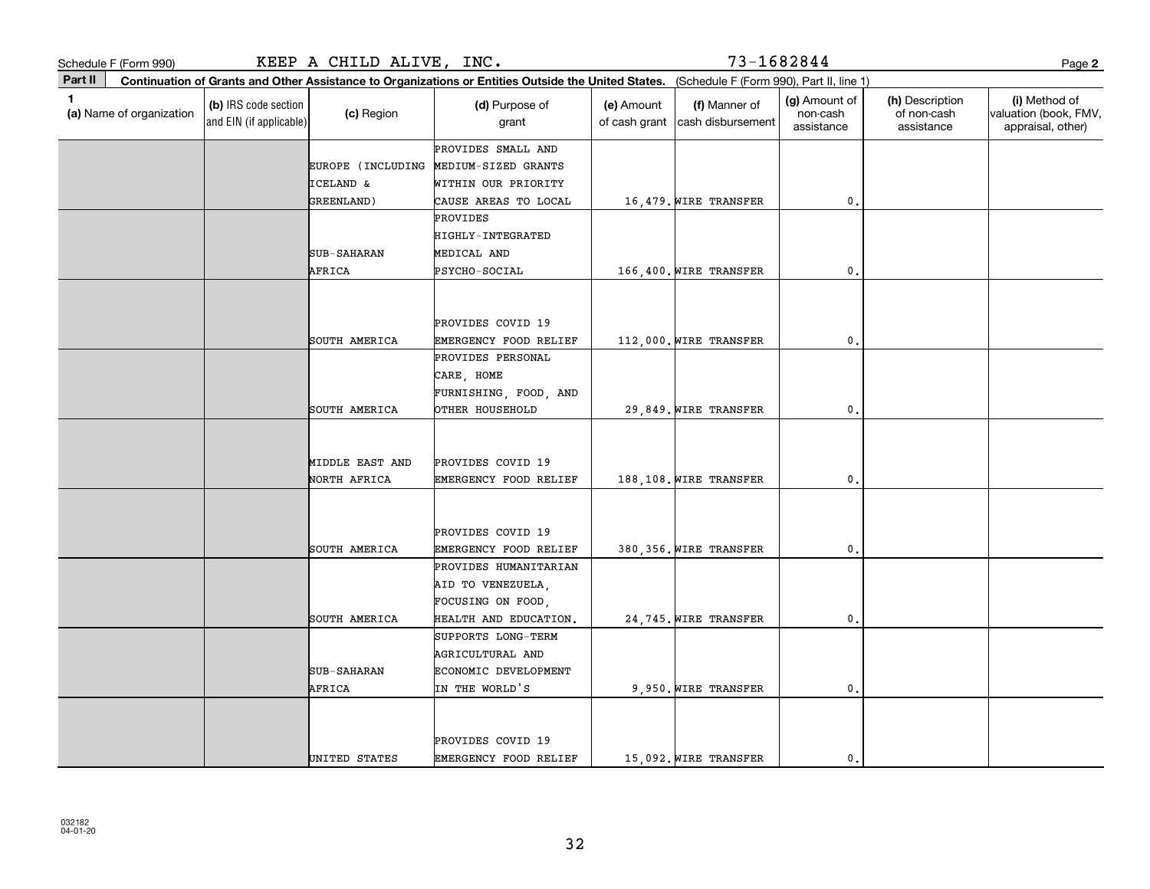| Schedule F (Form 990)                    |                                                 | KEEP A CHILD ALIVE, INC.                  |                                                                                                                                              |                             | 73-1682844                         |                                         |                                              | Page 2                                                      |
|------------------------------------------|-------------------------------------------------|-------------------------------------------|----------------------------------------------------------------------------------------------------------------------------------------------|-----------------------------|------------------------------------|-----------------------------------------|----------------------------------------------|-------------------------------------------------------------|
| Part II                                  |                                                 |                                           | Continuation of Grants and Other Assistance to Organizations or Entities Outside the United States. (Schedule F (Form 990), Part II, line 1) |                             |                                    |                                         |                                              |                                                             |
| $\mathbf{1}$<br>(a) Name of organization | (b) IRS code section<br>and EIN (if applicable) | (c) Region                                | (d) Purpose of<br>grant                                                                                                                      | (e) Amount<br>of cash grant | (f) Manner of<br>cash disbursement | (g) Amount of<br>non-cash<br>assistance | (h) Description<br>of non-cash<br>assistance | (i) Method of<br>valuation (book, FMV,<br>appraisal, other) |
|                                          |                                                 | EUROPE (INCLUDING<br><b>ICELAND &amp;</b> | PROVIDES SMALL AND<br>MEDIUM-SIZED GRANTS<br>WITHIN OUR PRIORITY                                                                             |                             |                                    |                                         |                                              |                                                             |
|                                          |                                                 | GREENLAND)                                | CAUSE AREAS TO LOCAL                                                                                                                         |                             | 16,479. WIRE TRANSFER              | $\mathfrak o$ .                         |                                              |                                                             |
|                                          |                                                 |                                           | PROVIDES<br>HIGHLY-INTEGRATED                                                                                                                |                             |                                    |                                         |                                              |                                                             |
|                                          |                                                 | <b>SUB-SAHARAN</b>                        | MEDICAL AND                                                                                                                                  |                             |                                    |                                         |                                              |                                                             |
|                                          |                                                 | AFRICA                                    | PSYCHO-SOCIAL<br>PROVIDES COVID 19                                                                                                           |                             | 166,400. WIRE TRANSFER             | $\mathbf{0}$                            |                                              |                                                             |
|                                          |                                                 | SOUTH AMERICA                             | EMERGENCY FOOD RELIEF                                                                                                                        |                             | 112,000. WIRE TRANSFER             | $\mathbf{0}$                            |                                              |                                                             |
|                                          |                                                 | SOUTH AMERICA                             | PROVIDES PERSONAL<br>CARE, HOME<br>FURNISHING, FOOD, AND<br>OTHER HOUSEHOLD                                                                  |                             | 29,849. WIRE TRANSFER              | 0.                                      |                                              |                                                             |
|                                          |                                                 | MIDDLE EAST AND<br>NORTH AFRICA           | PROVIDES COVID 19<br>EMERGENCY FOOD RELIEF                                                                                                   |                             | 188,108. WIRE TRANSFER             | $\mathbf{0}$                            |                                              |                                                             |
|                                          |                                                 | SOUTH AMERICA                             | PROVIDES COVID 19<br>EMERGENCY FOOD RELIEF                                                                                                   |                             | 380, 356. WIRE TRANSFER            | 0.                                      |                                              |                                                             |
|                                          |                                                 | SOUTH AMERICA                             | PROVIDES HUMANITARIAN<br>AID TO VENEZUELA,<br>FOCUSING ON FOOD,<br>HEALTH AND EDUCATION.                                                     |                             | 24,745. WIRE TRANSFER              | 0.                                      |                                              |                                                             |
|                                          |                                                 | <b>SUB-SAHARAN</b><br>AFRICA              | SUPPORTS LONG-TERM<br>AGRICULTURAL AND<br>ECONOMIC DEVELOPMENT<br>IN THE WORLD'S                                                             |                             | 9,950. WIRE TRANSFER               | 0.                                      |                                              |                                                             |
|                                          |                                                 | UNITED STATES                             | PROVIDES COVID 19<br>EMERGENCY FOOD RELIEF                                                                                                   |                             | 15,092. WIRE TRANSFER              | $\mathbf{0}$ .                          |                                              |                                                             |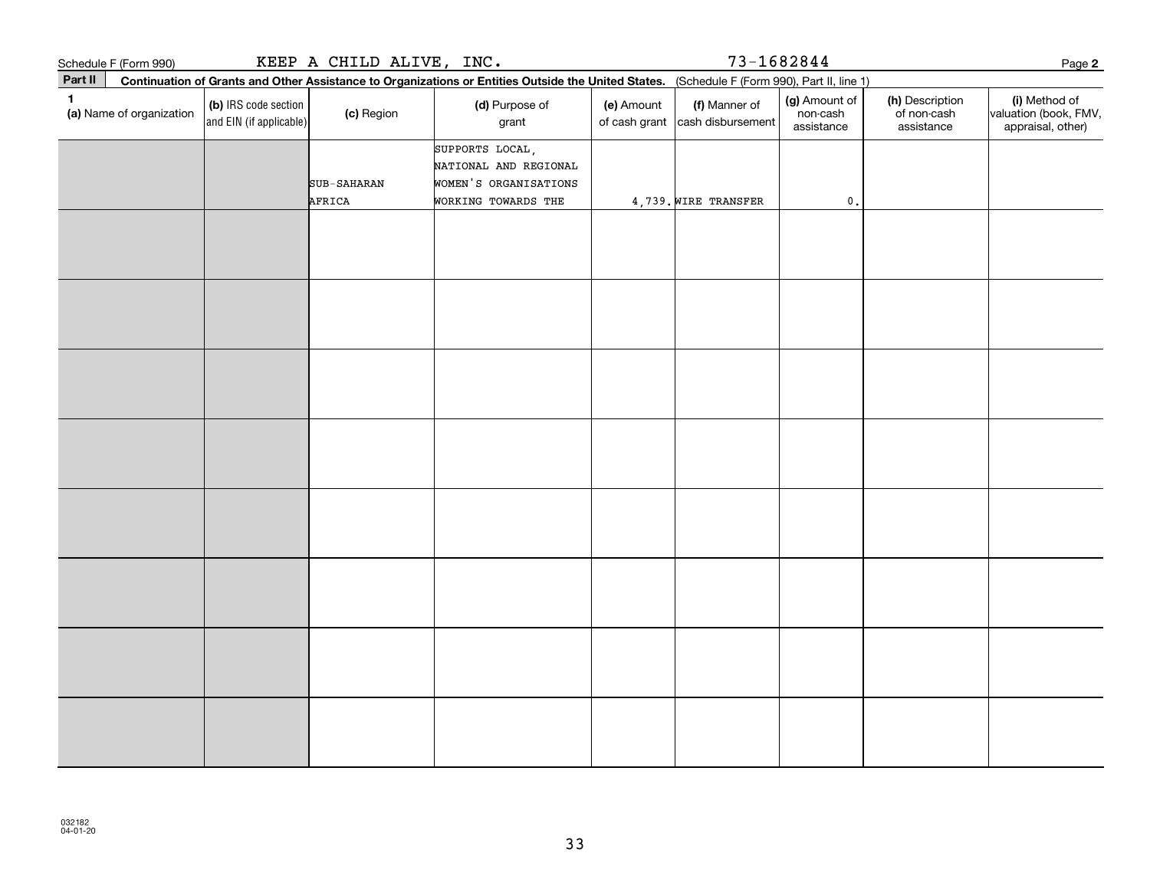| Schedule F (Form 990)         |                                                                                                                                              | KEEP A CHILD ALIVE, INC. |                                                                                          |            | $73 - 1682844$                                           |                                         |                                              | Page 2                                                      |
|-------------------------------|----------------------------------------------------------------------------------------------------------------------------------------------|--------------------------|------------------------------------------------------------------------------------------|------------|----------------------------------------------------------|-----------------------------------------|----------------------------------------------|-------------------------------------------------------------|
| Part II                       | Continuation of Grants and Other Assistance to Organizations or Entities Outside the United States. (Schedule F (Form 990), Part II, line 1) |                          |                                                                                          |            |                                                          |                                         |                                              |                                                             |
| 1<br>(a) Name of organization | (b) IRS code section<br>and EIN (if applicable)                                                                                              | (c) Region               | (d) Purpose of<br>grant                                                                  | (e) Amount | (f) Manner of<br>of cash grant $\vert$ cash disbursement | (g) Amount of<br>non-cash<br>assistance | (h) Description<br>of non-cash<br>assistance | (i) Method of<br>valuation (book, FMV,<br>appraisal, other) |
|                               |                                                                                                                                              | SUB-SAHARAN<br>AFRICA    | SUPPORTS LOCAL,<br>NATIONAL AND REGIONAL<br>WOMEN'S ORGANISATIONS<br>WORKING TOWARDS THE |            | 4,739. WIRE TRANSFER                                     | $\mathfrak o$ .                         |                                              |                                                             |
|                               |                                                                                                                                              |                          |                                                                                          |            |                                                          |                                         |                                              |                                                             |
|                               |                                                                                                                                              |                          |                                                                                          |            |                                                          |                                         |                                              |                                                             |
|                               |                                                                                                                                              |                          |                                                                                          |            |                                                          |                                         |                                              |                                                             |
|                               |                                                                                                                                              |                          |                                                                                          |            |                                                          |                                         |                                              |                                                             |
|                               |                                                                                                                                              |                          |                                                                                          |            |                                                          |                                         |                                              |                                                             |
|                               |                                                                                                                                              |                          |                                                                                          |            |                                                          |                                         |                                              |                                                             |
|                               |                                                                                                                                              |                          |                                                                                          |            |                                                          |                                         |                                              |                                                             |
|                               |                                                                                                                                              |                          |                                                                                          |            |                                                          |                                         |                                              |                                                             |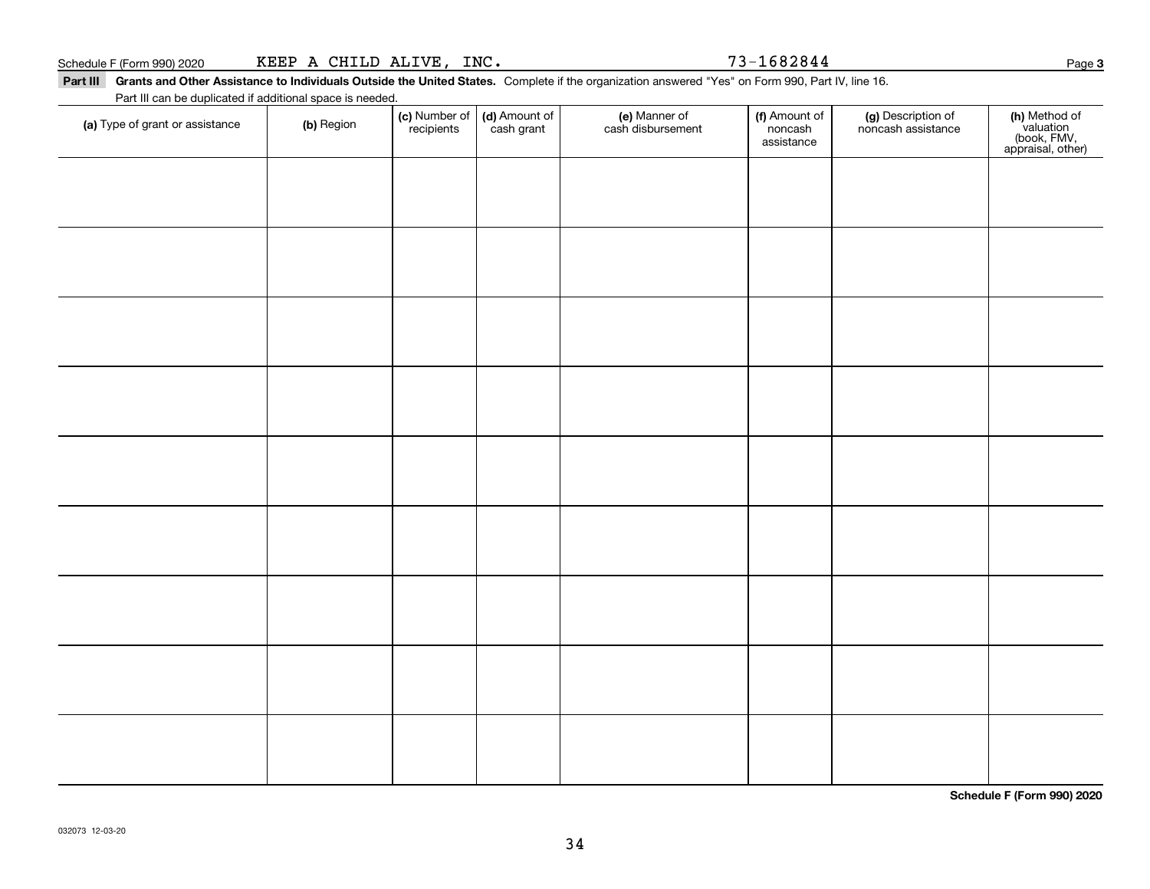|  | Schedule F (Form 990) 2020 | KEEP | CHILD<br>$\mathbf{A}$ | ALIVE. | INC. | --<br>1682844<br>. | Page |  |
|--|----------------------------|------|-----------------------|--------|------|--------------------|------|--|
|--|----------------------------|------|-----------------------|--------|------|--------------------|------|--|

Part III Grants and Other Assistance to Individuals Outside the United States. Complete if the organization answered "Yes" on Form 990, Part IV, line 16.  $INC. 73-1682844$ 

Part III can be duplicated if additional space is needed.

| (a) Type of grant or assistance | (b) Region | (c) Number of (d) Amount of recipients cash grant | (e) Manner of<br>cash disbursement | (f) Amount of<br>noncash<br>assistance | (g) Description of<br>noncash assistance | (h) Method of<br>valuation<br>(book, FMV,<br>appraisal, other) |  |
|---------------------------------|------------|---------------------------------------------------|------------------------------------|----------------------------------------|------------------------------------------|----------------------------------------------------------------|--|
|                                 |            |                                                   |                                    |                                        |                                          |                                                                |  |
|                                 |            |                                                   |                                    |                                        |                                          |                                                                |  |
|                                 |            |                                                   |                                    |                                        |                                          |                                                                |  |
|                                 |            |                                                   |                                    |                                        |                                          |                                                                |  |
|                                 |            |                                                   |                                    |                                        |                                          |                                                                |  |
|                                 |            |                                                   |                                    |                                        |                                          |                                                                |  |
|                                 |            |                                                   |                                    |                                        |                                          |                                                                |  |
|                                 |            |                                                   |                                    |                                        |                                          |                                                                |  |
|                                 |            |                                                   |                                    |                                        |                                          |                                                                |  |
|                                 |            |                                                   |                                    |                                        |                                          |                                                                |  |
|                                 |            |                                                   |                                    |                                        |                                          |                                                                |  |
|                                 |            |                                                   |                                    |                                        |                                          |                                                                |  |
|                                 |            |                                                   |                                    |                                        |                                          |                                                                |  |
|                                 |            |                                                   |                                    |                                        |                                          |                                                                |  |
|                                 |            |                                                   |                                    |                                        |                                          |                                                                |  |

**Schedule F (Form 990) 2020**

**3**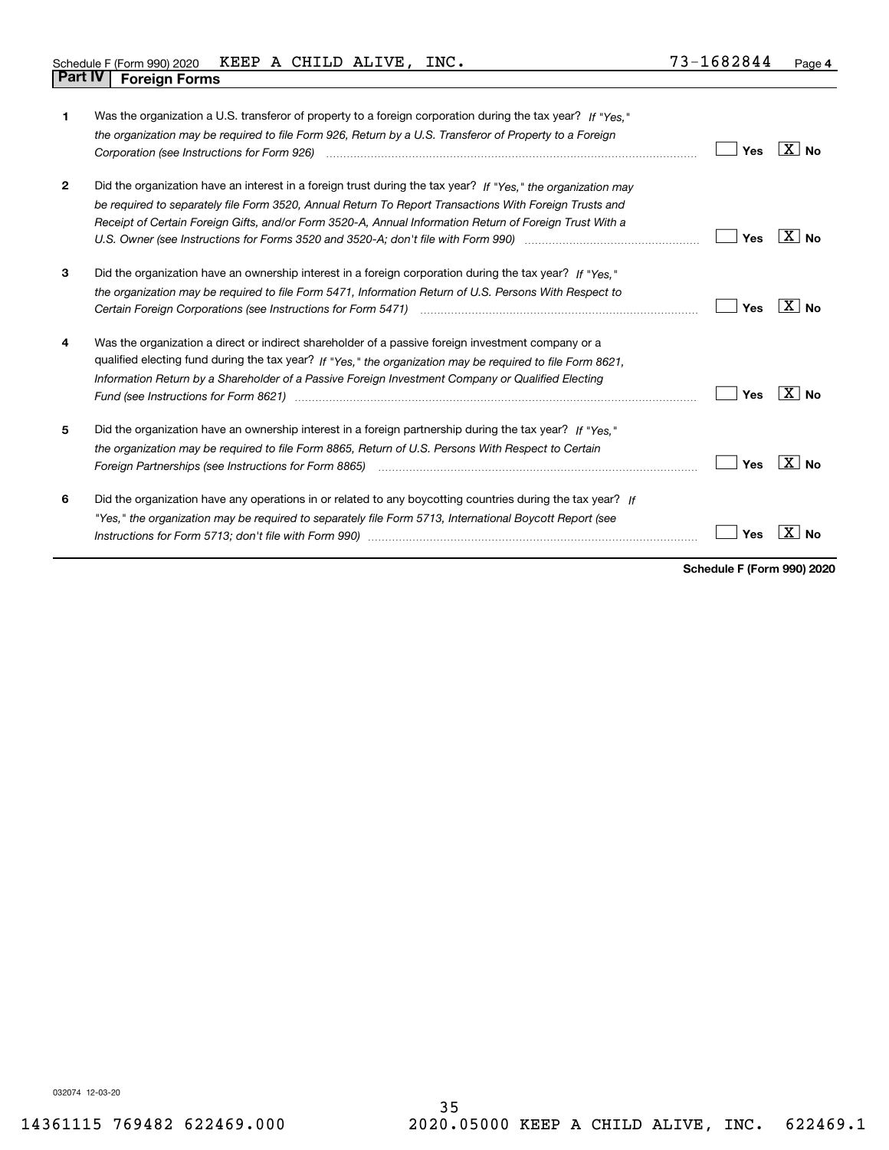| Schedule F (Form 990) 2020 KEEP A CHILD ALIVE, |  |  | INC. | 73-1682844 | Page |
|------------------------------------------------|--|--|------|------------|------|
| <b>Part IV   Foreign Forms</b>                 |  |  |      |            |      |

| 1              | Was the organization a U.S. transferor of property to a foreign corporation during the tax year? If "Yes."<br>the organization may be required to file Form 926, Return by a U.S. Transferor of Property to a Foreign                                                                                                             | Yes | X∣No         |
|----------------|-----------------------------------------------------------------------------------------------------------------------------------------------------------------------------------------------------------------------------------------------------------------------------------------------------------------------------------|-----|--------------|
| $\overline{2}$ | Did the organization have an interest in a foreign trust during the tax year? If "Yes." the organization may<br>be required to separately file Form 3520, Annual Return To Report Transactions With Foreign Trusts and<br>Receipt of Certain Foreign Gifts, and/or Form 3520-A, Annual Information Return of Foreign Trust With a | Yes | X∣No         |
| 3              | Did the organization have an ownership interest in a foreign corporation during the tax year? If "Yes."<br>the organization may be required to file Form 5471, Information Return of U.S. Persons With Respect to                                                                                                                 | Yes | $X \mid N_0$ |
| 4              | Was the organization a direct or indirect shareholder of a passive foreign investment company or a<br>qualified electing fund during the tax year? If "Yes," the organization may be required to file Form 8621,<br>Information Return by a Shareholder of a Passive Foreign Investment Company or Qualified Electing             | Yes | X∣No         |
| 5              | Did the organization have an ownership interest in a foreign partnership during the tax year? If "Yes."<br>the organization may be required to file Form 8865, Return of U.S. Persons With Respect to Certain                                                                                                                     | Yes | $X \mid No$  |
| 6              | Did the organization have any operations in or related to any boycotting countries during the tax year? If<br>"Yes," the organization may be required to separately file Form 5713, International Boycott Report (see                                                                                                             | Yes |              |

**Schedule F (Form 990) 2020**

032074 12-03-20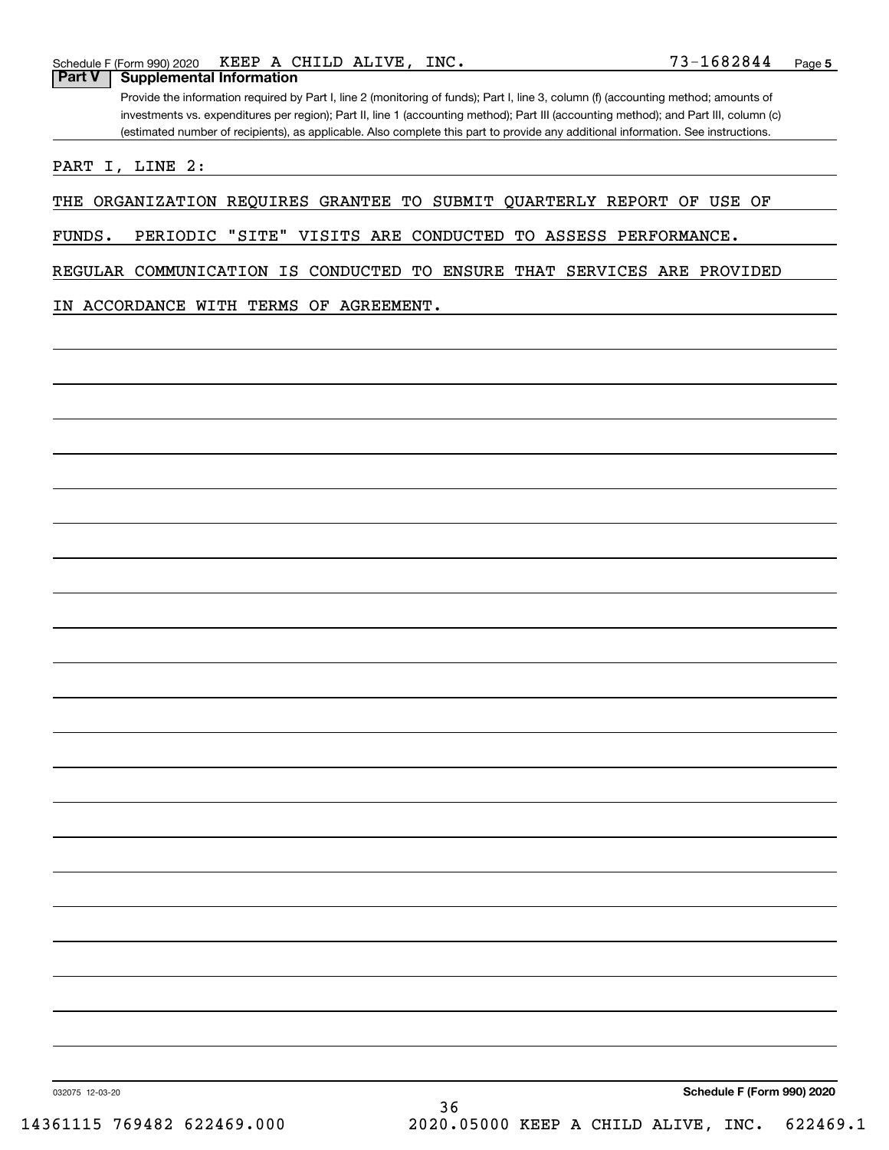### **Part V Supplemental Information**

Provide the information required by Part I, line 2 (monitoring of funds); Part I, line 3, column (f) (accounting method; amounts of investments vs. expenditures per region); Part II, line 1 (accounting method); Part III (accounting method); and Part III, column (c) (estimated number of recipients), as applicable. Also complete this part to provide any additional information. See instructions.

PART I, LINE 2:

THE ORGANIZATION REQUIRES GRANTEE TO SUBMIT QUARTERLY REPORT OF USE OF

FUNDS. PERIODIC "SITE" VISITS ARE CONDUCTED TO ASSESS PERFORMANCE.

REGULAR COMMUNICATION IS CONDUCTED TO ENSURE THAT SERVICES ARE PROVIDED

IN ACCORDANCE WITH TERMS OF AGREEMENT.

**Schedule F (Form 990) 2020**

032075 12-03-20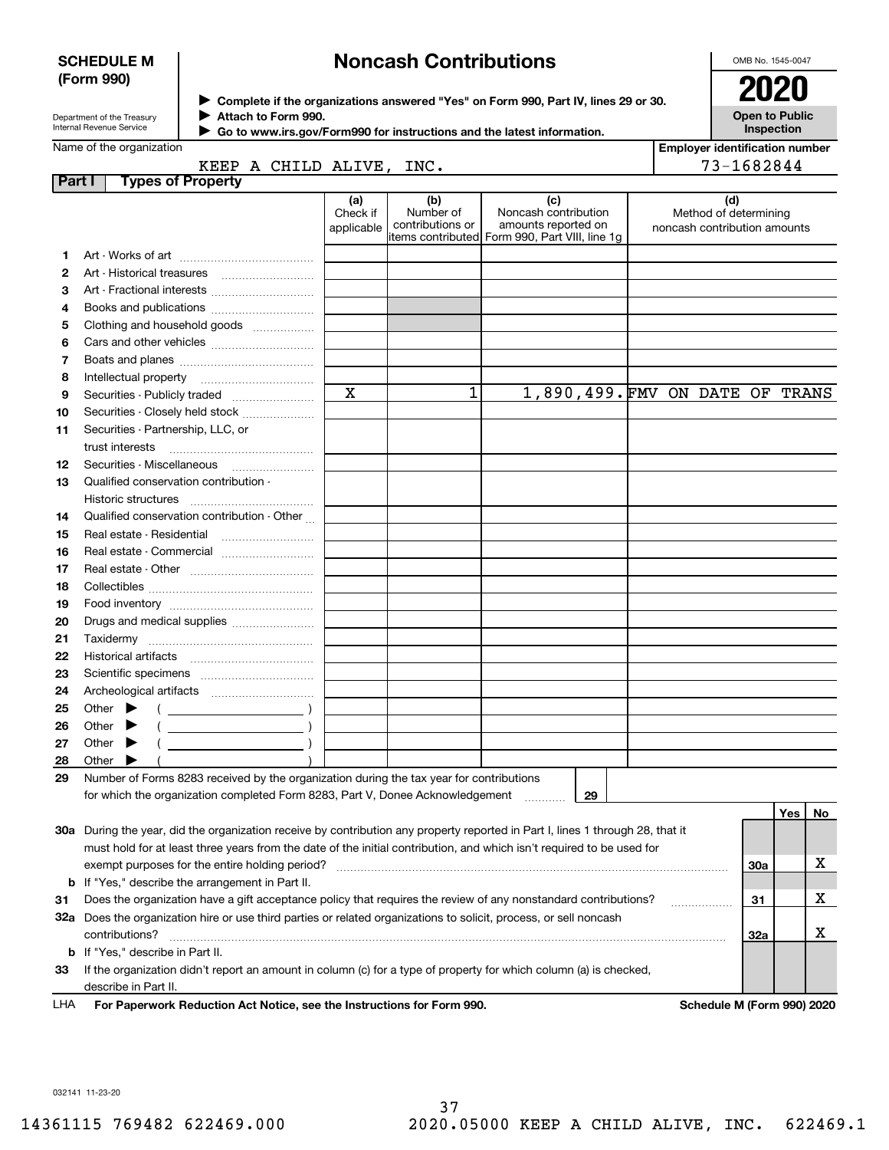#### **SCHEDULE M (Form 990)**

# **Noncash Contributions**

OMB No. 1545-0047

| Department of the Treasurv |
|----------------------------|
| Internal Revenue Service   |

**Complete if the organizations answered "Yes" on Form 990, Part IV, lines 29 or 30.** <sup>J</sup>**2020 Attach to Form 990.** J

**Open to Public Inspection**

| Internal Revenue Service | Go to www.irs.gov/Form990 for instructions and the latest information. |
|--------------------------|------------------------------------------------------------------------|
| Name of the organization |                                                                        |

|        | Name of the organization                                                                                                       |                               |                                      |                                                                                                      |  | <b>Employer identification number</b>                        |     |     |    |
|--------|--------------------------------------------------------------------------------------------------------------------------------|-------------------------------|--------------------------------------|------------------------------------------------------------------------------------------------------|--|--------------------------------------------------------------|-----|-----|----|
|        | KEEP A CHILD ALIVE, INC.                                                                                                       |                               |                                      |                                                                                                      |  | 73-1682844                                                   |     |     |    |
| Part I | <b>Types of Property</b>                                                                                                       |                               |                                      |                                                                                                      |  |                                                              |     |     |    |
|        |                                                                                                                                | (a)<br>Check if<br>applicable | (b)<br>Number of<br>contributions or | (c)<br>Noncash contribution<br>amounts reported on<br>items contributed Form 990, Part VIII, line 1g |  | (d)<br>Method of determining<br>noncash contribution amounts |     |     |    |
| 1      |                                                                                                                                |                               |                                      |                                                                                                      |  |                                                              |     |     |    |
| 2      |                                                                                                                                |                               |                                      |                                                                                                      |  |                                                              |     |     |    |
| з      |                                                                                                                                |                               |                                      |                                                                                                      |  |                                                              |     |     |    |
| 4      |                                                                                                                                |                               |                                      |                                                                                                      |  |                                                              |     |     |    |
| 5      | Clothing and household goods                                                                                                   |                               |                                      |                                                                                                      |  |                                                              |     |     |    |
| 6      |                                                                                                                                |                               |                                      |                                                                                                      |  |                                                              |     |     |    |
| 7      |                                                                                                                                |                               |                                      |                                                                                                      |  |                                                              |     |     |    |
| 8      |                                                                                                                                |                               |                                      |                                                                                                      |  |                                                              |     |     |    |
| 9      | Securities - Publicly traded                                                                                                   | $\mathbf x$                   | 1                                    | 1,890,499. FMV ON DATE OF TRANS                                                                      |  |                                                              |     |     |    |
| 10     | Securities - Closely held stock                                                                                                |                               |                                      |                                                                                                      |  |                                                              |     |     |    |
| 11     | Securities - Partnership, LLC, or                                                                                              |                               |                                      |                                                                                                      |  |                                                              |     |     |    |
|        | trust interests                                                                                                                |                               |                                      |                                                                                                      |  |                                                              |     |     |    |
| 12     |                                                                                                                                |                               |                                      |                                                                                                      |  |                                                              |     |     |    |
| 13     | Qualified conservation contribution -                                                                                          |                               |                                      |                                                                                                      |  |                                                              |     |     |    |
|        | Historic structures                                                                                                            |                               |                                      |                                                                                                      |  |                                                              |     |     |    |
| 14     | Qualified conservation contribution - Other                                                                                    |                               |                                      |                                                                                                      |  |                                                              |     |     |    |
| 15     |                                                                                                                                |                               |                                      |                                                                                                      |  |                                                              |     |     |    |
| 16     | Real estate - Commercial                                                                                                       |                               |                                      |                                                                                                      |  |                                                              |     |     |    |
| 17     |                                                                                                                                |                               |                                      |                                                                                                      |  |                                                              |     |     |    |
| 18     |                                                                                                                                |                               |                                      |                                                                                                      |  |                                                              |     |     |    |
| 19     |                                                                                                                                |                               |                                      |                                                                                                      |  |                                                              |     |     |    |
| 20     | Drugs and medical supplies                                                                                                     |                               |                                      |                                                                                                      |  |                                                              |     |     |    |
| 21     |                                                                                                                                |                               |                                      |                                                                                                      |  |                                                              |     |     |    |
| 22     |                                                                                                                                |                               |                                      |                                                                                                      |  |                                                              |     |     |    |
| 23     |                                                                                                                                |                               |                                      |                                                                                                      |  |                                                              |     |     |    |
| 24     |                                                                                                                                |                               |                                      |                                                                                                      |  |                                                              |     |     |    |
| 25     | Other $\blacktriangleright$<br>$\left($ $\right)$                                                                              |                               |                                      |                                                                                                      |  |                                                              |     |     |    |
| 26     | $($ $)$<br>Other $\blacktriangleright$                                                                                         |                               |                                      |                                                                                                      |  |                                                              |     |     |    |
| 27     | $($ $)$<br>Other $\blacktriangleright$                                                                                         |                               |                                      |                                                                                                      |  |                                                              |     |     |    |
| 28     | Other $\blacktriangleright$                                                                                                    |                               |                                      |                                                                                                      |  |                                                              |     |     |    |
| 29     | Number of Forms 8283 received by the organization during the tax year for contributions                                        |                               |                                      |                                                                                                      |  |                                                              |     |     |    |
|        | for which the organization completed Form 8283, Part V, Donee Acknowledgement                                                  |                               |                                      | 29                                                                                                   |  |                                                              |     |     |    |
|        |                                                                                                                                |                               |                                      |                                                                                                      |  |                                                              |     | Yes | No |
|        | 30a During the year, did the organization receive by contribution any property reported in Part I, lines 1 through 28, that it |                               |                                      |                                                                                                      |  |                                                              |     |     |    |
|        | must hold for at least three years from the date of the initial contribution, and which isn't required to be used for          |                               |                                      |                                                                                                      |  |                                                              |     |     |    |
|        | exempt purposes for the entire holding period?                                                                                 |                               |                                      |                                                                                                      |  |                                                              | 30a |     | х  |
| b      | If "Yes," describe the arrangement in Part II.                                                                                 |                               |                                      |                                                                                                      |  |                                                              |     |     |    |
| 31     | Does the organization have a gift acceptance policy that requires the review of any nonstandard contributions?                 |                               |                                      |                                                                                                      |  |                                                              | 31  |     | x  |
|        | 32a Does the organization hire or use third parties or related organizations to solicit, process, or sell noncash              |                               |                                      |                                                                                                      |  |                                                              |     |     |    |
|        | contributions?                                                                                                                 |                               |                                      |                                                                                                      |  |                                                              | 32a |     | x  |
| b      | If "Yes," describe in Part II.                                                                                                 |                               |                                      |                                                                                                      |  |                                                              |     |     |    |
| 33     | If the organization didn't report an amount in column (c) for a type of property for which column (a) is checked,              |                               |                                      |                                                                                                      |  |                                                              |     |     |    |
|        | describe in Part II.                                                                                                           |                               |                                      |                                                                                                      |  |                                                              |     |     |    |

For Paperwork Reduction Act Notice, see the Instructions for Form 990. **Schedule M (Form 990) 2020** LHA

032141 11-23-20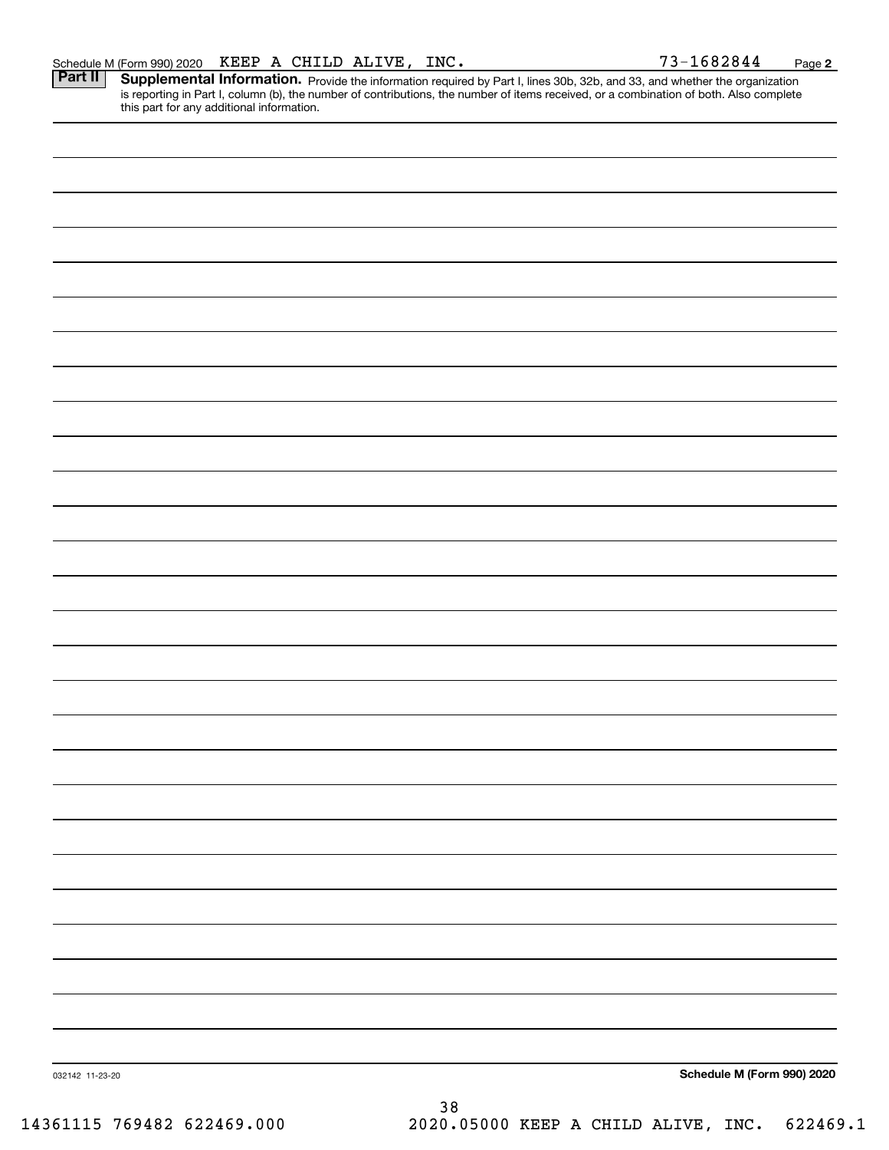Part II | Supplemental Information. Provide the information required by Part I, lines 30b, 32b, and 33, and whether the organization is reporting in Part I, column (b), the number of contributions, the number of items received, or a combination of both. Also complete this part for any additional information.

032142 11-23-20 **Schedule M (Form 990) 2020** 38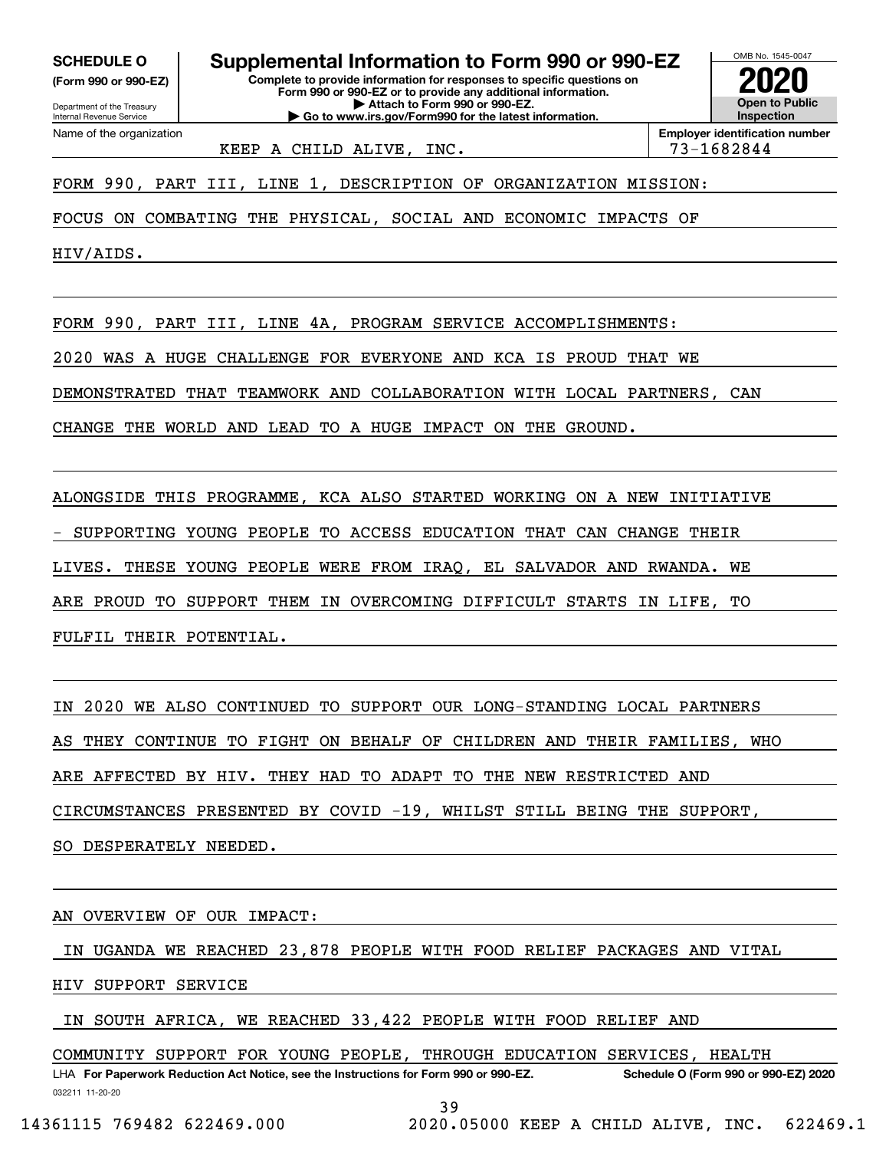**(Form 990 or 990-EZ)**

Department of the Treasury Internal Revenue Service Name of the organization

**Complete to provide information for responses to specific questions on Form 990 or 990-EZ or to provide any additional information. | Attach to Form 990 or 990-EZ. | Go to www.irs.gov/Form990 for the latest information. SCHEDULE O Supplemental Information to Form 990 or 990-EZ**



**Employer identification number** KEEP A CHILD ALIVE, INC. THE REAL PARTICLE 23-1682844

FORM 990, PART III, LINE 1, DESCRIPTION OF ORGANIZATION MISSION:

FOCUS ON COMBATING THE PHYSICAL, SOCIAL AND ECONOMIC IMPACTS OF

HIV/AIDS.

FORM 990, PART III, LINE 4A, PROGRAM SERVICE ACCOMPLISHMENTS:

2020 WAS A HUGE CHALLENGE FOR EVERYONE AND KCA IS PROUD THAT WE

DEMONSTRATED THAT TEAMWORK AND COLLABORATION WITH LOCAL PARTNERS, CAN

CHANGE THE WORLD AND LEAD TO A HUGE IMPACT ON THE GROUND.

ALONGSIDE THIS PROGRAMME, KCA ALSO STARTED WORKING ON A NEW INITIATIVE

- SUPPORTING YOUNG PEOPLE TO ACCESS EDUCATION THAT CAN CHANGE THEIR

LIVES. THESE YOUNG PEOPLE WERE FROM IRAQ, EL SALVADOR AND RWANDA. WE

ARE PROUD TO SUPPORT THEM IN OVERCOMING DIFFICULT STARTS IN LIFE, TO

FULFIL THEIR POTENTIAL.

IN 2020 WE ALSO CONTINUED TO SUPPORT OUR LONG-STANDING LOCAL PARTNERS AS THEY CONTINUE TO FIGHT ON BEHALF OF CHILDREN AND THEIR FAMILIES, WHO

ARE AFFECTED BY HIV. THEY HAD TO ADAPT TO THE NEW RESTRICTED AND

CIRCUMSTANCES PRESENTED BY COVID -19, WHILST STILL BEING THE SUPPORT,

SO DESPERATELY NEEDED.

AN OVERVIEW OF OUR IMPACT:

IN UGANDA WE REACHED 23,878 PEOPLE WITH FOOD RELIEF PACKAGES AND VITAL

HIV SUPPORT SERVICE

IN SOUTH AFRICA, WE REACHED 33,422 PEOPLE WITH FOOD RELIEF AND

COMMUNITY SUPPORT FOR YOUNG PEOPLE, THROUGH EDUCATION SERVICES, HEALTH

032211 11-20-20 LHA For Paperwork Reduction Act Notice, see the Instructions for Form 990 or 990-EZ. Schedule O (Form 990 or 990-EZ) 2020 39

14361115 769482 622469.000 2020.05000 KEEP A CHILD ALIVE, INC. 622469.1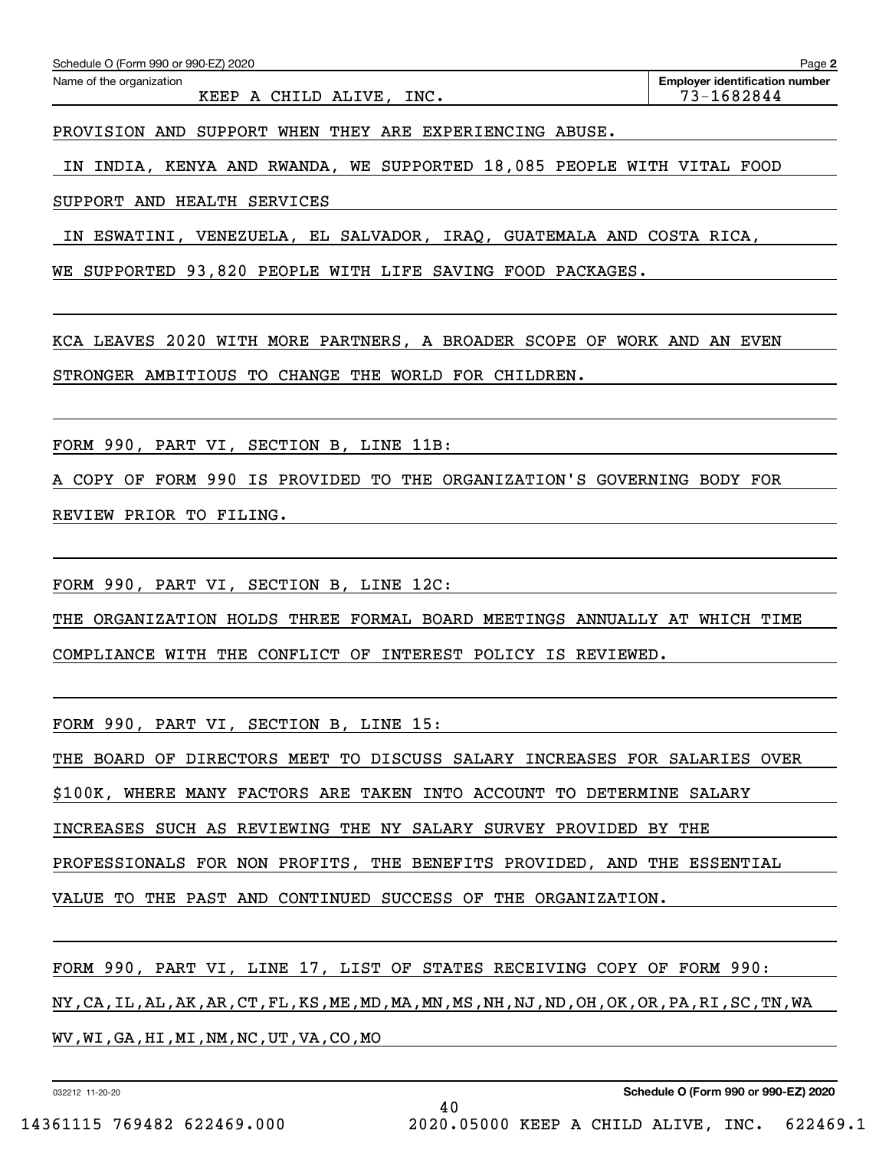| Schedule O (Form 990 or 990-EZ) 2020<br>Page 2          |                                                     |  |  |  |  |  |  |
|---------------------------------------------------------|-----------------------------------------------------|--|--|--|--|--|--|
| Name of the organization<br>INC.<br>KEEP A CHILD ALIVE, | <b>Employer identification number</b><br>73-1682844 |  |  |  |  |  |  |
|                                                         |                                                     |  |  |  |  |  |  |

PROVISION AND SUPPORT WHEN THEY ARE EXPERIENCING ABUSE.

IN INDIA, KENYA AND RWANDA, WE SUPPORTED 18,085 PEOPLE WITH VITAL FOOD

SUPPORT AND HEALTH SERVICES

IN ESWATINI, VENEZUELA, EL SALVADOR, IRAQ, GUATEMALA AND COSTA RICA,

WE SUPPORTED 93,820 PEOPLE WITH LIFE SAVING FOOD PACKAGES.

KCA LEAVES 2020 WITH MORE PARTNERS, A BROADER SCOPE OF WORK AND AN EVEN STRONGER AMBITIOUS TO CHANGE THE WORLD FOR CHILDREN.

FORM 990, PART VI, SECTION B, LINE 11B:

A COPY OF FORM 990 IS PROVIDED TO THE ORGANIZATION'S GOVERNING BODY FOR REVIEW PRIOR TO FILING.

FORM 990, PART VI, SECTION B, LINE 12C:

THE ORGANIZATION HOLDS THREE FORMAL BOARD MEETINGS ANNUALLY AT WHICH TIME COMPLIANCE WITH THE CONFLICT OF INTEREST POLICY IS REVIEWED.

FORM 990, PART VI, SECTION B, LINE 15:

THE BOARD OF DIRECTORS MEET TO DISCUSS SALARY INCREASES FOR SALARIES OVER

\$100K, WHERE MANY FACTORS ARE TAKEN INTO ACCOUNT TO DETERMINE SALARY

INCREASES SUCH AS REVIEWING THE NY SALARY SURVEY PROVIDED BY THE

PROFESSIONALS FOR NON PROFITS, THE BENEFITS PROVIDED, AND THE ESSENTIAL

VALUE TO THE PAST AND CONTINUED SUCCESS OF THE ORGANIZATION.

FORM 990, PART VI, LINE 17, LIST OF STATES RECEIVING COPY OF FORM 990: NY,CA,IL,AL,AK,AR,CT,FL,KS,ME,MD,MA,MN,MS,NH,NJ,ND,OH,OK,OR,PA,RI,SC,TN,WA WV,WI,GA,HI,MI,NM,NC,UT,VA,CO,MO

40

032212 11-20-20